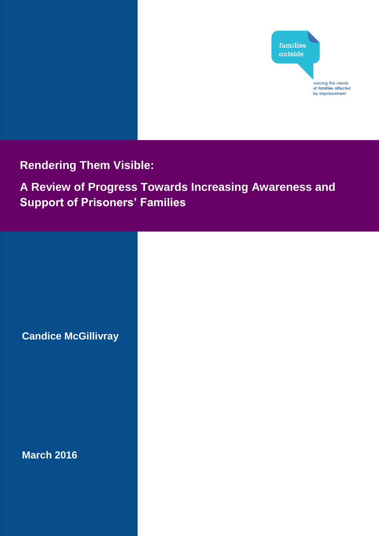

**Rendering Them Visible:**

**A Review of Progress Towards Increasing Awareness and Support of Prisoners' Families** 

**Candice McGillivray**

**March 2016**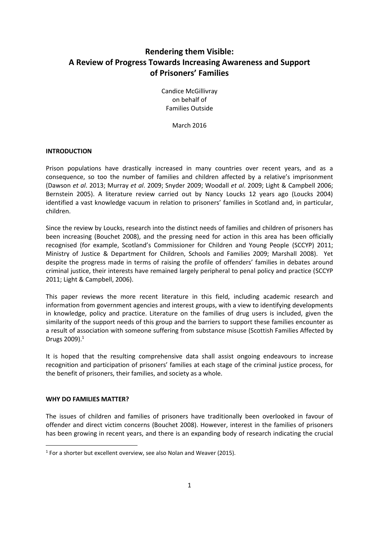# **Rendering them Visible: A Review of Progress Towards Increasing Awareness and Support of Prisoners' Families**

Candice McGillivray on behalf of Families Outside

March 2016

# **INTRODUCTION**

Prison populations have drastically increased in many countries over recent years, and as a consequence, so too the number of families and children affected by a relative's imprisonment (Dawson *et al*. 2013; Murray *et al*. 2009; Snyder 2009; Woodall *et al*. 2009; Light & Campbell 2006; Bernstein 2005). A literature review carried out by Nancy Loucks 12 years ago (Loucks 2004) identified a vast knowledge vacuum in relation to prisoners' families in Scotland and, in particular, children.

Since the review by Loucks, research into the distinct needs of families and children of prisoners has been increasing (Bouchet 2008), and the pressing need for action in this area has been officially recognised (for example, Scotland's Commissioner for Children and Young People (SCCYP) 2011; Ministry of Justice & Department for Children, Schools and Families 2009; Marshall 2008). Yet despite the progress made in terms of raising the profile of offenders' families in debates around criminal justice, their interests have remained largely peripheral to penal policy and practice (SCCYP 2011; Light & Campbell, 2006).

This paper reviews the more recent literature in this field, including academic research and information from government agencies and interest groups, with a view to identifying developments in knowledge, policy and practice. Literature on the families of drug users is included, given the similarity of the support needs of this group and the barriers to support these families encounter as a result of association with someone suffering from substance misuse (Scottish Families Affected by Drugs 2009).<sup>1</sup>

It is hoped that the resulting comprehensive data shall assist ongoing endeavours to increase recognition and participation of prisoners' families at each stage of the criminal justice process, for the benefit of prisoners, their families, and society as a whole.

# **WHY DO FAMILIES MATTER?**

1

The issues of children and families of prisoners have traditionally been overlooked in favour of offender and direct victim concerns (Bouchet 2008). However, interest in the families of prisoners has been growing in recent years, and there is an expanding body of research indicating the crucial

<sup>&</sup>lt;sup>1</sup> For a shorter but excellent overview, see also Nolan and Weaver (2015).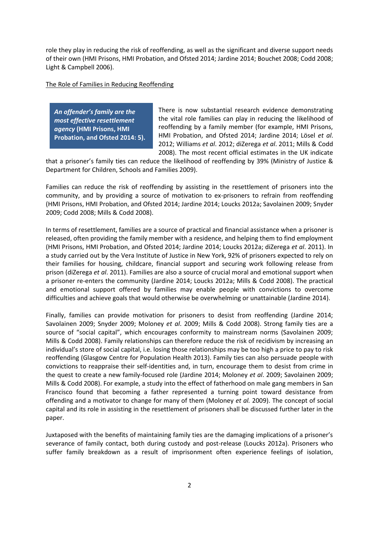role they play in reducing the risk of reoffending, as well as the significant and diverse support needs of their own (HMI Prisons, HMI Probation, and Ofsted 2014; Jardine 2014; Bouchet 2008; Codd 2008; Light & Campbell 2006).

# The Role of Families in Reducing Reoffending

*An offender's family are the most effective resettlement agency* **(HMI Prisons, HMI Probation, and Ofsted 2014: 5).** There is now substantial research evidence demonstrating the vital role families can play in reducing the likelihood of reoffending by a family member (for example, HMI Prisons, HMI Probation, and Ofsted 2014; Jardine 2014; Lösel *et al*. 2012; Williams *et al*. 2012; diZerega *et al*. 2011; Mills & Codd 2008). The most recent official estimates in the UK indicate

that a prisoner's family ties can reduce the likelihood of reoffending by 39% (Ministry of Justice & Department for Children, Schools and Families 2009).

Families can reduce the risk of reoffending by assisting in the resettlement of prisoners into the community, and by providing a source of motivation to ex-prisoners to refrain from reoffending (HMI Prisons, HMI Probation, and Ofsted 2014; Jardine 2014; Loucks 2012a; Savolainen 2009; Snyder 2009; Codd 2008; Mills & Codd 2008).

In terms of resettlement, families are a source of practical and financial assistance when a prisoner is released, often providing the family member with a residence, and helping them to find employment (HMI Prisons, HMI Probation, and Ofsted 2014; Jardine 2014; Loucks 2012a; diZerega *et al*. 2011). In a study carried out by the Vera Institute of Justice in New York, 92% of prisoners expected to rely on their families for housing, childcare, financial support and securing work following release from prison (diZerega *et al*. 2011). Families are also a source of crucial moral and emotional support when a prisoner re-enters the community (Jardine 2014; Loucks 2012a; Mills & Codd 2008). The practical and emotional support offered by families may enable people with convictions to overcome difficulties and achieve goals that would otherwise be overwhelming or unattainable (Jardine 2014).

Finally, families can provide motivation for prisoners to desist from reoffending (Jardine 2014; Savolainen 2009; Snyder 2009; Moloney *et al*. 2009; Mills & Codd 2008). Strong family ties are a source of "social capital", which encourages conformity to mainstream norms (Savolainen 2009; Mills & Codd 2008). Family relationships can therefore reduce the risk of recidivism by increasing an individual's store of social capital, i.e. losing those relationships may be too high a price to pay to risk reoffending (Glasgow Centre for Population Health 2013). Family ties can also persuade people with convictions to reappraise their self-identities and, in turn, encourage them to desist from crime in the quest to create a new family-focused role (Jardine 2014; Moloney *et al*. 2009; Savolainen 2009; Mills & Codd 2008). For example, a study into the effect of fatherhood on male gang members in San Francisco found that becoming a father represented a turning point toward desistance from offending and a motivator to change for many of them (Moloney *et al.* 2009). The concept of social capital and its role in assisting in the resettlement of prisoners shall be discussed further later in the paper.

Juxtaposed with the benefits of maintaining family ties are the damaging implications of a prisoner's severance of family contact, both during custody and post-release (Loucks 2012a). Prisoners who suffer family breakdown as a result of imprisonment often experience feelings of isolation,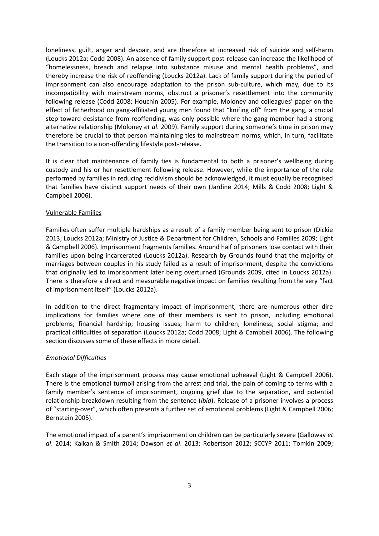loneliness, guilt, anger and despair, and are therefore at increased risk of suicide and self-harm (Loucks 2012a; Codd 2008). An absence of family support post-release can increase the likelihood of "homelessness, breach and relapse into substance misuse and mental health problems", and thereby increase the risk of reoffending (Loucks 2012a). Lack of family support during the period of imprisonment can also encourage adaptation to the prison sub-culture, which may, due to its incompatibility with mainstream norms, obstruct a prisoner's resettlement into the community following release (Codd 2008; Houchin 2005). For example, Moloney and colleagues' paper on the effect of fatherhood on gang-affiliated young men found that "knifing off" from the gang, a crucial step toward desistance from reoffending, was only possible where the gang member had a strong alternative relationship (Moloney *et al*. 2009). Family support during someone's time in prison may therefore be crucial to that person maintaining ties to mainstream norms, which, in turn, facilitate the transition to a non-offending lifestyle post-release.

It is clear that maintenance of family ties is fundamental to both a prisoner's wellbeing during custody and his or her resettlement following release. However, while the importance of the role performed by families in reducing recidivism should be acknowledged, it must equally be recognised that families have distinct support needs of their own (Jardine 2014; Mills & Codd 2008; Light & Campbell 2006).

# Vulnerable Families

Families often suffer multiple hardships as a result of a family member being sent to prison (Dickie 2013; Loucks 2012a; Ministry of Justice & Department for Children, Schools and Families 2009; Light & Campbell 2006). Imprisonment fragments families. Around half of prisoners lose contact with their families upon being incarcerated (Loucks 2012a). Research by Grounds found that the majority of marriages between couples in his study failed as a result of imprisonment, despite the convictions that originally led to imprisonment later being overturned (Grounds 2009, cited in Loucks 2012a). There is therefore a direct and measurable negative impact on families resulting from the very "fact of imprisonment itself" (Loucks 2012a).

In addition to the direct fragmentary impact of imprisonment, there are numerous other dire implications for families where one of their members is sent to prison, including emotional problems; financial hardship; housing issues; harm to children; loneliness; social stigma; and practical difficulties of separation (Loucks 2012a; Codd 2008; Light & Campbell 2006). The following section discusses some of these effects in more detail.

# *Emotional Difficulties*

Each stage of the imprisonment process may cause emotional upheaval (Light & Campbell 2006). There is the emotional turmoil arising from the arrest and trial, the pain of coming to terms with a family member's sentence of imprisonment, ongoing grief due to the separation, and potential relationship breakdown resulting from the sentence (*ibid*). Release of a prisoner involves a process of "starting-over", which often presents a further set of emotional problems (Light & Campbell 2006; Bernstein 2005).

The emotional impact of a parent's imprisonment on children can be particularly severe (Galloway *et al*. 2014; Kalkan & Smith 2014; Dawson *et al*. 2013; Robertson 2012; SCCYP 2011; Tomkin 2009;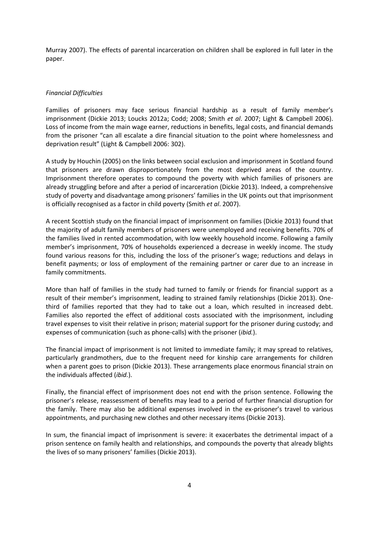Murray 2007). The effects of parental incarceration on children shall be explored in full later in the paper.

# *Financial Difficulties*

Families of prisoners may face serious financial hardship as a result of family member's imprisonment (Dickie 2013; Loucks 2012a; Codd; 2008; Smith *et al*. 2007; Light & Campbell 2006). Loss of income from the main wage earner, reductions in benefits, legal costs, and financial demands from the prisoner "can all escalate a dire financial situation to the point where homelessness and deprivation result" (Light & Campbell 2006: 302).

A study by Houchin (2005) on the links between social exclusion and imprisonment in Scotland found that prisoners are drawn disproportionately from the most deprived areas of the country. Imprisonment therefore operates to compound the poverty with which families of prisoners are already struggling before and after a period of incarceration (Dickie 2013). Indeed, a comprehensive study of poverty and disadvantage among prisoners' families in the UK points out that imprisonment is officially recognised as a factor in child poverty (Smith *et al*. 2007).

A recent Scottish study on the financial impact of imprisonment on families (Dickie 2013) found that the majority of adult family members of prisoners were unemployed and receiving benefits. 70% of the families lived in rented accommodation, with low weekly household income. Following a family member's imprisonment, 70% of households experienced a decrease in weekly income. The study found various reasons for this, including the loss of the prisoner's wage; reductions and delays in benefit payments; or loss of employment of the remaining partner or carer due to an increase in family commitments.

More than half of families in the study had turned to family or friends for financial support as a result of their member's imprisonment, leading to strained family relationships (Dickie 2013). Onethird of families reported that they had to take out a loan, which resulted in increased debt. Families also reported the effect of additional costs associated with the imprisonment, including travel expenses to visit their relative in prison; material support for the prisoner during custody; and expenses of communication (such as phone-calls) with the prisoner (*ibid.*).

The financial impact of imprisonment is not limited to immediate family; it may spread to relatives, particularly grandmothers, due to the frequent need for kinship care arrangements for children when a parent goes to prison (Dickie 2013). These arrangements place enormous financial strain on the individuals affected (*ibid.*).

Finally, the financial effect of imprisonment does not end with the prison sentence. Following the prisoner's release, reassessment of benefits may lead to a period of further financial disruption for the family. There may also be additional expenses involved in the ex-prisoner's travel to various appointments, and purchasing new clothes and other necessary items (Dickie 2013).

In sum, the financial impact of imprisonment is severe: it exacerbates the detrimental impact of a prison sentence on family health and relationships, and compounds the poverty that already blights the lives of so many prisoners' families (Dickie 2013).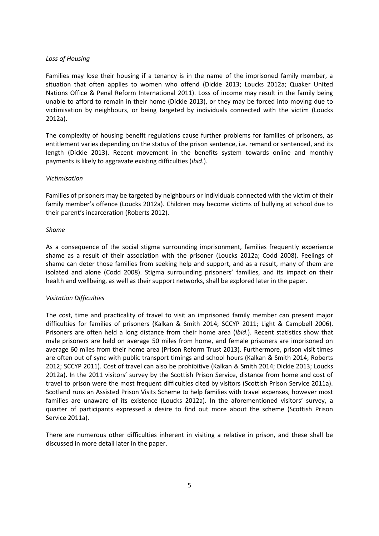# *Loss of Housing*

Families may lose their housing if a tenancy is in the name of the imprisoned family member, a situation that often applies to women who offend (Dickie 2013; Loucks 2012a; Quaker United Nations Office & Penal Reform International 2011). Loss of income may result in the family being unable to afford to remain in their home (Dickie 2013), or they may be forced into moving due to victimisation by neighbours, or being targeted by individuals connected with the victim (Loucks 2012a).

The complexity of housing benefit regulations cause further problems for families of prisoners, as entitlement varies depending on the status of the prison sentence, i.e. remand or sentenced, and its length (Dickie 2013). Recent movement in the benefits system towards online and monthly payments is likely to aggravate existing difficulties (*ibid*.).

# *Victimisation*

Families of prisoners may be targeted by neighbours or individuals connected with the victim of their family member's offence (Loucks 2012a). Children may become victims of bullying at school due to their parent's incarceration (Roberts 2012).

# *Shame*

As a consequence of the social stigma surrounding imprisonment, families frequently experience shame as a result of their association with the prisoner (Loucks 2012a; Codd 2008). Feelings of shame can deter those families from seeking help and support, and as a result, many of them are isolated and alone (Codd 2008). Stigma surrounding prisoners' families, and its impact on their health and wellbeing, as well as their support networks, shall be explored later in the paper.

# *Visitation Difficulties*

The cost, time and practicality of travel to visit an imprisoned family member can present major difficulties for families of prisoners (Kalkan & Smith 2014; SCCYP 2011; Light & Campbell 2006). Prisoners are often held a long distance from their home area (*ibid*.). Recent statistics show that male prisoners are held on average 50 miles from home, and female prisoners are imprisoned on average 60 miles from their home area (Prison Reform Trust 2013). Furthermore, prison visit times are often out of sync with public transport timings and school hours (Kalkan & Smith 2014; Roberts 2012; SCCYP 2011). Cost of travel can also be prohibitive (Kalkan & Smith 2014; Dickie 2013; Loucks 2012a). In the 2011 visitors' survey by the Scottish Prison Service, distance from home and cost of travel to prison were the most frequent difficulties cited by visitors (Scottish Prison Service 2011a). Scotland runs an Assisted Prison Visits Scheme to help families with travel expenses, however most families are unaware of its existence (Loucks 2012a). In the aforementioned visitors' survey, a quarter of participants expressed a desire to find out more about the scheme (Scottish Prison Service 2011a).

There are numerous other difficulties inherent in visiting a relative in prison, and these shall be discussed in more detail later in the paper.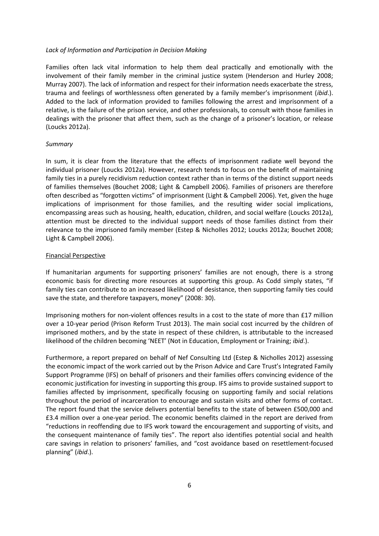### *Lack of Information and Participation in Decision Making*

Families often lack vital information to help them deal practically and emotionally with the involvement of their family member in the criminal justice system (Henderson and Hurley 2008; Murray 2007). The lack of information and respect for their information needs exacerbate the stress, trauma and feelings of worthlessness often generated by a family member's imprisonment (*ibid*.). Added to the lack of information provided to families following the arrest and imprisonment of a relative, is the failure of the prison service, and other professionals, to consult with those families in dealings with the prisoner that affect them, such as the change of a prisoner's location, or release (Loucks 2012a).

### *Summary*

In sum, it is clear from the literature that the effects of imprisonment radiate well beyond the individual prisoner (Loucks 2012a). However, research tends to focus on the benefit of maintaining family ties in a purely recidivism reduction context rather than in terms of the distinct support needs of families themselves (Bouchet 2008; Light & Campbell 2006). Families of prisoners are therefore often described as "forgotten victims" of imprisonment (Light & Campbell 2006). Yet, given the huge implications of imprisonment for those families, and the resulting wider social implications, encompassing areas such as housing, health, education, children, and social welfare (Loucks 2012a), attention must be directed to the individual support needs of those families distinct from their relevance to the imprisoned family member (Estep & Nicholles 2012; Loucks 2012a; Bouchet 2008; Light & Campbell 2006).

### Financial Perspective

If humanitarian arguments for supporting prisoners' families are not enough, there is a strong economic basis for directing more resources at supporting this group. As Codd simply states, "if family ties can contribute to an increased likelihood of desistance, then supporting family ties could save the state, and therefore taxpayers, money" (2008: 30).

Imprisoning mothers for non-violent offences results in a cost to the state of more than £17 million over a 10-year period (Prison Reform Trust 2013). The main social cost incurred by the children of imprisoned mothers, and by the state in respect of these children, is attributable to the increased likelihood of the children becoming 'NEET' (Not in Education, Employment or Training; *ibid*.).

Furthermore, a report prepared on behalf of Nef Consulting Ltd (Estep & Nicholles 2012) assessing the economic impact of the work carried out by the Prison Advice and Care Trust's Integrated Family Support Programme (IFS) on behalf of prisoners and their families offers convincing evidence of the economic justification for investing in supporting this group. IFS aims to provide sustained support to families affected by imprisonment, specifically focusing on supporting family and social relations throughout the period of incarceration to encourage and sustain visits and other forms of contact. The report found that the service delivers potential benefits to the state of between £500,000 and £3.4 million over a one-year period. The economic benefits claimed in the report are derived from "reductions in reoffending due to IFS work toward the encouragement and supporting of visits, and the consequent maintenance of family ties". The report also identifies potential social and health care savings in relation to prisoners' families, and "cost avoidance based on resettlement-focused planning" (*ibid*.).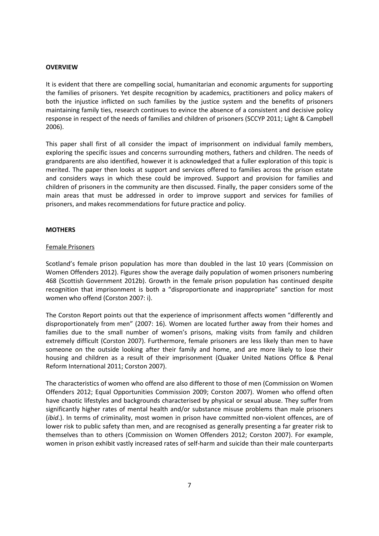# **OVERVIEW**

It is evident that there are compelling social, humanitarian and economic arguments for supporting the families of prisoners. Yet despite recognition by academics, practitioners and policy makers of both the injustice inflicted on such families by the justice system and the benefits of prisoners maintaining family ties, research continues to evince the absence of a consistent and decisive policy response in respect of the needs of families and children of prisoners (SCCYP 2011; Light & Campbell 2006).

This paper shall first of all consider the impact of imprisonment on individual family members, exploring the specific issues and concerns surrounding mothers, fathers and children. The needs of grandparents are also identified, however it is acknowledged that a fuller exploration of this topic is merited. The paper then looks at support and services offered to families across the prison estate and considers ways in which these could be improved. Support and provision for families and children of prisoners in the community are then discussed. Finally, the paper considers some of the main areas that must be addressed in order to improve support and services for families of prisoners, and makes recommendations for future practice and policy.

# **MOTHERS**

# Female Prisoners

Scotland's female prison population has more than doubled in the last 10 years (Commission on Women Offenders 2012). Figures show the average daily population of women prisoners numbering 468 (Scottish Government 2012b). Growth in the female prison population has continued despite recognition that imprisonment is both a "disproportionate and inappropriate" sanction for most women who offend (Corston 2007: i).

The Corston Report points out that the experience of imprisonment affects women "differently and disproportionately from men" (2007: 16). Women are located further away from their homes and families due to the small number of women's prisons, making visits from family and children extremely difficult (Corston 2007). Furthermore, female prisoners are less likely than men to have someone on the outside looking after their family and home, and are more likely to lose their housing and children as a result of their imprisonment (Quaker United Nations Office & Penal Reform International 2011; Corston 2007).

The characteristics of women who offend are also different to those of men (Commission on Women Offenders 2012; Equal Opportunities Commission 2009; Corston 2007). Women who offend often have chaotic lifestyles and backgrounds characterised by physical or sexual abuse. They suffer from significantly higher rates of mental health and/or substance misuse problems than male prisoners (*ibid*.). In terms of criminality, most women in prison have committed non-violent offences, are of lower risk to public safety than men, and are recognised as generally presenting a far greater risk to themselves than to others (Commission on Women Offenders 2012; Corston 2007). For example, women in prison exhibit vastly increased rates of self-harm and suicide than their male counterparts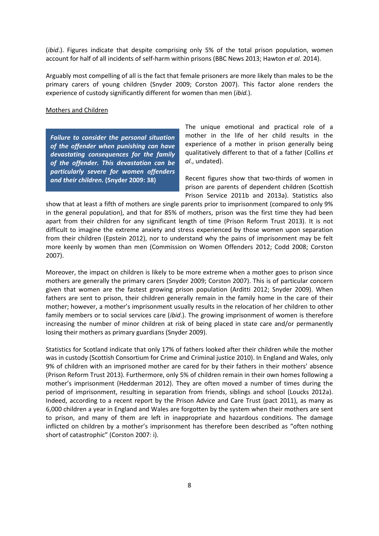(*ibid*.). Figures indicate that despite comprising only 5% of the total prison population, women account for half of all incidents of self-harm within prisons (BBC News 2013; Hawton *et al*. 2014).

Arguably most compelling of all is the fact that female prisoners are more likely than males to be the primary carers of young children (Snyder 2009; Corston 2007). This factor alone renders the experience of custody significantly different for women than men (*ibid.*).

### Mothers and Children

*Failure to consider the personal situation of the offender when punishing can have devastating consequences for the family of the offender. This devastation can be particularly severe for women offenders and their children.* **(Snyder 2009: 38)**

The unique emotional and practical role of a mother in the life of her child results in the experience of a mother in prison generally being qualitatively different to that of a father (Collins *et al*., undated).

Recent figures show that two-thirds of women in prison are parents of dependent children (Scottish Prison Service 2011b and 2013a). Statistics also

show that at least a fifth of mothers are single parents prior to imprisonment (compared to only 9% in the general population), and that for 85% of mothers, prison was the first time they had been apart from their children for any significant length of time (Prison Reform Trust 2013). It is not difficult to imagine the extreme anxiety and stress experienced by those women upon separation from their children (Epstein 2012), nor to understand why the pains of imprisonment may be felt more keenly by women than men (Commission on Women Offenders 2012; Codd 2008; Corston 2007).

Moreover, the impact on children is likely to be more extreme when a mother goes to prison since mothers are generally the primary carers (Snyder 2009; Corston 2007). This is of particular concern given that women are the fastest growing prison population (Arditti 2012; Snyder 2009). When fathers are sent to prison, their children generally remain in the family home in the care of their mother; however, a mother's imprisonment usually results in the relocation of her children to other family members or to social services care (*ibid*.). The growing imprisonment of women is therefore increasing the number of minor children at risk of being placed in state care and/or permanently losing their mothers as primary guardians (Snyder 2009).

Statistics for Scotland indicate that only 17% of fathers looked after their children while the mother was in custody (Scottish Consortium for Crime and Criminal justice 2010). In England and Wales, only 9% of children with an imprisoned mother are cared for by their fathers in their mothers' absence (Prison Reform Trust 2013). Furthermore, only 5% of children remain in their own homes following a mother's imprisonment (Hedderman 2012). They are often moved a number of times during the period of imprisonment, resulting in separation from friends, siblings and school (Loucks 2012a). Indeed, according to a recent report by the Prison Advice and Care Trust (pact 2011), as many as 6,000 children a year in England and Wales are forgotten by the system when their mothers are sent to prison, and many of them are left in inappropriate and hazardous conditions. The damage inflicted on children by a mother's imprisonment has therefore been described as "often nothing short of catastrophic" (Corston 2007: i).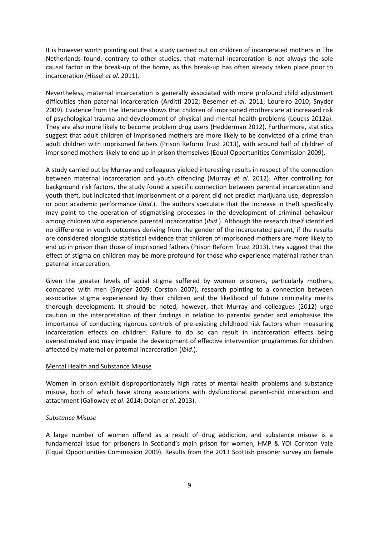It is however worth pointing out that a study carried out on children of incarcerated mothers in The Netherlands found, contrary to other studies, that maternal incarceration is not always the sole causal factor in the break-up of the home, as this break-up has often already taken place prior to incarceration (Hissel *et al*. 2011).

Nevertheless, maternal incarceration is generally associated with more profound child adjustment difficulties than paternal incarceration (Arditti 2012; Besemer *et al*. 2011; Loureiro 2010; Snyder 2009). Evidence from the literature shows that children of imprisoned mothers are at increased risk of psychological trauma and development of physical and mental health problems (Loucks 2012a). They are also more likely to become problem drug users (Hedderman 2012). Furthermore, statistics suggest that adult children of imprisoned mothers are more likely to be convicted of a crime than adult children with imprisoned fathers (Prison Reform Trust 2013), with around half of children of imprisoned mothers likely to end up in prison themselves (Equal Opportunities Commission 2009).

A study carried out by Murray and colleagues yielded interesting results in respect of the connection between maternal incarceration and youth offending (Murray *et al*. 2012). After controlling for background risk factors, the study found a specific connection between parental incarceration and youth theft, but indicated that imprisonment of a parent did not predict marijuana use, depression or poor academic performance (*ibid*.). The authors speculate that the increase in theft specifically may point to the operation of stigmatising processes in the development of criminal behaviour among children who experience parental incarceration (*ibid*.). Although the research itself identified no difference in youth outcomes deriving from the gender of the incarcerated parent, if the results are considered alongside statistical evidence that children of imprisoned mothers are more likely to end up in prison than those of imprisoned fathers (Prison Reform Trust 2013), they suggest that the effect of stigma on children may be more profound for those who experience maternal rather than paternal incarceration.

Given the greater levels of social stigma suffered by women prisoners, particularly mothers, compared with men (Snyder 2009; Corston 2007), research pointing to a connection between associative stigma experienced by their children and the likelihood of future criminality merits thorough development. It should be noted, however, that Murray and colleagues (2012) urge caution in the interpretation of their findings in relation to parental gender and emphasise the importance of conducting rigorous controls of pre-existing childhood risk factors when measuring incarceration effects on children. Failure to do so can result in incarceration effects being overestimated and may impede the development of effective intervention programmes for children affected by maternal or paternal incarceration (*ibid*.).

# Mental Health and Substance Misuse

Women in prison exhibit disproportionately high rates of mental health problems and substance misuse, both of which have strong associations with dysfunctional parent-child interaction and attachment (Galloway *et al*. 2014; Dolan *et al*. 2013).

# *Substance Misuse*

A large number of women offend as a result of drug addiction, and substance misuse is a fundamental issue for prisoners in Scotland's main prison for women, HMP & YOI Cornton Vale (Equal Opportunities Commission 2009). Results from the 2013 Scottish prisoner survey on female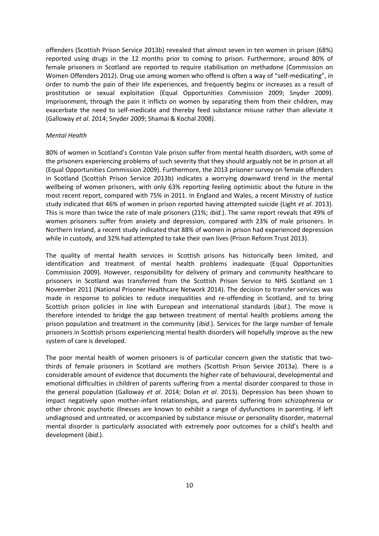offenders (Scottish Prison Service 2013b) revealed that almost seven in ten women in prison (68%) reported using drugs in the 12 months prior to coming to prison. Furthermore, around 80% of female prisoners in Scotland are reported to require stabilisation on methadone (Commission on Women Offenders 2012). Drug use among women who offend is often a way of "self-medicating", in order to numb the pain of their life experiences, and frequently begins or increases as a result of prostitution or sexual exploitation (Equal Opportunities Commission 2009; Snyder 2009). Imprisonment, through the pain it inflicts on women by separating them from their children, may exacerbate the need to self-medicate and thereby feed substance misuse rather than alleviate it (Galloway *et al*. 2014; Snyder 2009; Shamai & Kochal 2008).

# *Mental Health*

80% of women in Scotland's Cornton Vale prison suffer from mental health disorders, with some of the prisoners experiencing problems of such severity that they should arguably not be in prison at all (Equal Opportunities Commission 2009). Furthermore, the 2013 prisoner survey on female offenders in Scotland (Scottish Prison Service 2013b) indicates a worrying downward trend in the mental wellbeing of women prisoners, with only 63% reporting feeling optimistic about the future in the most recent report, compared with 75% in 2011. In England and Wales, a recent Ministry of Justice study indicated that 46% of women in prison reported having attempted suicide (Light *et al*. 2013). This is more than twice the rate of male prisoners (21%; *ibid.*). The same report reveals that 49% of women prisoners suffer from anxiety and depression, compared with 23% of male prisoners. In Northern Ireland, a recent study indicated that 88% of women in prison had experienced depression while in custody, and 32% had attempted to take their own lives (Prison Reform Trust 2013).

The quality of mental health services in Scottish prisons has historically been limited, and identification and treatment of mental health problems inadequate (Equal Opportunities Commission 2009). However, responsibility for delivery of primary and community healthcare to prisoners in Scotland was transferred from the Scottish Prison Service to NHS Scotland on 1 November 2011 (National Prisoner Healthcare Network 2014). The decision to transfer services was made in response to policies to reduce inequalities and re-offending in Scotland, and to bring Scottish prison policies in line with European and international standards (*ibid*.). The move is therefore intended to bridge the gap between treatment of mental health problems among the prison population and treatment in the community (*ibid*.). Services for the large number of female prisoners in Scottish prisons experiencing mental health disorders will hopefully improve as the new system of care is developed.

The poor mental health of women prisoners is of particular concern given the statistic that twothirds of female prisoners in Scotland are mothers (Scottish Prison Service 2013a). There is a considerable amount of evidence that documents the higher rate of behavioural, developmental and emotional difficulties in children of parents suffering from a mental disorder compared to those in the general population (Galloway *et al*. 2014; Dolan *et al*. 2013). Depression has been shown to impact negatively upon mother-infant relationships, and parents suffering from schizophrenia or other chronic psychotic illnesses are known to exhibit a range of dysfunctions in parenting. If left undiagnosed and untreated, or accompanied by substance misuse or personality disorder, maternal mental disorder is particularly associated with extremely poor outcomes for a child's health and development (*ibid*.).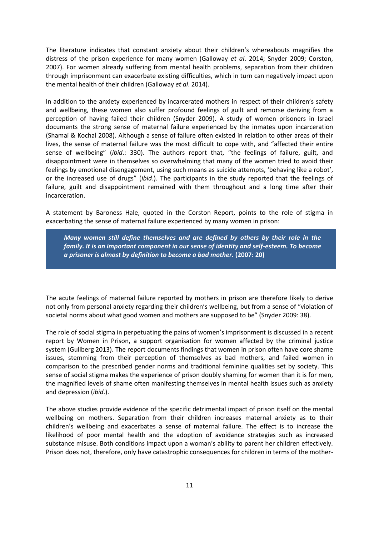The literature indicates that constant anxiety about their children's whereabouts magnifies the distress of the prison experience for many women (Galloway *et al*. 2014; Snyder 2009; Corston, 2007). For women already suffering from mental health problems, separation from their children through imprisonment can exacerbate existing difficulties, which in turn can negatively impact upon the mental health of their children (Galloway *et al*. 2014).

In addition to the anxiety experienced by incarcerated mothers in respect of their children's safety and wellbeing, these women also suffer profound feelings of guilt and remorse deriving from a perception of having failed their children (Snyder 2009). A study of women prisoners in Israel documents the strong sense of maternal failure experienced by the inmates upon incarceration (Shamai & Kochal 2008). Although a sense of failure often existed in relation to other areas of their lives, the sense of maternal failure was the most difficult to cope with, and "affected their entire sense of wellbeing" (*ibid*.: 330). The authors report that, "the feelings of failure, guilt, and disappointment were in themselves so overwhelming that many of the women tried to avoid their feelings by emotional disengagement, using such means as suicide attempts, 'behaving like a robot', or the increased use of drugs" (*ibid*.). The participants in the study reported that the feelings of failure, guilt and disappointment remained with them throughout and a long time after their incarceration.

A statement by Baroness Hale, quoted in the Corston Report, points to the role of stigma in exacerbating the sense of maternal failure experienced by many women in prison:

*Many women still define themselves and are defined by others by their role in the family. It is an important component in our sense of identity and self-esteem. To become a prisoner is almost by definition to become a bad mother.* **(2007: 20)**

The acute feelings of maternal failure reported by mothers in prison are therefore likely to derive not only from personal anxiety regarding their children's wellbeing, but from a sense of "violation of societal norms about what good women and mothers are supposed to be" (Snyder 2009: 38).

The role of social stigma in perpetuating the pains of women's imprisonment is discussed in a recent report by Women in Prison, a support organisation for women affected by the criminal justice system (Gullberg 2013). The report documents findings that women in prison often have core shame issues, stemming from their perception of themselves as bad mothers, and failed women in comparison to the prescribed gender norms and traditional feminine qualities set by society. This sense of social stigma makes the experience of prison doubly shaming for women than it is for men, the magnified levels of shame often manifesting themselves in mental health issues such as anxiety and depression (*ibid*.).

The above studies provide evidence of the specific detrimental impact of prison itself on the mental wellbeing on mothers. Separation from their children increases maternal anxiety as to their children's wellbeing and exacerbates a sense of maternal failure. The effect is to increase the likelihood of poor mental health and the adoption of avoidance strategies such as increased substance misuse. Both conditions impact upon a woman's ability to parent her children effectively. Prison does not, therefore, only have catastrophic consequences for children in terms of the mother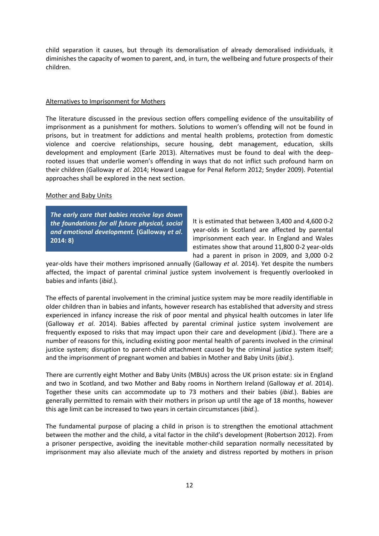child separation it causes, but through its demoralisation of already demoralised individuals, it diminishes the capacity of women to parent, and, in turn, the wellbeing and future prospects of their children.

#### Alternatives to Imprisonment for Mothers

The literature discussed in the previous section offers compelling evidence of the unsuitability of imprisonment as a punishment for mothers. Solutions to women's offending will not be found in prisons, but in treatment for addictions and mental health problems, protection from domestic violence and coercive relationships, secure housing, debt management, education, skills development and employment (Earle 2013). Alternatives must be found to deal with the deeprooted issues that underlie women's offending in ways that do not inflict such profound harm on their children (Galloway *et al*. 2014; Howard League for Penal Reform 2012; Snyder 2009). Potential approaches shall be explored in the next section.

# Mother and Baby Units

*The early care that babies receive lays down the foundations for all future physical, social and emotional development.* **(Galloway** *et al***. 2014: 8)**

It is estimated that between 3,400 and 4,600 0-2 year-olds in Scotland are affected by parental imprisonment each year. In England and Wales estimates show that around 11,800 0-2 year-olds had a parent in prison in 2009, and 3,000 0-2

year-olds have their mothers imprisoned annually (Galloway *et al*. 2014). Yet despite the numbers affected, the impact of parental criminal justice system involvement is frequently overlooked in babies and infants (*ibid*.).

The effects of parental involvement in the criminal justice system may be more readily identifiable in older children than in babies and infants, however research has established that adversity and stress experienced in infancy increase the risk of poor mental and physical health outcomes in later life (Galloway *et al*. 2014). Babies affected by parental criminal justice system involvement are frequently exposed to risks that may impact upon their care and development (*ibid*.). There are a number of reasons for this, including existing poor mental health of parents involved in the criminal justice system; disruption to parent-child attachment caused by the criminal justice system itself; and the imprisonment of pregnant women and babies in Mother and Baby Units (*ibid*.).

There are currently eight Mother and Baby Units (MBUs) across the UK prison estate: six in England and two in Scotland, and two Mother and Baby rooms in Northern Ireland (Galloway *et al*. 2014). Together these units can accommodate up to 73 mothers and their babies (*ibid.*). Babies are generally permitted to remain with their mothers in prison up until the age of 18 months, however this age limit can be increased to two years in certain circumstances (*ibid*.).

The fundamental purpose of placing a child in prison is to strengthen the emotional attachment between the mother and the child, a vital factor in the child's development (Robertson 2012). From a prisoner perspective, avoiding the inevitable mother-child separation normally necessitated by imprisonment may also alleviate much of the anxiety and distress reported by mothers in prison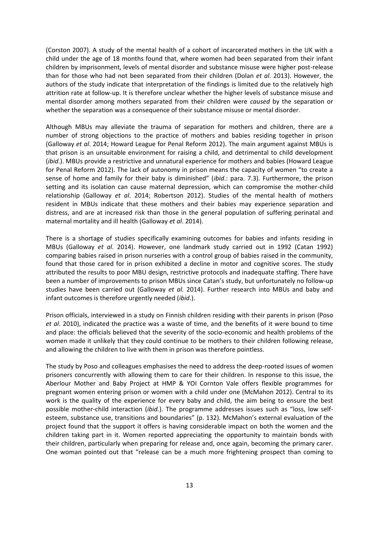(Corston 2007). A study of the mental health of a cohort of incarcerated mothers in the UK with a child under the age of 18 months found that, where women had been separated from their infant children by imprisonment, levels of mental disorder and substance misuse were higher post-release than for those who had not been separated from their children (Dolan *et al*. 2013). However, the authors of the study indicate that interpretation of the findings is limited due to the relatively high attrition rate at follow-up. It is therefore unclear whether the higher levels of substance misuse and mental disorder among mothers separated from their children were *caused* by the separation or whether the separation was a consequence of their substance misuse or mental disorder.

Although MBUs may alleviate the trauma of separation for mothers and children, there are a number of strong objections to the practice of mothers and babies residing together in prison (Galloway *et al*. 2014; Howard League for Penal Reform 2012). The main argument against MBUs is that prison is an unsuitable environment for raising a child, and detrimental to child development (*ibid*.). MBUs provide a restrictive and unnatural experience for mothers and babies (Howard League for Penal Reform 2012). The lack of autonomy in prison means the capacity of women "to create a sense of home and family for their baby is diminished" (*ibid*.: para. 7.3). Furthermore, the prison setting and its isolation can cause maternal depression, which can compromise the mother-child relationship (Galloway *et al*. 2014; Robertson 2012). Studies of the mental health of mothers resident in MBUs indicate that these mothers and their babies may experience separation and distress, and are at increased risk than those in the general population of suffering perinatal and maternal mortality and ill health (Galloway *et al*. 2014).

There is a shortage of studies specifically examining outcomes for babies and infants residing in MBUs (Galloway *et al*. 2014). However, one landmark study carried out in 1992 (Catan 1992) comparing babies raised in prison nurseries with a control group of babies raised in the community, found that those cared for in prison exhibited a decline in motor and cognitive scores. The study attributed the results to poor MBU design, restrictive protocols and inadequate staffing. There have been a number of improvements to prison MBUs since Catan's study, but unfortunately no follow-up studies have been carried out (Galloway *et al.* 2014). Further research into MBUs and baby and infant outcomes is therefore urgently needed (*ibid*.).

Prison officials, interviewed in a study on Finnish children residing with their parents in prison (Poso *et al*. 2010), indicated the practice was a waste of time, and the benefits of it were bound to time and place: the officials believed that the severity of the socio-economic and health problems of the women made it unlikely that they could continue to be mothers to their children following release, and allowing the children to live with them in prison was therefore pointless.

The study by Poso and colleagues emphasises the need to address the deep-rooted issues of women prisoners concurrently with allowing them to care for their children. In response to this issue, the Aberlour Mother and Baby Project at HMP & YOI Cornton Vale offers flexible programmes for pregnant women entering prison or women with a child under one (McMahon 2012). Central to its work is the quality of the experience for every baby and child, the aim being to ensure the best possible mother-child interaction (*ibid.*). The programme addresses issues such as "loss, low selfesteem, substance use, transitions and boundaries" (p. 132). McMahon's external evaluation of the project found that the support it offers is having considerable impact on both the women and the children taking part in it. Women reported appreciating the opportunity to maintain bonds with their children, particularly when preparing for release and, once again, becoming the primary carer. One woman pointed out that "release can be a much more frightening prospect than coming to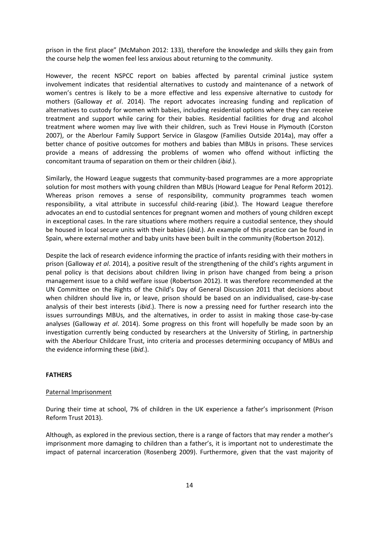prison in the first place" (McMahon 2012: 133), therefore the knowledge and skills they gain from the course help the women feel less anxious about returning to the community.

However, the recent NSPCC report on babies affected by parental criminal justice system involvement indicates that residential alternatives to custody and maintenance of a network of women's centres is likely to be a more effective and less expensive alternative to custody for mothers (Galloway *et al*. 2014). The report advocates increasing funding and replication of alternatives to custody for women with babies, including residential options where they can receive treatment and support while caring for their babies. Residential facilities for drug and alcohol treatment where women may live with their children, such as Trevi House in Plymouth (Corston 2007), or the Aberlour Family Support Service in Glasgow (Families Outside 2014a), may offer a better chance of positive outcomes for mothers and babies than MBUs in prisons. These services provide a means of addressing the problems of women who offend without inflicting the concomitant trauma of separation on them or their children (*ibid*.).

Similarly, the Howard League suggests that community-based programmes are a more appropriate solution for most mothers with young children than MBUs (Howard League for Penal Reform 2012). Whereas prison removes a sense of responsibility, community programmes teach women responsibility, a vital attribute in successful child-rearing (*ibid*.). The Howard League therefore advocates an end to custodial sentences for pregnant women and mothers of young children except in exceptional cases. In the rare situations where mothers require a custodial sentence, they should be housed in local secure units with their babies (*ibid*.). An example of this practice can be found in Spain, where external mother and baby units have been built in the community (Robertson 2012).

Despite the lack of research evidence informing the practice of infants residing with their mothers in prison (Galloway *et al*. 2014), a positive result of the strengthening of the child's rights argument in penal policy is that decisions about children living in prison have changed from being a prison management issue to a child welfare issue (Robertson 2012). It was therefore recommended at the UN Committee on the Rights of the Child's Day of General Discussion 2011 that decisions about when children should live in, or leave, prison should be based on an individualised, case-by-case analysis of their best interests (*ibid*.). There is now a pressing need for further research into the issues surroundings MBUs, and the alternatives, in order to assist in making those case-by-case analyses (Galloway *et al*. 2014). Some progress on this front will hopefully be made soon by an investigation currently being conducted by researchers at the University of Stirling, in partnership with the Aberlour Childcare Trust, into criteria and processes determining occupancy of MBUs and the evidence informing these (*ibid*.).

#### **FATHERS**

### Paternal Imprisonment

During their time at school, 7% of children in the UK experience a father's imprisonment (Prison Reform Trust 2013).

Although, as explored in the previous section, there is a range of factors that may render a mother's imprisonment more damaging to children than a father's, it is important not to underestimate the impact of paternal incarceration (Rosenberg 2009). Furthermore, given that the vast majority of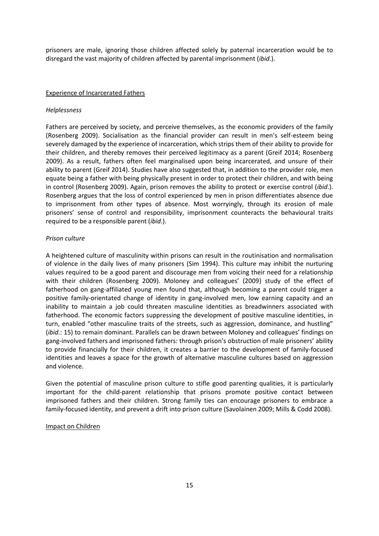prisoners are male, ignoring those children affected solely by paternal incarceration would be to disregard the vast majority of children affected by parental imprisonment (*ibid*.).

### Experience of Incarcerated Fathers

#### *Helplessness*

Fathers are perceived by society, and perceive themselves, as the economic providers of the family (Rosenberg 2009). Socialisation as the financial provider can result in men's self-esteem being severely damaged by the experience of incarceration, which strips them of their ability to provide for their children, and thereby removes their perceived legitimacy as a parent (Greif 2014; Rosenberg 2009). As a result, fathers often feel marginalised upon being incarcerated, and unsure of their ability to parent (Greif 2014). Studies have also suggested that, in addition to the provider role, men equate being a father with being physically present in order to protect their children, and with being in control (Rosenberg 2009). Again, prison removes the ability to protect or exercise control (*ibid*.). Rosenberg argues that the loss of control experienced by men in prison differentiates absence due to imprisonment from other types of absence. Most worryingly, through its erosion of male prisoners' sense of control and responsibility, imprisonment counteracts the behavioural traits required to be a responsible parent (*ibid*.).

# *Prison culture*

A heightened culture of masculinity within prisons can result in the routinisation and normalisation of violence in the daily lives of many prisoners (Sim 1994). This culture may inhibit the nurturing values required to be a good parent and discourage men from voicing their need for a relationship with their children (Rosenberg 2009). Moloney and colleagues' (2009) study of the effect of fatherhood on gang-affiliated young men found that, although becoming a parent could trigger a positive family-orientated change of identity in gang-involved men, low earning capacity and an inability to maintain a job could threaten masculine identities as breadwinners associated with fatherhood. The economic factors suppressing the development of positive masculine identities, in turn, enabled "other masculine traits of the streets, such as aggression, dominance, and hustling" (*ibid*.: 15) to remain dominant. Parallels can be drawn between Moloney and colleagues' findings on gang-involved fathers and imprisoned fathers: through prison's obstruction of male prisoners' ability to provide financially for their children, it creates a barrier to the development of family-focused identities and leaves a space for the growth of alternative masculine cultures based on aggression and violence.

Given the potential of masculine prison culture to stifle good parenting qualities, it is particularly important for the child-parent relationship that prisons promote positive contact between imprisoned fathers and their children. Strong family ties can encourage prisoners to embrace a family-focused identity, and prevent a drift into prison culture (Savolainen 2009; Mills & Codd 2008).

#### Impact on Children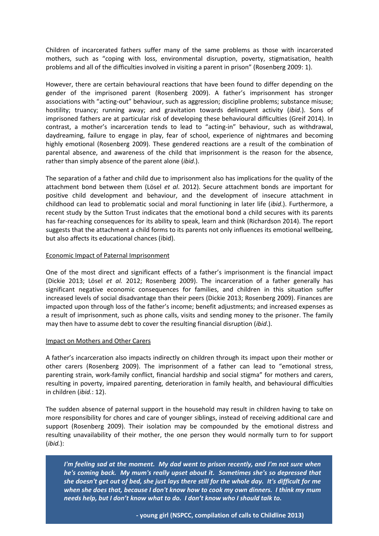Children of incarcerated fathers suffer many of the same problems as those with incarcerated mothers, such as "coping with loss, environmental disruption, poverty, stigmatisation, health problems and all of the difficulties involved in visiting a parent in prison" (Rosenberg 2009: 1).

However, there are certain behavioural reactions that have been found to differ depending on the gender of the imprisoned parent (Rosenberg 2009). A father's imprisonment has stronger associations with "acting-out" behaviour, such as aggression; discipline problems; substance misuse; hostility; truancy; running away; and gravitation towards delinquent activity (*ibid*.). Sons of imprisoned fathers are at particular risk of developing these behavioural difficulties (Greif 2014). In contrast, a mother's incarceration tends to lead to "acting-in" behaviour, such as withdrawal, daydreaming, failure to engage in play, fear of school, experience of nightmares and becoming highly emotional (Rosenberg 2009). These gendered reactions are a result of the combination of parental absence, and awareness of the child that imprisonment is the reason for the absence, rather than simply absence of the parent alone (*ibid*.).

The separation of a father and child due to imprisonment also has implications for the quality of the attachment bond between them (Lösel *et al*. 2012). Secure attachment bonds are important for positive child development and behaviour, and the development of insecure attachment in childhood can lead to problematic social and moral functioning in later life (*ibid*.). Furthermore, a recent study by the Sutton Trust indicates that the emotional bond a child secures with its parents has far-reaching consequences for its ability to speak, learn and think (Richardson 2014). The report suggests that the attachment a child forms to its parents not only influences its emotional wellbeing, but also affects its educational chances (ibid).

# Economic Impact of Paternal Imprisonment

One of the most direct and significant effects of a father's imprisonment is the financial impact (Dickie 2013; Lösel *et al.* 2012; Rosenberg 2009). The incarceration of a father generally has significant negative economic consequences for families, and children in this situation suffer increased levels of social disadvantage than their peers (Dickie 2013; Rosenberg 2009). Finances are impacted upon through loss of the father's income; benefit adjustments; and increased expenses as a result of imprisonment, such as phone calls, visits and sending money to the prisoner. The family may then have to assume debt to cover the resulting financial disruption (*ibid*.).

# Impact on Mothers and Other Carers

A father's incarceration also impacts indirectly on children through its impact upon their mother or other carers (Rosenberg 2009). The imprisonment of a father can lead to "emotional stress, parenting strain, work-family conflict, financial hardship and social stigma" for mothers and carers, resulting in poverty, impaired parenting, deterioration in family health, and behavioural difficulties in children (*ibid.*: 12).

The sudden absence of paternal support in the household may result in children having to take on more responsibility for chores and care of younger siblings, instead of receiving additional care and support (Rosenberg 2009). Their isolation may be compounded by the emotional distress and resulting unavailability of their mother, the one person they would normally turn to for support (*ibid.*):

16 *when she does that, because I don't know how to cook my own dinners. I think my mum I'm feeling sad at the moment. My dad went to prison recently, and I'm not sure when he's coming back. My mum's really upset about it. Sometimes she's so depressed that she doesn't get out of bed, she just lays there still for the whole day. It's difficult for me needs help, but I don't know what to do. I don't know who I should talk to.*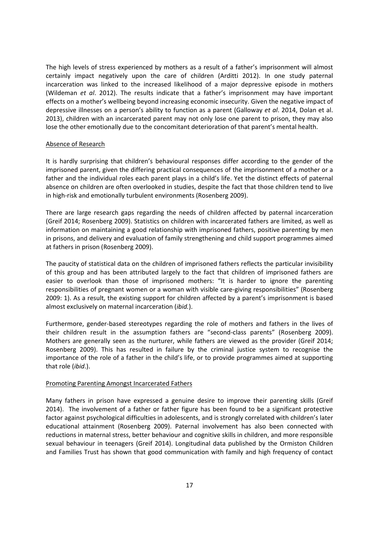The high levels of stress experienced by mothers as a result of a father's imprisonment will almost certainly impact negatively upon the care of children (Arditti 2012). In one study paternal incarceration was linked to the increased likelihood of a major depressive episode in mothers (Wildeman *et al*. 2012). The results indicate that a father's imprisonment may have important effects on a mother's wellbeing beyond increasing economic insecurity. Given the negative impact of depressive illnesses on a person's ability to function as a parent (Galloway *et al*. 2014, Dolan et al. 2013), children with an incarcerated parent may not only lose one parent to prison, they may also lose the other emotionally due to the concomitant deterioration of that parent's mental health.

# Absence of Research

It is hardly surprising that children's behavioural responses differ according to the gender of the imprisoned parent, given the differing practical consequences of the imprisonment of a mother or a father and the individual roles each parent plays in a child's life. Yet the distinct effects of paternal absence on children are often overlooked in studies, despite the fact that those children tend to live in high-risk and emotionally turbulent environments (Rosenberg 2009).

There are large research gaps regarding the needs of children affected by paternal incarceration (Greif 2014; Rosenberg 2009). Statistics on children with incarcerated fathers are limited, as well as information on maintaining a good relationship with imprisoned fathers, positive parenting by men in prisons, and delivery and evaluation of family strengthening and child support programmes aimed at fathers in prison (Rosenberg 2009).

The paucity of statistical data on the children of imprisoned fathers reflects the particular invisibility of this group and has been attributed largely to the fact that children of imprisoned fathers are easier to overlook than those of imprisoned mothers: "It is harder to ignore the parenting responsibilities of pregnant women or a woman with visible care-giving responsibilities" (Rosenberg 2009: 1). As a result, the existing support for children affected by a parent's imprisonment is based almost exclusively on maternal incarceration (*ibid.*).

Furthermore, gender-based stereotypes regarding the role of mothers and fathers in the lives of their children result in the assumption fathers are "second-class parents" (Rosenberg 2009). Mothers are generally seen as the nurturer, while fathers are viewed as the provider (Greif 2014; Rosenberg 2009). This has resulted in failure by the criminal justice system to recognise the importance of the role of a father in the child's life, or to provide programmes aimed at supporting that role (*ibid*.).

# Promoting Parenting Amongst Incarcerated Fathers

Many fathers in prison have expressed a genuine desire to improve their parenting skills (Greif 2014). The involvement of a father or father figure has been found to be a significant protective factor against psychological difficulties in adolescents, and is strongly correlated with children's later educational attainment (Rosenberg 2009). Paternal involvement has also been connected with reductions in maternal stress, better behaviour and cognitive skills in children, and more responsible sexual behaviour in teenagers (Greif 2014). Longitudinal data published by the Ormiston Children and Families Trust has shown that good communication with family and high frequency of contact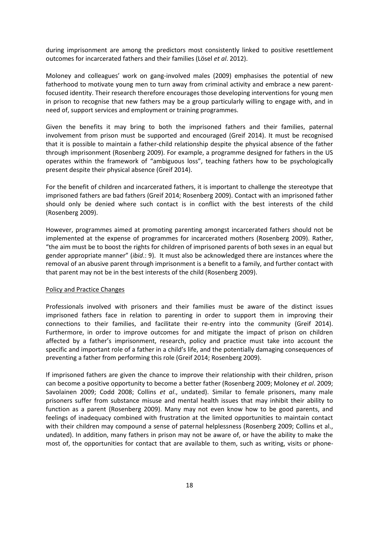during imprisonment are among the predictors most consistently linked to positive resettlement outcomes for incarcerated fathers and their families (Lösel *et al*. 2012).

Moloney and colleagues' work on gang-involved males (2009) emphasises the potential of new fatherhood to motivate young men to turn away from criminal activity and embrace a new parentfocused identity. Their research therefore encourages those developing interventions for young men in prison to recognise that new fathers may be a group particularly willing to engage with, and in need of, support services and employment or training programmes.

Given the benefits it may bring to both the imprisoned fathers and their families, paternal involvement from prison must be supported and encouraged (Greif 2014). It must be recognised that it is possible to maintain a father-child relationship despite the physical absence of the father through imprisonment (Rosenberg 2009). For example, a programme designed for fathers in the US operates within the framework of "ambiguous loss", teaching fathers how to be psychologically present despite their physical absence (Greif 2014).

For the benefit of children and incarcerated fathers, it is important to challenge the stereotype that imprisoned fathers are bad fathers (Greif 2014; Rosenberg 2009). Contact with an imprisoned father should only be denied where such contact is in conflict with the best interests of the child (Rosenberg 2009).

However, programmes aimed at promoting parenting amongst incarcerated fathers should not be implemented at the expense of programmes for incarcerated mothers (Rosenberg 2009). Rather, "the aim must be to boost the rights for children of imprisoned parents of both sexes in an equal but gender appropriate manner" (*ibid*.: 9). It must also be acknowledged there are instances where the removal of an abusive parent through imprisonment is a benefit to a family, and further contact with that parent may not be in the best interests of the child (Rosenberg 2009).

#### Policy and Practice Changes

Professionals involved with prisoners and their families must be aware of the distinct issues imprisoned fathers face in relation to parenting in order to support them in improving their connections to their families, and facilitate their re-entry into the community (Greif 2014). Furthermore, in order to improve outcomes for and mitigate the impact of prison on children affected by a father's imprisonment, research, policy and practice must take into account the specific and important role of a father in a child's life, and the potentially damaging consequences of preventing a father from performing this role (Greif 2014; Rosenberg 2009).

If imprisoned fathers are given the chance to improve their relationship with their children, prison can become a positive opportunity to become a better father (Rosenberg 2009; Moloney *et al*. 2009; Savolainen 2009; Codd 2008; Collins *et al*., undated). Similar to female prisoners, many male prisoners suffer from substance misuse and mental health issues that may inhibit their ability to function as a parent (Rosenberg 2009). Many may not even know how to be good parents, and feelings of inadequacy combined with frustration at the limited opportunities to maintain contact with their children may compound a sense of paternal helplessness (Rosenberg 2009; Collins et al., undated). In addition, many fathers in prison may not be aware of, or have the ability to make the most of, the opportunities for contact that are available to them, such as writing, visits or phone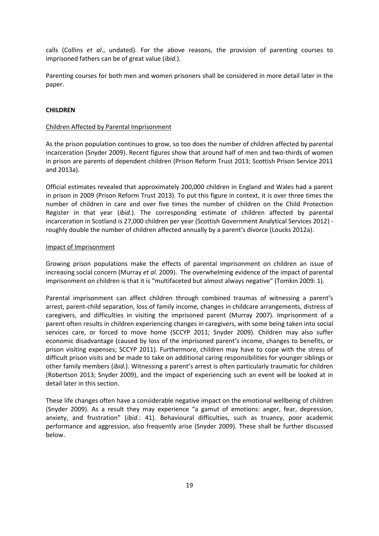calls (Collins *et al*., undated). For the above reasons, the provision of parenting courses to imprisoned fathers can be of great value (*ibid*.).

Parenting courses for both men and women prisoners shall be considered in more detail later in the paper.

# **CHILDREN**

# Children Affected by Parental Imprisonment

As the prison population continues to grow, so too does the number of children affected by parental incarceration (Snyder 2009). Recent figures show that around half of men and two-thirds of women in prison are parents of dependent children (Prison Reform Trust 2013; Scottish Prison Service 2011 and 2013a).

Official estimates revealed that approximately 200,000 children in England and Wales had a parent in prison in 2009 (Prison Reform Trust 2013). To put this figure in context, it is over three times the number of children in care and over five times the number of children on the Child Protection Register in that year (*ibid*.). The corresponding estimate of children affected by parental incarceration in Scotland is 27,000 children per year (Scottish Government Analytical Services 2012) roughly double the number of children affected annually by a parent's divorce (Loucks 2012a).

# Impact of Imprisonment

Growing prison populations make the effects of parental imprisonment on children an issue of increasing social concern (Murray *et al*. 2009). The overwhelming evidence of the impact of parental imprisonment on children is that it is "multifaceted but almost always negative" (Tomkin 2009: 1).

Parental imprisonment can affect children through combined traumas of witnessing a parent's arrest, parent-child separation, loss of family income, changes in childcare arrangements, distress of caregivers, and difficulties in visiting the imprisoned parent (Murray 2007). Imprisonment of a parent often results in children experiencing changes in caregivers, with some being taken into social services care, or forced to move home (SCCYP 2011; Snyder 2009). Children may also suffer economic disadvantage (caused by loss of the imprisoned parent's income, changes to benefits, or prison visiting expenses; SCCYP 2011). Furthermore, children may have to cope with the stress of difficult prison visits and be made to take on additional caring responsibilities for younger siblings or other family members (*ibid*.). Witnessing a parent's arrest is often particularly traumatic for children (Robertson 2013; Snyder 2009), and the impact of experiencing such an event will be looked at in detail later in this section.

These life changes often have a considerable negative impact on the emotional wellbeing of children (Snyder 2009). As a result they may experience "a gamut of emotions: anger, fear, depression, anxiety, and frustration" (*ibid*.: 41). Behavioural difficulties, such as truancy, poor academic performance and aggression, also frequently arise (Snyder 2009). These shall be further discussed below.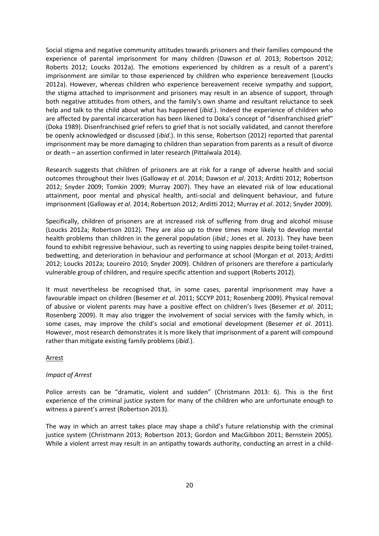Social stigma and negative community attitudes towards prisoners and their families compound the experience of parental imprisonment for many children (Dawson *et al*. 2013; Robertson 2012; Roberts 2012; Loucks 2012a). The emotions experienced by children as a result of a parent's imprisonment are similar to those experienced by children who experience bereavement (Loucks 2012a). However, whereas children who experience bereavement receive sympathy and support, the stigma attached to imprisonment and prisoners may result in an absence of support, through both negative attitudes from others, and the family's own shame and resultant reluctance to seek help and talk to the child about what has happened (*ibid*.). Indeed the experience of children who are affected by parental incarceration has been likened to Doka's concept of "disenfranchised grief" (Doka 1989). Disenfranchised grief refers to grief that is not socially validated, and cannot therefore be openly acknowledged or discussed (*ibid*.). In this sense, Robertson (2012) reported that parental imprisonment may be more damaging to children than separation from parents as a result of divorce or death – an assertion confirmed in later research (Pittalwala 2014).

Research suggests that children of prisoners are at risk for a range of adverse health and social outcomes throughout their lives (Galloway *et al*. 2014; Dawson *et al*. 2013; Arditti 2012; Robertson 2012; Snyder 2009; Tomkin 2009; Murray 2007). They have an elevated risk of low educational attainment, poor mental and physical health, anti-social and delinquent behaviour, and future imprisonment (Galloway *et al*. 2014; Robertson 2012; Arditti 2012; Murray *et al*. 2012; Snyder 2009).

Specifically, children of prisoners are at increased risk of suffering from drug and alcohol misuse (Loucks 2012a; Robertson 2012). They are also up to three times more likely to develop mental health problems than children in the general population (*ibid*.; Jones et al. 2013). They have been found to exhibit regressive behaviour, such as reverting to using nappies despite being toilet-trained, bedwetting, and deterioration in behaviour and performance at school (Morgan *et al*. 2013; Arditti 2012; Loucks 2012a; Loureiro 2010; Snyder 2009). Children of prisoners are therefore a particularly vulnerable group of children, and require specific attention and support (Roberts 2012).

It must nevertheless be recognised that, in some cases, parental imprisonment may have a favourable impact on children (Besemer *et al*. 2011; SCCYP 2011; Rosenberg 2009). Physical removal of abusive or violent parents may have a positive effect on children's lives (Besemer *et al*. 2011; Rosenberg 2009). It may also trigger the involvement of social services with the family which, in some cases, may improve the child's social and emotional development (Besemer *et al*. 2011). However, most research demonstrates it is more likely that imprisonment of a parent will compound rather than mitigate existing family problems (*ibid*.).

#### Arrest

#### *Impact of Arrest*

Police arrests can be "dramatic, violent and sudden" (Christmann 2013: 6). This is the first experience of the criminal justice system for many of the children who are unfortunate enough to witness a parent's arrest (Robertson 2013).

The way in which an arrest takes place may shape a child's future relationship with the criminal justice system (Christmann 2013; Robertson 2013; Gordon and MacGibbon 2011; Bernstein 2005). While a violent arrest may result in an antipathy towards authority, conducting an arrest in a child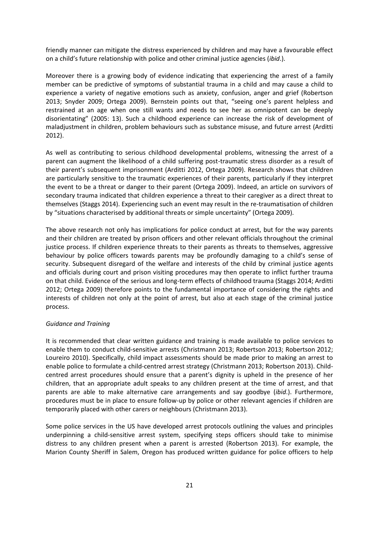friendly manner can mitigate the distress experienced by children and may have a favourable effect on a child's future relationship with police and other criminal justice agencies (*ibid*.).

Moreover there is a growing body of evidence indicating that experiencing the arrest of a family member can be predictive of symptoms of substantial trauma in a child and may cause a child to experience a variety of negative emotions such as anxiety, confusion, anger and grief (Robertson 2013; Snyder 2009; Ortega 2009). Bernstein points out that, "seeing one's parent helpless and restrained at an age when one still wants and needs to see her as omnipotent can be deeply disorientating" (2005: 13). Such a childhood experience can increase the risk of development of maladjustment in children, problem behaviours such as substance misuse, and future arrest (Arditti 2012).

As well as contributing to serious childhood developmental problems, witnessing the arrest of a parent can augment the likelihood of a child suffering post-traumatic stress disorder as a result of their parent's subsequent imprisonment (Arditti 2012, Ortega 2009). Research shows that children are particularly sensitive to the traumatic experiences of their parents, particularly if they interpret the event to be a threat or danger to their parent (Ortega 2009). Indeed, an article on survivors of secondary trauma indicated that children experience a threat to their caregiver as a direct threat to themselves (Staggs 2014). Experiencing such an event may result in the re-traumatisation of children by "situations characterised by additional threats or simple uncertainty" (Ortega 2009).

The above research not only has implications for police conduct at arrest, but for the way parents and their children are treated by prison officers and other relevant officials throughout the criminal justice process. If children experience threats to their parents as threats to themselves, aggressive behaviour by police officers towards parents may be profoundly damaging to a child's sense of security. Subsequent disregard of the welfare and interests of the child by criminal justice agents and officials during court and prison visiting procedures may then operate to inflict further trauma on that child. Evidence of the serious and long-term effects of childhood trauma (Staggs 2014; Arditti 2012; Ortega 2009) therefore points to the fundamental importance of considering the rights and interests of children not only at the point of arrest, but also at each stage of the criminal justice process.

### *Guidance and Training*

It is recommended that clear written guidance and training is made available to police services to enable them to conduct child-sensitive arrests (Christmann 2013; Robertson 2013; Robertson 2012; Loureiro 2010). Specifically, child impact assessments should be made prior to making an arrest to enable police to formulate a child-centred arrest strategy (Christmann 2013; Robertson 2013). Childcentred arrest procedures should ensure that a parent's dignity is upheld in the presence of her children, that an appropriate adult speaks to any children present at the time of arrest, and that parents are able to make alternative care arrangements and say goodbye (*ibid*.). Furthermore, procedures must be in place to ensure follow-up by police or other relevant agencies if children are temporarily placed with other carers or neighbours (Christmann 2013).

Some police services in the US have developed arrest protocols outlining the values and principles underpinning a child-sensitive arrest system, specifying steps officers should take to minimise distress to any children present when a parent is arrested (Robertson 2013). For example, the Marion County Sheriff in Salem, Oregon has produced written guidance for police officers to help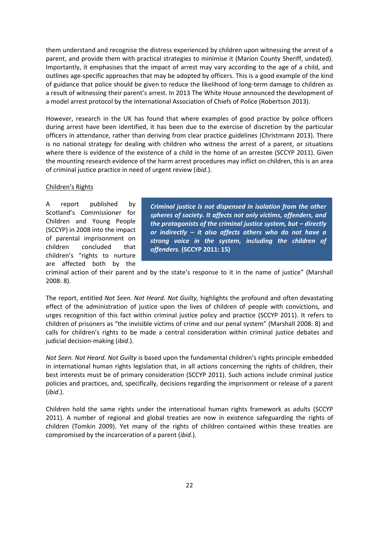them understand and recognise the distress experienced by children upon witnessing the arrest of a parent, and provide them with practical strategies to minimise it (Marion County Sheriff, undated). Importantly, it emphasises that the impact of arrest may vary according to the age of a child, and outlines age-specific approaches that may be adopted by officers. This is a good example of the kind of guidance that police should be given to reduce the likelihood of long-term damage to children as a result of witnessing their parent's arrest. In 2013 The White House announced the development of a model arrest protocol by the International Association of Chiefs of Police (Robertson 2013).

However, research in the UK has found that where examples of good practice by police officers during arrest have been identified, it has been due to the exercise of discretion by the particular officers in attendance, rather than deriving from clear practice guidelines (Christmann 2013). There is no national strategy for dealing with children who witness the arrest of a parent, or situations where there is evidence of the existence of a child in the home of an arrestee (SCCYP 2011). Given the mounting research evidence of the harm arrest procedures may inflict on children, this is an area of criminal justice practice in need of urgent review (*ibid*.).

# Children's Rights

A report published by Scotland's Commissioner for Children and Young People (SCCYP) in 2008 into the impact of parental imprisonment on children concluded that children's "rights to nurture are affected both by the

*Criminal justice is not dispensed in isolation from the other spheres of society. It affects not only victims, offenders, and the protagonists of the criminal justice system, but – directly or indirectly – it also affects others who do not have a strong voice in the system, including the children of offenders.* **(SCCYP 2011: 15)**

criminal action of their parent and by the state's response to it in the name of justice" (Marshall 2008: 8).

The report, entitled *Not Seen. Not Heard. Not Guilty,* highlights the profound and often devastating effect of the administration of justice upon the lives of children of people with convictions, and urges recognition of this fact within criminal justice policy and practice (SCCYP 2011). It refers to children of prisoners as "the invisible victims of crime and our penal system" (Marshall 2008: 8) and calls for children's rights to be made a central consideration within criminal justice debates and judicial decision-making (*ibid*.).

*Not Seen. Not Heard. Not Guilty* is based upon the fundamental children's rights principle embedded in international human rights legislation that, in all actions concerning the rights of children, their best interests must be of primary consideration (SCCYP 2011). Such actions include criminal justice policies and practices, and, specifically, decisions regarding the imprisonment or release of a parent (*ibid*.).

Children hold the same rights under the international human rights framework as adults (SCCYP 2011). A number of regional and global treaties are now in existence safeguarding the rights of children (Tomkin 2009). Yet many of the rights of children contained within these treaties are compromised by the incarceration of a parent (*ibid*.).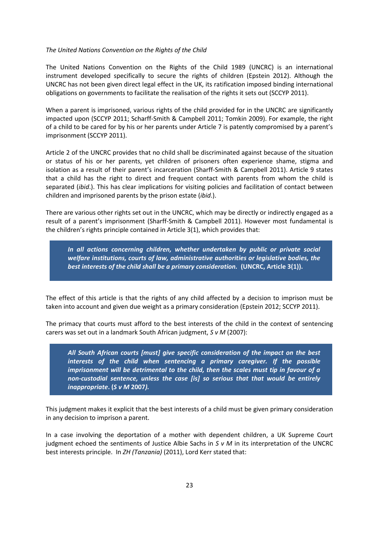### *The United Nations Convention on the Rights of the Child*

The United Nations Convention on the Rights of the Child 1989 (UNCRC) is an international instrument developed specifically to secure the rights of children (Epstein 2012). Although the UNCRC has not been given direct legal effect in the UK, its ratification imposed binding international obligations on governments to facilitate the realisation of the rights it sets out (SCCYP 2011).

When a parent is imprisoned, various rights of the child provided for in the UNCRC are significantly impacted upon (SCCYP 2011; Scharff-Smith & Campbell 2011; Tomkin 2009). For example, the right of a child to be cared for by his or her parents under Article 7 is patently compromised by a parent's imprisonment (SCCYP 2011).

Article 2 of the UNCRC provides that no child shall be discriminated against because of the situation or status of his or her parents, yet children of prisoners often experience shame, stigma and isolation as a result of their parent's incarceration (Sharff-Smith & Campbell 2011). Article 9 states that a child has the right to direct and frequent contact with parents from whom the child is separated (*ibid*.). This has clear implications for visiting policies and facilitation of contact between children and imprisoned parents by the prison estate (*ibid*.).

There are various other rights set out in the UNCRC, which may be directly or indirectly engaged as a result of a parent's imprisonment (Sharff-Smith & Campbell 2011). However most fundamental is the children's rights principle contained in Article 3(1), which provides that:

*In all actions concerning children, whether undertaken by public or private social welfare institutions, courts of law, administrative authorities or legislative bodies, the best interests of the child shall be a primary consideration.* **(UNCRC, Article 3(1)).**

The effect of this article is that the rights of any child affected by a decision to imprison must be taken into account and given due weight as a primary consideration (Epstein 2012; SCCYP 2011).

The primacy that courts must afford to the best interests of the child in the context of sentencing carers was set out in a landmark South African judgment, *S v M* (2007):

*All South African courts [must] give specific consideration of the impact on the best interests of the child when sentencing a primary caregiver. If the possible imprisonment will be detrimental to the child, then the scales must tip in favour of a non-custodial sentence, unless the case [is] so serious that that would be entirely inappropriate***. (***S v M* **2007***).*

This judgment makes it explicit that the best interests of a child must be given primary consideration in any decision to imprison a parent.

In a case involving the deportation of a mother with dependent children, a UK Supreme Court judgment echoed the sentiments of Justice Albie Sachs in *S v M* in its interpretation of the UNCRC best interests principle. In *ZH (Tanzania)* (2011), Lord Kerr stated that: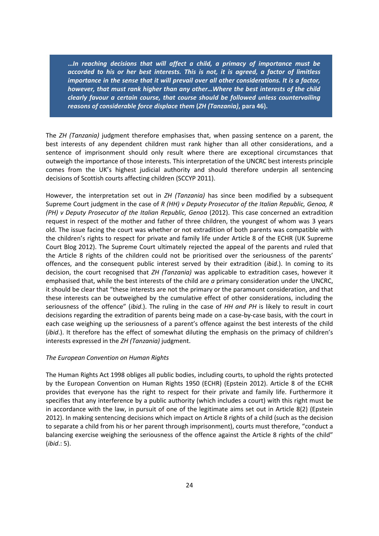**…***In reaching decisions that will affect a child, a primacy of importance must be accorded to his or her best interests. This is not, it is agreed, a factor of limitless importance in the sense that it will prevail over all other considerations. It is a factor, however, that must rank higher than any other…Where the best interests of the child clearly favour a certain course, that course should be followed unless countervailing reasons of considerable force displace them* **(***ZH (Tanzania)***, para 46).**

The *ZH (Tanzania)* judgment therefore emphasises that, when passing sentence on a parent, the best interests of any dependent children must rank higher than all other considerations, and a sentence of imprisonment should only result where there are exceptional circumstances that outweigh the importance of those interests. This interpretation of the UNCRC best interests principle comes from the UK's highest judicial authority and should therefore underpin all sentencing decisions of Scottish courts affecting children (SCCYP 2011).

However, the interpretation set out in *ZH (Tanzania)* has since been modified by a subsequent Supreme Court judgment in the case of *R (HH) v Deputy Prosecutor of the Italian Republic, Genoa, R (PH) v Deputy Prosecutor of the Italian Republic, Genoa* (2012). This case concerned an extradition request in respect of the mother and father of three children, the youngest of whom was 3 years old. The issue facing the court was whether or not extradition of both parents was compatible with the children's rights to respect for private and family life under Article 8 of the ECHR (UK Supreme Court Blog 2012). The Supreme Court ultimately rejected the appeal of the parents and ruled that the Article 8 rights of the children could not be prioritised over the seriousness of the parents' offences, and the consequent public interest served by their extradition (*ibid*.). In coming to its decision, the court recognised that *ZH (Tanzania)* was applicable to extradition cases, however it emphasised that, while the best interests of the child are *a* primary consideration under the UNCRC, it should be clear that "these interests are not the primary or the paramount consideration, and that these interests can be outweighed by the cumulative effect of other considerations, including the seriousness of the offence" (*ibid*.). The ruling in the case of *HH and PH* is likely to result in court decisions regarding the extradition of parents being made on a case-by-case basis, with the court in each case weighing up the seriousness of a parent's offence against the best interests of the child (*ibid*.). It therefore has the effect of somewhat diluting the emphasis on the primacy of children's interests expressed in the *ZH (Tanzania)* judgment.

# *The European Convention on Human Rights*

The Human Rights Act 1998 obliges all public bodies, including courts, to uphold the rights protected by the European Convention on Human Rights 1950 (ECHR) (Epstein 2012). Article 8 of the ECHR provides that everyone has the right to respect for their private and family life. Furthermore it specifies that any interference by a public authority (which includes a court) with this right must be in accordance with the law, in pursuit of one of the legitimate aims set out in Article 8(2) (Epstein 2012). In making sentencing decisions which impact on Article 8 rights of a child (such as the decision to separate a child from his or her parent through imprisonment), courts must therefore, "conduct a balancing exercise weighing the seriousness of the offence against the Article 8 rights of the child" (*ibid*.: 5).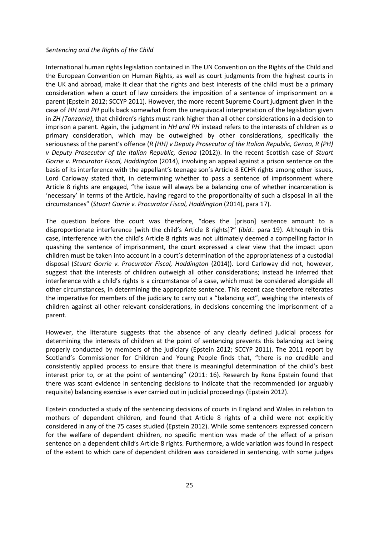### *Sentencing and the Rights of the Child*

International human rights legislation contained in The UN Convention on the Rights of the Child and the European Convention on Human Rights, as well as court judgments from the highest courts in the UK and abroad, make it clear that the rights and best interests of the child must be a primary consideration when a court of law considers the imposition of a sentence of imprisonment on a parent (Epstein 2012; SCCYP 2011). However, the more recent Supreme Court judgment given in the case of *HH and PH* pulls back somewhat from the unequivocal interpretation of the legislation given in *ZH (Tanzania)*, that children's rights must rank higher than all other considerations in a decision to imprison a parent. Again, the judgment in *HH and PH* instead refers to the interests of children as *a* primary consideration, which may be outweighed by other considerations, specifically the seriousness of the parent's offence (*R (HH) v Deputy Prosecutor of the Italian Republic, Genoa, R (PH) v Deputy Prosecutor of the Italian Republic, Genoa* (2012)). In the recent Scottish case of *Stuart Gorrie v. Procurator Fiscal, Haddington* (2014), involving an appeal against a prison sentence on the basis of its interference with the appellant's teenage son's Article 8 ECHR rights among other issues, Lord Carloway stated that, in determining whether to pass a sentence of imprisonment where Article 8 rights are engaged, "the issue will always be a balancing one of whether incarceration is 'necessary' in terms of the Article, having regard to the proportionality of such a disposal in all the circumstances" (*Stuart Gorrie v. Procurator Fiscal, Haddington* (2014), para 17).

The question before the court was therefore, "does the [prison] sentence amount to a disproportionate interference [with the child's Article 8 rights]?" (*ibid*.: para 19). Although in this case, interference with the child's Article 8 rights was not ultimately deemed a compelling factor in quashing the sentence of imprisonment, the court expressed a clear view that the impact upon children must be taken into account in a court's determination of the appropriateness of a custodial disposal (*Stuart Gorrie v. Procurator Fiscal, Haddington* (2014)). Lord Carloway did not, however, suggest that the interests of children outweigh all other considerations; instead he inferred that interference with a child's rights is a circumstance of a case, which must be considered alongside all other circumstances, in determining the appropriate sentence. This recent case therefore reiterates the imperative for members of the judiciary to carry out a "balancing act", weighing the interests of children against all other relevant considerations, in decisions concerning the imprisonment of a parent.

However, the literature suggests that the absence of any clearly defined judicial process for determining the interests of children at the point of sentencing prevents this balancing act being properly conducted by members of the judiciary (Epstein 2012; SCCYP 2011). The 2011 report by Scotland's Commissioner for Children and Young People finds that, "there is no credible and consistently applied process to ensure that there is meaningful determination of the child's best interest prior to, or at the point of sentencing" (2011: 16). Research by Rona Epstein found that there was scant evidence in sentencing decisions to indicate that the recommended (or arguably requisite) balancing exercise is ever carried out in judicial proceedings (Epstein 2012).

Epstein conducted a study of the sentencing decisions of courts in England and Wales in relation to mothers of dependent children, and found that Article 8 rights of a child were not explicitly considered in any of the 75 cases studied (Epstein 2012). While some sentencers expressed concern for the welfare of dependent children, no specific mention was made of the effect of a prison sentence on a dependent child's Article 8 rights. Furthermore, a wide variation was found in respect of the extent to which care of dependent children was considered in sentencing, with some judges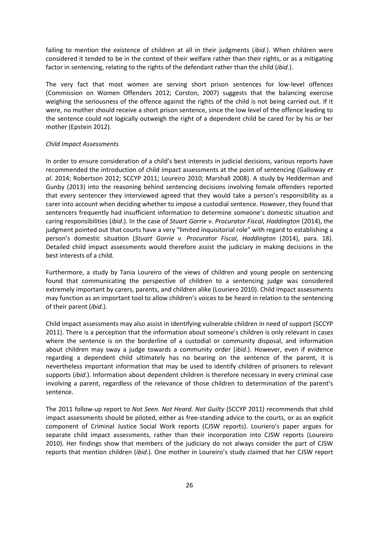failing to mention the existence of children at all in their judgments (*ibid*.). When children were considered it tended to be in the context of their welfare rather than their rights, or as a mitigating factor in sentencing, relating to the rights of the defendant rather than the child (*ibid*.).

The very fact that most women are serving short prison sentences for low-level offences (Commission on Women Offenders 2012; Corston, 2007) suggests that the balancing exercise weighing the seriousness of the offence against the rights of the child is not being carried out. If it were, no mother should receive a short prison sentence, since the low level of the offence leading to the sentence could not logically outweigh the right of a dependent child be cared for by his or her mother (Epstein 2012).

### *Child Impact Assessments*

In order to ensure consideration of a child's best interests in judicial decisions, various reports have recommended the introduction of child impact assessments at the point of sentencing (Galloway *et al*. 2014; Robertson 2012; SCCYP 2011; Loureiro 2010; Marshall 2008). A study by Hedderman and Gunby (2013) into the reasoning behind sentencing decisions involving female offenders reported that every sentencer they interviewed agreed that they would take a person's responsibility as a carer into account when deciding whether to impose a custodial sentence. However, they found that sentencers frequently had insufficient information to determine someone's domestic situation and caring responsibilities (*ibid*.). In the case of *Stuart Gorrie v. Procurator Fiscal, Haddington* (2014), the judgment pointed out that courts have a very "limited inquisitorial role" with regard to establishing a person's domestic situation (*Stuart Gorrie v. Procurator Fiscal, Haddington* (2014), para. 18). Detailed child impact assessments would therefore assist the judiciary in making decisions in the best interests of a child.

Furthermore, a study by Tania Loureiro of the views of children and young people on sentencing found that communicating the perspective of children to a sentencing judge was considered extremely important by carers, parents, and children alike (Louriero 2010). Child impact assessments may function as an important tool to allow children's voices to be heard in relation to the sentencing of their parent (*ibid*.).

Child impact assessments may also assist in identifying vulnerable children in need of support (SCCYP 2011). There is a perception that the information about someone's children is only relevant in cases where the sentence is on the borderline of a custodial or community disposal, and information about children may sway a judge towards a community order (*ibid*.). However, even if evidence regarding a dependent child ultimately has no bearing on the sentence of the parent, it is nevertheless important information that may be used to identify children of prisoners to relevant supports (*ibid*.). Information about dependent children is therefore necessary in every criminal case involving a parent, regardless of the relevance of those children to determination of the parent's sentence.

The 2011 follow-up report to *Not Seen. Not Heard. Not Guilty* (SCCYP 2011) recommends that child impact assessments should be piloted, either as free-standing advice to the courts, or as an explicit component of Criminal Justice Social Work reports (CJSW reports). Louriero's paper argues for separate child impact assessments, rather than their incorporation into CJSW reports (Loureiro 2010). Her findings show that members of the judiciary do not always consider the part of CJSW reports that mention children (*ibid*.). One mother in Loureiro's study claimed that her CJSW report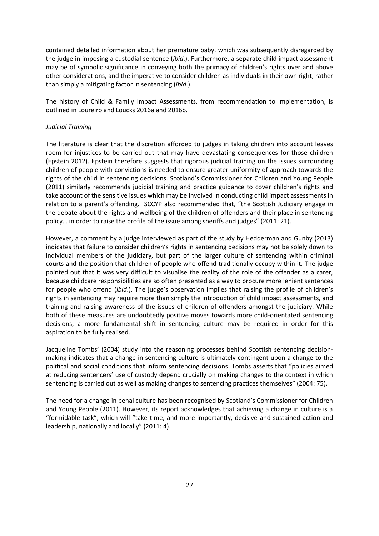contained detailed information about her premature baby, which was subsequently disregarded by the judge in imposing a custodial sentence (*ibid*.). Furthermore, a separate child impact assessment may be of symbolic significance in conveying both the primacy of children's rights over and above other considerations, and the imperative to consider children as individuals in their own right, rather than simply a mitigating factor in sentencing (*ibid*.).

The history of Child & Family Impact Assessments, from recommendation to implementation, is outlined in Loureiro and Loucks 2016a and 2016b.

### *Judicial Training*

The literature is clear that the discretion afforded to judges in taking children into account leaves room for injustices to be carried out that may have devastating consequences for those children (Epstein 2012). Epstein therefore suggests that rigorous judicial training on the issues surrounding children of people with convictions is needed to ensure greater uniformity of approach towards the rights of the child in sentencing decisions. Scotland's Commissioner for Children and Young People (2011) similarly recommends judicial training and practice guidance to cover children's rights and take account of the sensitive issues which may be involved in conducting child impact assessments in relation to a parent's offending. SCCYP also recommended that, "the Scottish Judiciary engage in the debate about the rights and wellbeing of the children of offenders and their place in sentencing policy… in order to raise the profile of the issue among sheriffs and judges" (2011: 21).

However, a comment by a judge interviewed as part of the study by Hedderman and Gunby (2013) indicates that failure to consider children's rights in sentencing decisions may not be solely down to individual members of the judiciary, but part of the larger culture of sentencing within criminal courts and the position that children of people who offend traditionally occupy within it. The judge pointed out that it was very difficult to visualise the reality of the role of the offender as a carer, because childcare responsibilities are so often presented as a way to procure more lenient sentences for people who offend (*ibid*.). The judge's observation implies that raising the profile of children's rights in sentencing may require more than simply the introduction of child impact assessments, and training and raising awareness of the issues of children of offenders amongst the judiciary. While both of these measures are undoubtedly positive moves towards more child-orientated sentencing decisions, a more fundamental shift in sentencing culture may be required in order for this aspiration to be fully realised.

Jacqueline Tombs' (2004) study into the reasoning processes behind Scottish sentencing decisionmaking indicates that a change in sentencing culture is ultimately contingent upon a change to the political and social conditions that inform sentencing decisions. Tombs asserts that "policies aimed at reducing sentencers' use of custody depend crucially on making changes to the context in which sentencing is carried out as well as making changes to sentencing practices themselves" (2004: 75).

The need for a change in penal culture has been recognised by Scotland's Commissioner for Children and Young People (2011). However, its report acknowledges that achieving a change in culture is a "formidable task", which will "take time, and more importantly, decisive and sustained action and leadership, nationally and locally" (2011: 4).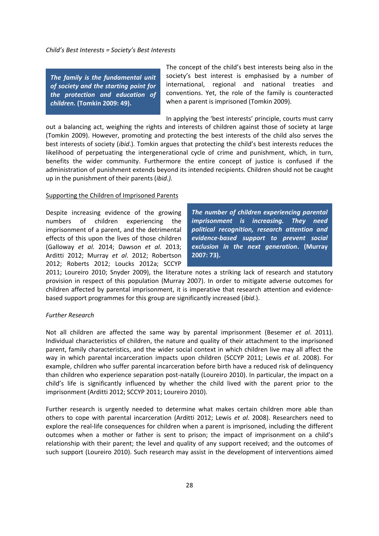*Child's Best Interests = Society's Best Interests*

*The family is the fundamental unit of society and the starting point for the protection and education of children.* **(Tomkin 2009: 49).** 

The concept of the child's best interests being also in the society's best interest is emphasised by a number of international, regional and national treaties and conventions. Yet, the role of the family is counteracted when a parent is imprisoned (Tomkin 2009).

In applying the 'best interests' principle, courts must carry

out a balancing act, weighing the rights and interests of children against those of society at large (Tomkin 2009). However, promoting and protecting the best interests of the child also serves the best interests of society (*ibid*.). Tomkin argues that protecting the child's best interests reduces the likelihood of perpetuating the intergenerational cycle of crime and punishment, which, in turn, benefits the wider community. Furthermore the entire concept of justice is confused if the administration of punishment extends beyond its intended recipients. Children should not be caught up in the punishment of their parents (*ibid.).*

#### Supporting the Children of Imprisoned Parents

Despite increasing evidence of the growing numbers of children experiencing the imprisonment of a parent, and the detrimental effects of this upon the lives of those children (Galloway *et al.* 2014; Dawson *et al*. 2013; Arditti 2012; Murray *et al*. 2012; Robertson 2012; Roberts 2012; Loucks 2012a; SCCYP

*The number of children experiencing parental imprisonment is increasing. They need political recognition, research attention and evidence-based support to prevent social exclusion in the next generation***. (Murray 2007: 73).**

2011; Loureiro 2010; Snyder 2009), the literature notes a striking lack of research and statutory provision in respect of this population (Murray 2007). In order to mitigate adverse outcomes for children affected by parental imprisonment, it is imperative that research attention and evidencebased support programmes for this group are significantly increased (*ibid*.).

# *Further Research*

Not all children are affected the same way by parental imprisonment (Besemer *et al*. 2011). Individual characteristics of children, the nature and quality of their attachment to the imprisoned parent, family characteristics, and the wider social context in which children live may all affect the way in which parental incarceration impacts upon children (SCCYP 2011; Lewis *et al*. 2008). For example, children who suffer parental incarceration before birth have a reduced risk of delinquency than children who experience separation post-natally (Loureiro 2010). In particular, the impact on a child's life is significantly influenced by whether the child lived with the parent prior to the imprisonment (Arditti 2012; SCCYP 2011; Loureiro 2010).

Further research is urgently needed to determine what makes certain children more able than others to cope with parental incarceration (Arditti 2012; Lewis *et al*. 2008). Researchers need to explore the real-life consequences for children when a parent is imprisoned, including the different outcomes when a mother or father is sent to prison; the impact of imprisonment on a child's relationship with their parent; the level and quality of any support received; and the outcomes of such support (Loureiro 2010). Such research may assist in the development of interventions aimed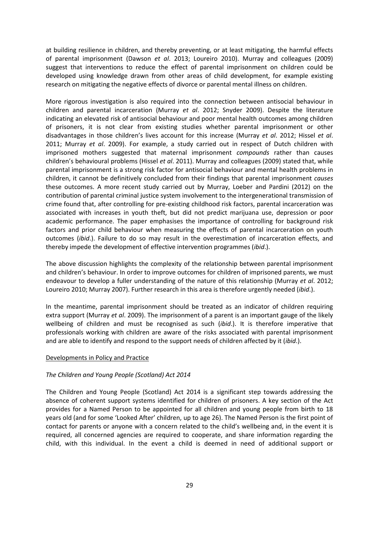at building resilience in children, and thereby preventing, or at least mitigating, the harmful effects of parental imprisonment (Dawson *et al*. 2013; Loureiro 2010). Murray and colleagues (2009) suggest that interventions to reduce the effect of parental imprisonment on children could be developed using knowledge drawn from other areas of child development, for example existing research on mitigating the negative effects of divorce or parental mental illness on children.

More rigorous investigation is also required into the connection between antisocial behaviour in children and parental incarceration (Murray *et al*. 2012; Snyder 2009). Despite the literature indicating an elevated risk of antisocial behaviour and poor mental health outcomes among children of prisoners, it is not clear from existing studies whether parental imprisonment or other disadvantages in those children's lives account for this increase (Murray *et al*. 2012; Hissel *et al*. 2011; Murray *et al*. 2009). For example, a study carried out in respect of Dutch children with imprisoned mothers suggested that maternal imprisonment *compounds* rather than causes children's behavioural problems (Hissel *et al*. 2011). Murray and colleagues (2009) stated that, while parental imprisonment is a strong risk factor for antisocial behaviour and mental health problems in children, it cannot be definitively concluded from their findings that parental imprisonment *causes*  these outcomes. A more recent study carried out by Murray, Loeber and Pardini (2012) on the contribution of parental criminal justice system involvement to the intergenerational transmission of crime found that, after controlling for pre-existing childhood risk factors, parental incarceration was associated with increases in youth theft, but did not predict marijuana use, depression or poor academic performance. The paper emphasises the importance of controlling for background risk factors and prior child behaviour when measuring the effects of parental incarceration on youth outcomes (*ibid*.). Failure to do so may result in the overestimation of incarceration effects, and thereby impede the development of effective intervention programmes (*ibid*.).

The above discussion highlights the complexity of the relationship between parental imprisonment and children's behaviour. In order to improve outcomes for children of imprisoned parents, we must endeavour to develop a fuller understanding of the nature of this relationship (Murray *et al*. 2012; Loureiro 2010; Murray 2007). Further research in this area is therefore urgently needed (*ibid*.).

In the meantime, parental imprisonment should be treated as an indicator of children requiring extra support (Murray *et al*. 2009). The imprisonment of a parent is an important gauge of the likely wellbeing of children and must be recognised as such (*ibid*.). It is therefore imperative that professionals working with children are aware of the risks associated with parental imprisonment and are able to identify and respond to the support needs of children affected by it (*ibid*.).

#### Developments in Policy and Practice

#### *The Children and Young People (Scotland) Act 2014*

The Children and Young People (Scotland) Act 2014 is a significant step towards addressing the absence of coherent support systems identified for children of prisoners. A key section of the Act provides for a Named Person to be appointed for all children and young people from birth to 18 years old (and for some 'Looked After' children, up to age 26). The Named Person is the first point of contact for parents or anyone with a concern related to the child's wellbeing and, in the event it is required, all concerned agencies are required to cooperate, and share information regarding the child, with this individual. In the event a child is deemed in need of additional support or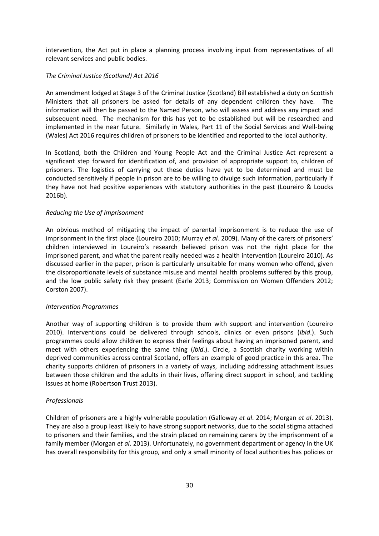intervention, the Act put in place a planning process involving input from representatives of all relevant services and public bodies.

# *The Criminal Justice (Scotland) Act 2016*

An amendment lodged at Stage 3 of the Criminal Justice (Scotland) Bill established a duty on Scottish Ministers that all prisoners be asked for details of any dependent children they have. The information will then be passed to the Named Person, who will assess and address any impact and subsequent need. The mechanism for this has yet to be established but will be researched and implemented in the near future. Similarly in Wales, Part 11 of the Social Services and Well-being (Wales) Act 2016 requires children of prisoners to be identified and reported to the local authority.

In Scotland, both the Children and Young People Act and the Criminal Justice Act represent a significant step forward for identification of, and provision of appropriate support to, children of prisoners. The logistics of carrying out these duties have yet to be determined and must be conducted sensitively if people in prison are to be willing to divulge such information, particularly if they have not had positive experiences with statutory authorities in the past (Loureiro & Loucks 2016b).

# *Reducing the Use of Imprisonment*

An obvious method of mitigating the impact of parental imprisonment is to reduce the use of imprisonment in the first place (Loureiro 2010; Murray *et al*. 2009). Many of the carers of prisoners' children interviewed in Loureiro's research believed prison was not the right place for the imprisoned parent, and what the parent really needed was a health intervention (Loureiro 2010). As discussed earlier in the paper, prison is particularly unsuitable for many women who offend, given the disproportionate levels of substance misuse and mental health problems suffered by this group, and the low public safety risk they present (Earle 2013; Commission on Women Offenders 2012; Corston 2007).

# *Intervention Programmes*

Another way of supporting children is to provide them with support and intervention (Loureiro 2010). Interventions could be delivered through schools, clinics or even prisons (*ibid*.). Such programmes could allow children to express their feelings about having an imprisoned parent, and meet with others experiencing the same thing (*ibid*.). Circle, a Scottish charity working within deprived communities across central Scotland, offers an example of good practice in this area. The charity supports children of prisoners in a variety of ways, including addressing attachment issues between those children and the adults in their lives, offering direct support in school, and tackling issues at home (Robertson Trust 2013).

# *Professionals*

Children of prisoners are a highly vulnerable population (Galloway *et al*. 2014; Morgan *et al*. 2013). They are also a group least likely to have strong support networks, due to the social stigma attached to prisoners and their families, and the strain placed on remaining carers by the imprisonment of a family member (Morgan *et al*. 2013). Unfortunately, no government department or agency in the UK has overall responsibility for this group, and only a small minority of local authorities has policies or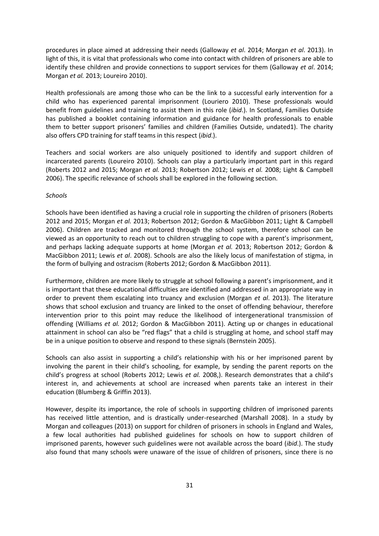procedures in place aimed at addressing their needs (Galloway *et al*. 2014; Morgan *et al*. 2013). In light of this, it is vital that professionals who come into contact with children of prisoners are able to identify these children and provide connections to support services for them (Galloway *et al*. 2014; Morgan *et al.* 2013; Loureiro 2010).

Health professionals are among those who can be the link to a successful early intervention for a child who has experienced parental imprisonment (Louriero 2010). These professionals would benefit from guidelines and training to assist them in this role (*ibid*.). In Scotland, Families Outside has published a booklet containing information and guidance for health professionals to enable them to better support prisoners' families and children (Families Outside, undated1). The charity also offers CPD training for staff teams in this respect (*ibid*.).

Teachers and social workers are also uniquely positioned to identify and support children of incarcerated parents (Loureiro 2010). Schools can play a particularly important part in this regard (Roberts 2012 and 2015; Morgan *et al.* 2013; Robertson 2012; Lewis *et al.* 2008; Light & Campbell 2006). The specific relevance of schools shall be explored in the following section.

### *Schools*

Schools have been identified as having a crucial role in supporting the children of prisoners (Roberts 2012 and 2015; Morgan *et al.* 2013; Robertson 2012; Gordon & MacGibbon 2011; Light & Campbell 2006). Children are tracked and monitored through the school system, therefore school can be viewed as an opportunity to reach out to children struggling to cope with a parent's imprisonment, and perhaps lacking adequate supports at home (Morgan *et al.* 2013; Robertson 2012; Gordon & MacGibbon 2011; Lewis *et al*. 2008). Schools are also the likely locus of manifestation of stigma, in the form of bullying and ostracism (Roberts 2012; Gordon & MacGibbon 2011).

Furthermore, children are more likely to struggle at school following a parent's imprisonment, and it is important that these educational difficulties are identified and addressed in an appropriate way in order to prevent them escalating into truancy and exclusion (Morgan *et al*. 2013). The literature shows that school exclusion and truancy are linked to the onset of offending behaviour, therefore intervention prior to this point may reduce the likelihood of intergenerational transmission of offending (Williams *et al.* 2012; Gordon & MacGibbon 2011). Acting up or changes in educational attainment in school can also be "red flags" that a child is struggling at home, and school staff may be in a unique position to observe and respond to these signals (Bernstein 2005).

Schools can also assist in supporting a child's relationship with his or her imprisoned parent by involving the parent in their child's schooling, for example, by sending the parent reports on the child's progress at school (Roberts 2012; Lewis *et al.* 2008,). Research demonstrates that a child's interest in, and achievements at school are increased when parents take an interest in their education (Blumberg & Griffin 2013).

However, despite its importance, the role of schools in supporting children of imprisoned parents has received little attention, and is drastically under-researched (Marshall 2008). In a study by Morgan and colleagues (2013) on support for children of prisoners in schools in England and Wales, a few local authorities had published guidelines for schools on how to support children of imprisoned parents, however such guidelines were not available across the board (*ibid*.). The study also found that many schools were unaware of the issue of children of prisoners, since there is no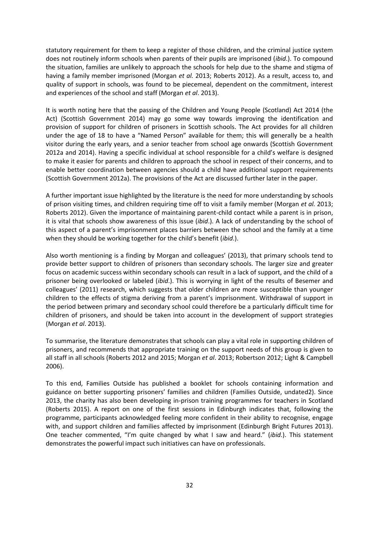statutory requirement for them to keep a register of those children, and the criminal justice system does not routinely inform schools when parents of their pupils are imprisoned (*ibid*.). To compound the situation, families are unlikely to approach the schools for help due to the shame and stigma of having a family member imprisoned (Morgan *et al.* 2013; Roberts 2012). As a result, access to, and quality of support in schools, was found to be piecemeal, dependent on the commitment, interest and experiences of the school and staff (Morgan *et al*. 2013).

It is worth noting here that the passing of the Children and Young People (Scotland) Act 2014 (the Act) (Scottish Government 2014) may go some way towards improving the identification and provision of support for children of prisoners in Scottish schools. The Act provides for all children under the age of 18 to have a "Named Person" available for them; this will generally be a health visitor during the early years, and a senior teacher from school age onwards (Scottish Government 2012a and 2014). Having a specific individual at school responsible for a child's welfare is designed to make it easier for parents and children to approach the school in respect of their concerns, and to enable better coordination between agencies should a child have additional support requirements (Scottish Government 2012a). The provisions of the Act are discussed further later in the paper.

A further important issue highlighted by the literature is the need for more understanding by schools of prison visiting times, and children requiring time off to visit a family member (Morgan *et al.* 2013; Roberts 2012). Given the importance of maintaining parent-child contact while a parent is in prison, it is vital that schools show awareness of this issue (*ibid*.). A lack of understanding by the school of this aspect of a parent's imprisonment places barriers between the school and the family at a time when they should be working together for the child's benefit (*ibid*.).

Also worth mentioning is a finding by Morgan and colleagues' (2013), that primary schools tend to provide better support to children of prisoners than secondary schools. The larger size and greater focus on academic success within secondary schools can result in a lack of support, and the child of a prisoner being overlooked or labeled (*ibid*.). This is worrying in light of the results of Besemer and colleagues' (2011) research, which suggests that older children are more susceptible than younger children to the effects of stigma deriving from a parent's imprisonment. Withdrawal of support in the period between primary and secondary school could therefore be a particularly difficult time for children of prisoners, and should be taken into account in the development of support strategies (Morgan *et al*. 2013).

To summarise, the literature demonstrates that schools can play a vital role in supporting children of prisoners, and recommends that appropriate training on the support needs of this group is given to all staff in all schools (Roberts 2012 and 2015; Morgan *et al*. 2013; Robertson 2012; Light & Campbell 2006).

To this end, Families Outside has published a booklet for schools containing information and guidance on better supporting prisoners' families and children (Families Outside, undated2). Since 2013, the charity has also been developing in-prison training programmes for teachers in Scotland (Roberts 2015). A report on one of the first sessions in Edinburgh indicates that, following the programme, participants acknowledged feeling more confident in their ability to recognise, engage with, and support children and families affected by imprisonment (Edinburgh Bright Futures 2013). One teacher commented, "I'm quite changed by what I saw and heard." (*ibid*.). This statement demonstrates the powerful impact such initiatives can have on professionals.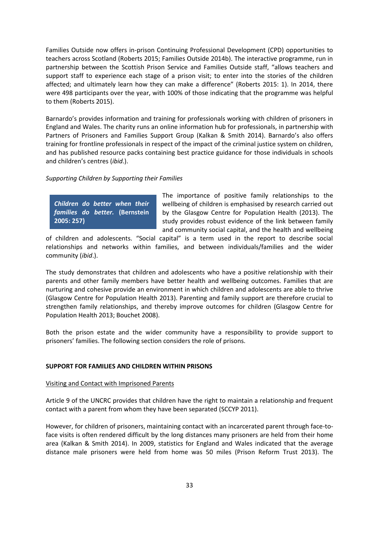Families Outside now offers in-prison Continuing Professional Development (CPD) opportunities to teachers across Scotland (Roberts 2015; Families Outside 2014b). The interactive programme, run in partnership between the Scottish Prison Service and Families Outside staff, "allows teachers and support staff to experience each stage of a prison visit; to enter into the stories of the children affected; and ultimately learn how they can make a difference" (Roberts 2015: 1). In 2014, there were 498 participants over the year, with 100% of those indicating that the programme was helpful to them (Roberts 2015).

Barnardo's provides information and training for professionals working with children of prisoners in England and Wales. The charity runs an online information hub for professionals, in partnership with Partners of Prisoners and Families Support Group (Kalkan & Smith 2014). Barnardo's also offers training for frontline professionals in respect of the impact of the criminal justice system on children, and has published resource packs containing best practice guidance for those individuals in schools and children's centres (*ibid*.).

# *Supporting Children by Supporting their Families*

*Children do better when their families do better.* **(Bernstein 2005: 257)**

The importance of positive family relationships to the wellbeing of children is emphasised by research carried out by the Glasgow Centre for Population Health (2013). The study provides robust evidence of the link between family and community social capital, and the health and wellbeing

of children and adolescents. "Social capital" is a term used in the report to describe social relationships and networks within families, and between individuals/families and the wider community (*ibid*.).

The study demonstrates that children and adolescents who have a positive relationship with their parents and other family members have better health and wellbeing outcomes. Families that are nurturing and cohesive provide an environment in which children and adolescents are able to thrive (Glasgow Centre for Population Health 2013). Parenting and family support are therefore crucial to strengthen family relationships, and thereby improve outcomes for children (Glasgow Centre for Population Health 2013; Bouchet 2008).

Both the prison estate and the wider community have a responsibility to provide support to prisoners' families. The following section considers the role of prisons.

# **SUPPORT FOR FAMILIES AND CHILDREN WITHIN PRISONS**

#### Visiting and Contact with Imprisoned Parents

Article 9 of the UNCRC provides that children have the right to maintain a relationship and frequent contact with a parent from whom they have been separated (SCCYP 2011).

However, for children of prisoners, maintaining contact with an incarcerated parent through face-toface visits is often rendered difficult by the long distances many prisoners are held from their home area (Kalkan & Smith 2014). In 2009, statistics for England and Wales indicated that the average distance male prisoners were held from home was 50 miles (Prison Reform Trust 2013). The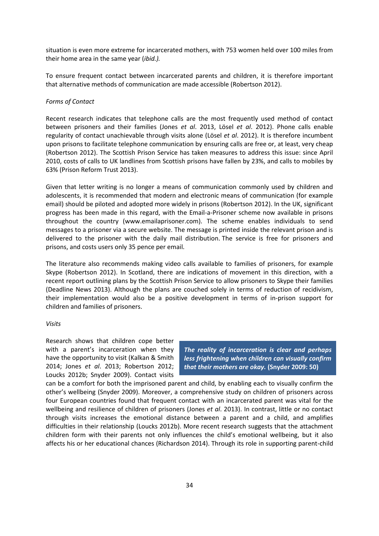situation is even more extreme for incarcerated mothers, with 753 women held over 100 miles from their home area in the same year (*ibid.).*

To ensure frequent contact between incarcerated parents and children, it is therefore important that alternative methods of communication are made accessible (Robertson 2012).

### *Forms of Contact*

Recent research indicates that telephone calls are the most frequently used method of contact between prisoners and their families (Jones *et al*. 2013, Lösel *et al*. 2012). Phone calls enable regularity of contact unachievable through visits alone (Lösel *et al*. 2012). It is therefore incumbent upon prisons to facilitate telephone communication by ensuring calls are free or, at least, very cheap (Robertson 2012). The Scottish Prison Service has taken measures to address this issue: since April 2010, costs of calls to UK landlines from Scottish prisons have fallen by 23%, and calls to mobiles by 63% (Prison Reform Trust 2013).

Given that letter writing is no longer a means of communication commonly used by children and adolescents, it is recommended that modern and electronic means of communication (for example email) should be piloted and adopted more widely in prisons (Robertson 2012). In the UK, significant progress has been made in this regard, with the Email-a-Prisoner scheme now available in prisons throughout the country (www.emailaprisoner.com). The scheme enables individuals to send messages to a prisoner via a secure website. The message is printed inside the relevant prison and is delivered to the prisoner with the daily mail distribution. The service is free for prisoners and prisons, and costs users only 35 pence per email.

The literature also recommends making video calls available to families of prisoners, for example Skype (Robertson 2012). In Scotland, there are indications of movement in this direction, with a recent report outlining plans by the Scottish Prison Service to allow prisoners to Skype their families (Deadline News 2013). Although the plans are couched solely in terms of reduction of recidivism, their implementation would also be a positive development in terms of in-prison support for children and families of prisoners.

### *Visits*

Research shows that children cope better with a parent's incarceration when they have the opportunity to visit (Kalkan & Smith 2014; Jones *et al*. 2013; Robertson 2012; Loucks 2012b; Snyder 2009). Contact visits

*The reality of incarceration is clear and perhaps less frightening when children can visually confirm that their mothers are okay.* **(Snyder 2009: 50)**

can be a comfort for both the imprisoned parent and child, by enabling each to visually confirm the other's wellbeing (Snyder 2009). Moreover, a comprehensive study on children of prisoners across four European countries found that frequent contact with an incarcerated parent was vital for the wellbeing and resilience of children of prisoners (Jones *et al*. 2013). In contrast, little or no contact through visits increases the emotional distance between a parent and a child, and amplifies difficulties in their relationship (Loucks 2012b). More recent research suggests that the attachment children form with their parents not only influences the child's emotional wellbeing, but it also affects his or her educational chances (Richardson 2014). Through its role in supporting parent-child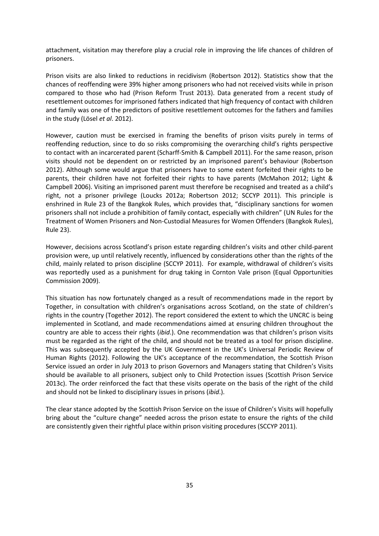attachment, visitation may therefore play a crucial role in improving the life chances of children of prisoners.

Prison visits are also linked to reductions in recidivism (Robertson 2012). Statistics show that the chances of reoffending were 39% higher among prisoners who had not received visits while in prison compared to those who had (Prison Reform Trust 2013). Data generated from a recent study of resettlement outcomes for imprisoned fathers indicated that high frequency of contact with children and family was one of the predictors of positive resettlement outcomes for the fathers and families in the study (Lösel *et al*. 2012).

However, caution must be exercised in framing the benefits of prison visits purely in terms of reoffending reduction, since to do so risks compromising the overarching child's rights perspective to contact with an incarcerated parent (Scharff-Smith & Campbell 2011). For the same reason, prison visits should not be dependent on or restricted by an imprisoned parent's behaviour (Robertson 2012). Although some would argue that prisoners have to some extent forfeited their rights to be parents, their children have not forfeited their rights to have parents (McMahon 2012; Light & Campbell 2006). Visiting an imprisoned parent must therefore be recognised and treated as a child's right, not a prisoner privilege (Loucks 2012a; Robertson 2012; SCCYP 2011). This principle is enshrined in Rule 23 of the Bangkok Rules, which provides that, "disciplinary sanctions for women prisoners shall not include a prohibition of family contact, especially with children" (UN Rules for the Treatment of Women Prisoners and Non-Custodial Measures for Women Offenders (Bangkok Rules), Rule 23).

However, decisions across Scotland's prison estate regarding children's visits and other child-parent provision were, up until relatively recently, influenced by considerations other than the rights of the child, mainly related to prison discipline (SCCYP 2011). For example, withdrawal of children's visits was reportedly used as a punishment for drug taking in Cornton Vale prison (Equal Opportunities Commission 2009).

This situation has now fortunately changed as a result of recommendations made in the report by Together, in consultation with children's organisations across Scotland, on the state of children's rights in the country (Together 2012). The report considered the extent to which the UNCRC is being implemented in Scotland, and made recommendations aimed at ensuring children throughout the country are able to access their rights (*ibid*.). One recommendation was that children's prison visits must be regarded as the right of the child, and should not be treated as a tool for prison discipline. This was subsequently accepted by the UK Government in the UK's Universal Periodic Review of Human Rights (2012). Following the UK's acceptance of the recommendation, the Scottish Prison Service issued an order in July 2013 to prison Governors and Managers stating that Children's Visits should be available to all prisoners, subject only to Child Protection issues (Scottish Prison Service 2013c). The order reinforced the fact that these visits operate on the basis of the right of the child and should not be linked to disciplinary issues in prisons (*ibid*.).

The clear stance adopted by the Scottish Prison Service on the issue of Children's Visits will hopefully bring about the "culture change" needed across the prison estate to ensure the rights of the child are consistently given their rightful place within prison visiting procedures (SCCYP 2011).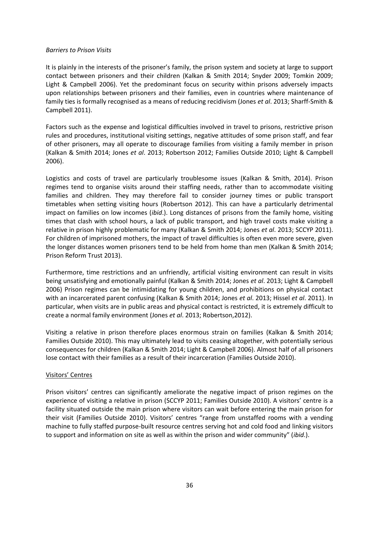#### *Barriers to Prison Visits*

It is plainly in the interests of the prisoner's family, the prison system and society at large to support contact between prisoners and their children (Kalkan & Smith 2014; Snyder 2009; Tomkin 2009; Light & Campbell 2006). Yet the predominant focus on security within prisons adversely impacts upon relationships between prisoners and their families, even in countries where maintenance of family ties is formally recognised as a means of reducing recidivism (Jones *et al*. 2013; Sharff-Smith & Campbell 2011).

Factors such as the expense and logistical difficulties involved in travel to prisons, restrictive prison rules and procedures, institutional visiting settings, negative attitudes of some prison staff, and fear of other prisoners, may all operate to discourage families from visiting a family member in prison (Kalkan & Smith 2014; Jones *et al*. 2013; Robertson 2012; Families Outside 2010; Light & Campbell 2006).

Logistics and costs of travel are particularly troublesome issues (Kalkan & Smith, 2014). Prison regimes tend to organise visits around their staffing needs, rather than to accommodate visiting families and children. They may therefore fail to consider journey times or public transport timetables when setting visiting hours (Robertson 2012). This can have a particularly detrimental impact on families on low incomes (*ibid*.). Long distances of prisons from the family home, visiting times that clash with school hours, a lack of public transport, and high travel costs make visiting a relative in prison highly problematic for many (Kalkan & Smith 2014; Jones *et al*. 2013; SCCYP 2011). For children of imprisoned mothers, the impact of travel difficulties is often even more severe, given the longer distances women prisoners tend to be held from home than men (Kalkan & Smith 2014; Prison Reform Trust 2013).

Furthermore, time restrictions and an unfriendly, artificial visiting environment can result in visits being unsatisfying and emotionally painful (Kalkan & Smith 2014; Jones *et al*. 2013; Light & Campbell 2006) Prison regimes can be intimidating for young children, and prohibitions on physical contact with an incarcerated parent confusing (Kalkan & Smith 2014; Jones *et al*. 2013; Hissel *et al*. 2011). In particular, when visits are in public areas and physical contact is restricted, it is extremely difficult to create a normal family environment (Jones *et al*. 2013; Robertson,2012).

Visiting a relative in prison therefore places enormous strain on families (Kalkan & Smith 2014; Families Outside 2010). This may ultimately lead to visits ceasing altogether, with potentially serious consequences for children (Kalkan & Smith 2014; Light & Campbell 2006). Almost half of all prisoners lose contact with their families as a result of their incarceration (Families Outside 2010).

## Visitors' Centres

Prison visitors' centres can significantly ameliorate the negative impact of prison regimes on the experience of visiting a relative in prison (SCCYP 2011; Families Outside 2010). A visitors' centre is a facility situated outside the main prison where visitors can wait before entering the main prison for their visit (Families Outside 2010). Visitors' centres "range from unstaffed rooms with a vending machine to fully staffed purpose-built resource centres serving hot and cold food and linking visitors to support and information on site as well as within the prison and wider community" (*ibid*.).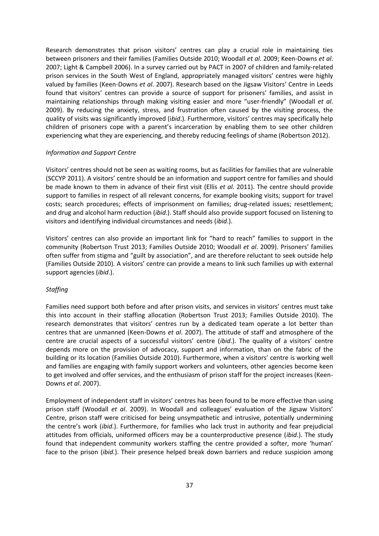Research demonstrates that prison visitors' centres can play a crucial role in maintaining ties between prisoners and their families (Families Outside 2010; Woodall *et al*. 2009; Keen-Downs *et al*. 2007; Light & Campbell 2006). In a survey carried out by PACT in 2007 of children and family-related prison services in the South West of England, appropriately managed visitors' centres were highly valued by families (Keen-Downs *et al*. 2007). Research based on the Jigsaw Visitors' Centre in Leeds found that visitors' centres can provide a source of support for prisoners' families, and assist in maintaining relationships through making visiting easier and more "user-friendly" (Woodall *et al*. 2009). By reducing the anxiety, stress, and frustration often caused by the visiting process, the quality of visits was significantly improved (i*bid*.). Furthermore, visitors' centres may specifically help children of prisoners cope with a parent's incarceration by enabling them to see other children experiencing what they are experiencing, and thereby reducing feelings of shame (Robertson 2012).

#### *Information and Support Centre*

Visitors' centres should not be seen as waiting rooms, but as facilities for families that are vulnerable (SCCYP 2011). A visitors' centre should be an information and support centre for families and should be made known to them in advance of their first visit (Ellis *et al.* 2011). The centre should provide support to families in respect of all relevant concerns, for example booking visits; support for travel costs; search procedures; effects of imprisonment on families; drug-related issues; resettlement; and drug and alcohol harm reduction (*ibid*.). Staff should also provide support focused on listening to visitors and identifying individual circumstances and needs (*ibid*.).

Visitors' centres can also provide an important link for "hard to reach" families to support in the community (Robertson Trust 2013; Families Outside 2010; Woodall *et al*. 2009). Prisoners' families often suffer from stigma and "guilt by association", and are therefore reluctant to seek outside help (Families Outside 2010). A visitors' centre can provide a means to link such families up with external support agencies (*ibid*.).

## *Staffing*

Families need support both before and after prison visits, and services in visitors' centres must take this into account in their staffing allocation (Robertson Trust 2013; Families Outside 2010). The research demonstrates that visitors' centres run by a dedicated team operate a lot better than centres that are unmanned (Keen-Downs *et al*. 2007). The attitude of staff and atmosphere of the centre are crucial aspects of a successful visitors' centre (*ibid*.). The quality of a visitors' centre depends more on the provision of advocacy, support and information, than on the fabric of the building or its location (Families Outside 2010). Furthermore, when a visitors' centre is working well and families are engaging with family support workers and volunteers, other agencies become keen to get involved and offer services, and the enthusiasm of prison staff for the project increases (Keen-Downs *et al*. 2007).

Employment of independent staff in visitors' centres has been found to be more effective than using prison staff (Woodall *et al*. 2009). In Woodall and colleagues' evaluation of the Jigsaw Visitors' Centre, prison staff were criticised for being unsympathetic and intrusive, potentially undermining the centre's work (*ibid*.). Furthermore, for families who lack trust in authority and fear prejudicial attitudes from officials, uniformed officers may be a counterproductive presence (*ibid*.). The study found that independent community workers staffing the centre provided a softer, more 'human' face to the prison (*ibid*.). Their presence helped break down barriers and reduce suspicion among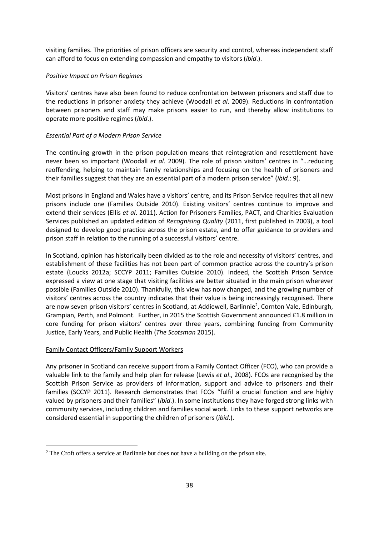visiting families. The priorities of prison officers are security and control, whereas independent staff can afford to focus on extending compassion and empathy to visitors (*ibid*.).

## *Positive Impact on Prison Regimes*

Visitors' centres have also been found to reduce confrontation between prisoners and staff due to the reductions in prisoner anxiety they achieve (Woodall *et al*. 2009). Reductions in confrontation between prisoners and staff may make prisons easier to run, and thereby allow institutions to operate more positive regimes (*ibid*.).

## *Essential Part of a Modern Prison Service*

The continuing growth in the prison population means that reintegration and resettlement have never been so important (Woodall *et al*. 2009). The role of prison visitors' centres in "…reducing reoffending, helping to maintain family relationships and focusing on the health of prisoners and their families suggest that they are an essential part of a modern prison service" (*ibid*.: 9).

Most prisons in England and Wales have a visitors' centre, and its Prison Service requires that all new prisons include one (Families Outside 2010). Existing visitors' centres continue to improve and extend their services (Ellis *et al*. 2011). Action for Prisoners Families, PACT, and Charities Evaluation Services published an updated edition of *Recognising Quality* (2011, first published in 2003), a tool designed to develop good practice across the prison estate, and to offer guidance to providers and prison staff in relation to the running of a successful visitors' centre.

In Scotland, opinion has historically been divided as to the role and necessity of visitors' centres, and establishment of these facilities has not been part of common practice across the country's prison estate (Loucks 2012a; SCCYP 2011; Families Outside 2010). Indeed, the Scottish Prison Service expressed a view at one stage that visiting facilities are better situated in the main prison wherever possible (Families Outside 2010). Thankfully, this view has now changed, and the growing number of visitors' centres across the country indicates that their value is being increasingly recognised. There are now seven prison visitors' centres in Scotland, at Addiewell, Barlinnie<sup>2</sup>, Cornton Vale, Edinburgh, Grampian, Perth, and Polmont. Further, in 2015 the Scottish Government announced £1.8 million in core funding for prison visitors' centres over three years, combining funding from Community Justice, Early Years, and Public Health (*The Scotsman* 2015).

## Family Contact Officers/Family Support Workers

<u>.</u>

Any prisoner in Scotland can receive support from a Family Contact Officer (FCO), who can provide a valuable link to the family and help plan for release (Lewis *et al*., 2008). FCOs are recognised by the Scottish Prison Service as providers of information, support and advice to prisoners and their families (SCCYP 2011). Research demonstrates that FCOs "fulfil a crucial function and are highly valued by prisoners and their families" (*ibid*.). In some institutions they have forged strong links with community services, including children and families social work. Links to these support networks are considered essential in supporting the children of prisoners (*ibid*.).

<sup>2</sup> The Croft offers a service at Barlinnie but does not have a building on the prison site.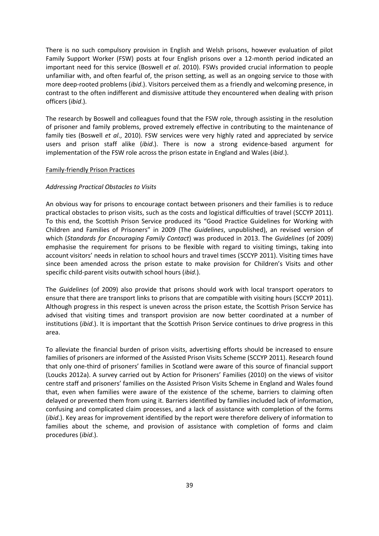There is no such compulsory provision in English and Welsh prisons, however evaluation of pilot Family Support Worker (FSW) posts at four English prisons over a 12-month period indicated an important need for this service (Boswell *et al*. 2010). FSWs provided crucial information to people unfamiliar with, and often fearful of, the prison setting, as well as an ongoing service to those with more deep-rooted problems (*ibid*.). Visitors perceived them as a friendly and welcoming presence, in contrast to the often indifferent and dismissive attitude they encountered when dealing with prison officers (*ibid*.).

The research by Boswell and colleagues found that the FSW role, through assisting in the resolution of prisoner and family problems, proved extremely effective in contributing to the maintenance of family ties (Boswell *et al*., 2010). FSW services were very highly rated and appreciated by service users and prison staff alike (*ibid*.). There is now a strong evidence-based argument for implementation of the FSW role across the prison estate in England and Wales (*ibid*.).

### Family-friendly Prison Practices

#### *Addressing Practical Obstacles to Visits*

An obvious way for prisons to encourage contact between prisoners and their families is to reduce practical obstacles to prison visits, such as the costs and logistical difficulties of travel (SCCYP 2011). To this end, the Scottish Prison Service produced its "Good Practice Guidelines for Working with Children and Families of Prisoners" in 2009 (The *Guidelines*, unpublished), an revised version of which (*Standards for Encouraging Family Contact*) was produced in 2013. The *Guidelines* (of 2009) emphasise the requirement for prisons to be flexible with regard to visiting timings, taking into account visitors' needs in relation to school hours and travel times (SCCYP 2011). Visiting times have since been amended across the prison estate to make provision for Children's Visits and other specific child-parent visits outwith school hours (*ibid*.).

The *Guidelines* (of 2009) also provide that prisons should work with local transport operators to ensure that there are transport links to prisons that are compatible with visiting hours (SCCYP 2011). Although progress in this respect is uneven across the prison estate, the Scottish Prison Service has advised that visiting times and transport provision are now better coordinated at a number of institutions (*ibid*.). It is important that the Scottish Prison Service continues to drive progress in this area.

To alleviate the financial burden of prison visits, advertising efforts should be increased to ensure families of prisoners are informed of the Assisted Prison Visits Scheme (SCCYP 2011). Research found that only one-third of prisoners' families in Scotland were aware of this source of financial support (Loucks 2012a). A survey carried out by Action for Prisoners' Families (2010) on the views of visitor centre staff and prisoners' families on the Assisted Prison Visits Scheme in England and Wales found that, even when families were aware of the existence of the scheme, barriers to claiming often delayed or prevented them from using it. Barriers identified by families included lack of information, confusing and complicated claim processes, and a lack of assistance with completion of the forms (*ibid*.). Key areas for improvement identified by the report were therefore delivery of information to families about the scheme, and provision of assistance with completion of forms and claim procedures (*ibid*.).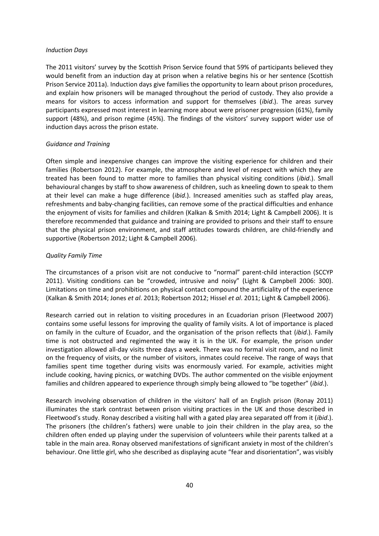#### *Induction Days*

The 2011 visitors' survey by the Scottish Prison Service found that 59% of participants believed they would benefit from an induction day at prison when a relative begins his or her sentence (Scottish Prison Service 2011a). Induction days give families the opportunity to learn about prison procedures, and explain how prisoners will be managed throughout the period of custody. They also provide a means for visitors to access information and support for themselves (*ibid*.). The areas survey participants expressed most interest in learning more about were prisoner progression (61%), family support (48%), and prison regime (45%). The findings of the visitors' survey support wider use of induction days across the prison estate.

#### *Guidance and Training*

Often simple and inexpensive changes can improve the visiting experience for children and their families (Robertson 2012). For example, the atmosphere and level of respect with which they are treated has been found to matter more to families than physical visiting conditions (*ibid*.). Small behavioural changes by staff to show awareness of children, such as kneeling down to speak to them at their level can make a huge difference (*ibid*.). Increased amenities such as staffed play areas, refreshments and baby-changing facilities, can remove some of the practical difficulties and enhance the enjoyment of visits for families and children (Kalkan & Smith 2014; Light & Campbell 2006). It is therefore recommended that guidance and training are provided to prisons and their staff to ensure that the physical prison environment, and staff attitudes towards children, are child-friendly and supportive (Robertson 2012; Light & Campbell 2006).

## *Quality Family Time*

The circumstances of a prison visit are not conducive to "normal" parent-child interaction (SCCYP 2011). Visiting conditions can be "crowded, intrusive and noisy" (Light & Campbell 2006: 300). Limitations on time and prohibitions on physical contact compound the artificiality of the experience (Kalkan & Smith 2014; Jones *et al*. 2013; Robertson 2012; Hissel *et al*. 2011; Light & Campbell 2006).

Research carried out in relation to visiting procedures in an Ecuadorian prison (Fleetwood 2007) contains some useful lessons for improving the quality of family visits. A lot of importance is placed on family in the culture of Ecuador, and the organisation of the prison reflects that (*ibid*.). Family time is not obstructed and regimented the way it is in the UK. For example, the prison under investigation allowed all-day visits three days a week. There was no formal visit room, and no limit on the frequency of visits, or the number of visitors, inmates could receive. The range of ways that families spent time together during visits was enormously varied. For example, activities might include cooking, having picnics, or watching DVDs. The author commented on the visible enjoyment families and children appeared to experience through simply being allowed to "be together" (*ibid*.).

Research involving observation of children in the visitors' hall of an English prison (Ronay 2011) illuminates the stark contrast between prison visiting practices in the UK and those described in Fleetwood's study. Ronay described a visiting hall with a gated play area separated off from it (*ibid*.). The prisoners (the children's fathers) were unable to join their children in the play area, so the children often ended up playing under the supervision of volunteers while their parents talked at a table in the main area. Ronay observed manifestations of significant anxiety in most of the children's behaviour. One little girl, who she described as displaying acute "fear and disorientation", was visibly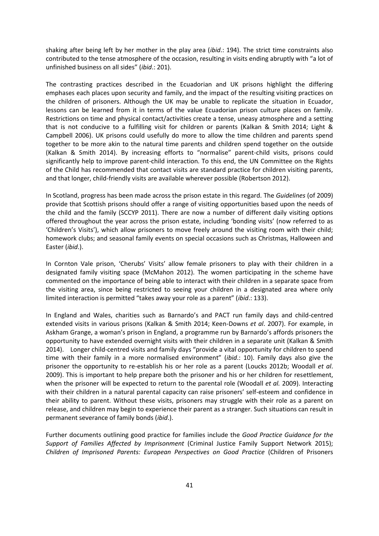shaking after being left by her mother in the play area (*ibid*.: 194). The strict time constraints also contributed to the tense atmosphere of the occasion, resulting in visits ending abruptly with "a lot of unfinished business on all sides" (*ibid*.: 201).

The contrasting practices described in the Ecuadorian and UK prisons highlight the differing emphases each places upon security and family, and the impact of the resulting visiting practices on the children of prisoners. Although the UK may be unable to replicate the situation in Ecuador, lessons can be learned from it in terms of the value Ecuadorian prison culture places on family. Restrictions on time and physical contact/activities create a tense, uneasy atmosphere and a setting that is not conducive to a fulfilling visit for children or parents (Kalkan & Smith 2014; Light & Campbell 2006). UK prisons could usefully do more to allow the time children and parents spend together to be more akin to the natural time parents and children spend together on the outside (Kalkan & Smith 2014). By increasing efforts to "normalise" parent-child visits, prisons could significantly help to improve parent-child interaction. To this end, the UN Committee on the Rights of the Child has recommended that contact visits are standard practice for children visiting parents, and that longer, child-friendly visits are available wherever possible (Robertson 2012).

In Scotland, progress has been made across the prison estate in this regard. The *Guidelines* (of 2009) provide that Scottish prisons should offer a range of visiting opportunities based upon the needs of the child and the family (SCCYP 2011). There are now a number of different daily visiting options offered throughout the year across the prison estate, including 'bonding visits' (now referred to as 'Children's Visits'), which allow prisoners to move freely around the visiting room with their child; homework clubs; and seasonal family events on special occasions such as Christmas, Halloween and Easter (*ibid*.).

In Cornton Vale prison, 'Cherubs' Visits' allow female prisoners to play with their children in a designated family visiting space (McMahon 2012). The women participating in the scheme have commented on the importance of being able to interact with their children in a separate space from the visiting area, since being restricted to seeing your children in a designated area where only limited interaction is permitted "takes away your role as a parent" (*ibid*.: 133).

In England and Wales, charities such as Barnardo's and PACT run family days and child-centred extended visits in various prisons (Kalkan & Smith 2014; Keen-Downs *et al*. 2007). For example, in Askham Grange, a woman's prison in England, a programme run by Barnardo's affords prisoners the opportunity to have extended overnight visits with their children in a separate unit (Kalkan & Smith 2014). Longer child-centred visits and family days "provide a vital opportunity for children to spend time with their family in a more normalised environment" (*ibid*.: 10). Family days also give the prisoner the opportunity to re-establish his or her role as a parent (Loucks 2012b; Woodall *et al*. 2009). This is important to help prepare both the prisoner and his or her children for resettlement, when the prisoner will be expected to return to the parental role (Woodall *et al.* 2009). Interacting with their children in a natural parental capacity can raise prisoners' self-esteem and confidence in their ability to parent. Without these visits, prisoners may struggle with their role as a parent on release, and children may begin to experience their parent as a stranger. Such situations can result in permanent severance of family bonds (*ibid*.).

Further documents outlining good practice for families include the *Good Practice Guidance for the Support of Families Affected by Imprisonment* (Criminal Justice Family Support Network 2015); *Children of Imprisoned Parents: European Perspectives on Good Practice* (Children of Prisoners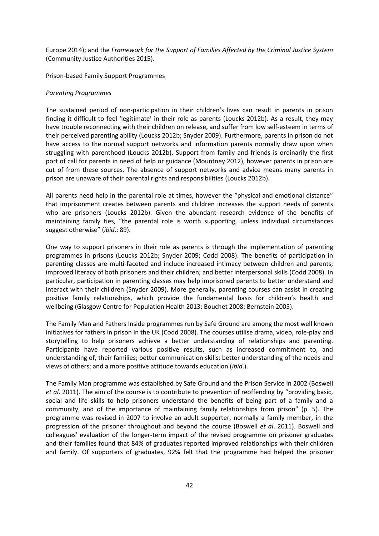Europe 2014); and the *Framework for the Support of Families Affected by the Criminal Justice System* (Community Justice Authorities 2015).

#### Prison-based Family Support Programmes

#### *Parenting Programmes*

The sustained period of non-participation in their children's lives can result in parents in prison finding it difficult to feel 'legitimate' in their role as parents (Loucks 2012b). As a result, they may have trouble reconnecting with their children on release, and suffer from low self-esteem in terms of their perceived parenting ability (Loucks 2012b; Snyder 2009). Furthermore, parents in prison do not have access to the normal support networks and information parents normally draw upon when struggling with parenthood (Loucks 2012b). Support from family and friends is ordinarily the first port of call for parents in need of help or guidance (Mountney 2012), however parents in prison are cut of from these sources. The absence of support networks and advice means many parents in prison are unaware of their parental rights and responsibilities (Loucks 2012b).

All parents need help in the parental role at times, however the "physical and emotional distance" that imprisonment creates between parents and children increases the support needs of parents who are prisoners (Loucks 2012b). Given the abundant research evidence of the benefits of maintaining family ties, "the parental role is worth supporting, unless individual circumstances suggest otherwise" (*ibid*.: 89).

One way to support prisoners in their role as parents is through the implementation of parenting programmes in prisons (Loucks 2012b; Snyder 2009; Codd 2008). The benefits of participation in parenting classes are multi-faceted and include increased intimacy between children and parents; improved literacy of both prisoners and their children; and better interpersonal skills (Codd 2008). In particular, participation in parenting classes may help imprisoned parents to better understand and interact with their children (Snyder 2009). More generally, parenting courses can assist in creating positive family relationships, which provide the fundamental basis for children's health and wellbeing (Glasgow Centre for Population Health 2013; Bouchet 2008; Bernstein 2005).

The Family Man and Fathers Inside programmes run by Safe Ground are among the most well known initiatives for fathers in prison in the UK (Codd 2008). The courses utilise drama, video, role-play and storytelling to help prisoners achieve a better understanding of relationships and parenting. Participants have reported various positive results, such as increased commitment to, and understanding of, their families; better communication skills; better understanding of the needs and views of others; and a more positive attitude towards education (*ibid*.).

The Family Man programme was established by Safe Ground and the Prison Service in 2002 (Boswell *et al*. 2011). The aim of the course is to contribute to prevention of reoffending by "providing basic, social and life skills to help prisoners understand the benefits of being part of a family and a community, and of the importance of maintaining family relationships from prison" (p. 5). The programme was revised in 2007 to involve an adult supporter, normally a family member, in the progression of the prisoner throughout and beyond the course (Boswell *et al*. 2011). Boswell and colleagues' evaluation of the longer-term impact of the revised programme on prisoner graduates and their families found that 84% of graduates reported improved relationships with their children and family. Of supporters of graduates, 92% felt that the programme had helped the prisoner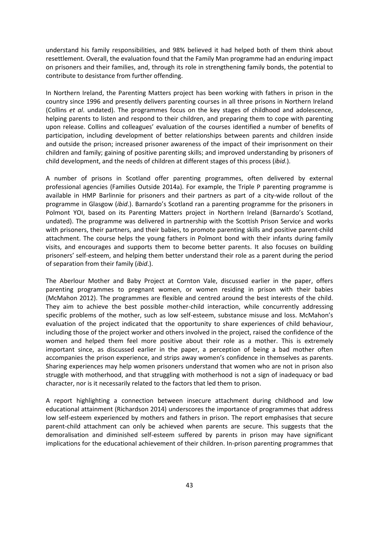understand his family responsibilities, and 98% believed it had helped both of them think about resettlement. Overall, the evaluation found that the Family Man programme had an enduring impact on prisoners and their families, and, through its role in strengthening family bonds, the potential to contribute to desistance from further offending.

In Northern Ireland, the Parenting Matters project has been working with fathers in prison in the country since 1996 and presently delivers parenting courses in all three prisons in Northern Ireland (Collins *et al*. undated). The programmes focus on the key stages of childhood and adolescence, helping parents to listen and respond to their children, and preparing them to cope with parenting upon release. Collins and colleagues' evaluation of the courses identified a number of benefits of participation, including development of better relationships between parents and children inside and outside the prison; increased prisoner awareness of the impact of their imprisonment on their children and family; gaining of positive parenting skills; and improved understanding by prisoners of child development, and the needs of children at different stages of this process (*ibid*.).

A number of prisons in Scotland offer parenting programmes, often delivered by external professional agencies (Families Outside 2014a). For example, the Triple P parenting programme is available in HMP Barlinnie for prisoners and their partners as part of a city-wide rollout of the programme in Glasgow (*ibid*.). Barnardo's Scotland ran a parenting programme for the prisoners in Polmont YOI, based on its Parenting Matters project in Northern Ireland (Barnardo's Scotland, undated). The programme was delivered in partnership with the Scottish Prison Service and works with prisoners, their partners, and their babies, to promote parenting skills and positive parent-child attachment. The course helps the young fathers in Polmont bond with their infants during family visits, and encourages and supports them to become better parents. It also focuses on building prisoners' self-esteem, and helping them better understand their role as a parent during the period of separation from their family (*ibid*.).

The Aberlour Mother and Baby Project at Cornton Vale, discussed earlier in the paper, offers parenting programmes to pregnant women, or women residing in prison with their babies (McMahon 2012). The programmes are flexible and centred around the best interests of the child. They aim to achieve the best possible mother-child interaction, while concurrently addressing specific problems of the mother, such as low self-esteem, substance misuse and loss. McMahon's evaluation of the project indicated that the opportunity to share experiences of child behaviour, including those of the project worker and others involved in the project, raised the confidence of the women and helped them feel more positive about their role as a mother. This is extremely important since, as discussed earlier in the paper, a perception of being a bad mother often accompanies the prison experience, and strips away women's confidence in themselves as parents. Sharing experiences may help women prisoners understand that women who are not in prison also struggle with motherhood, and that struggling with motherhood is not a sign of inadequacy or bad character, nor is it necessarily related to the factors that led them to prison.

A report highlighting a connection between insecure attachment during childhood and low educational attainment (Richardson 2014) underscores the importance of programmes that address low self-esteem experienced by mothers and fathers in prison. The report emphasises that secure parent-child attachment can only be achieved when parents are secure. This suggests that the demoralisation and diminished self-esteem suffered by parents in prison may have significant implications for the educational achievement of their children. In-prison parenting programmes that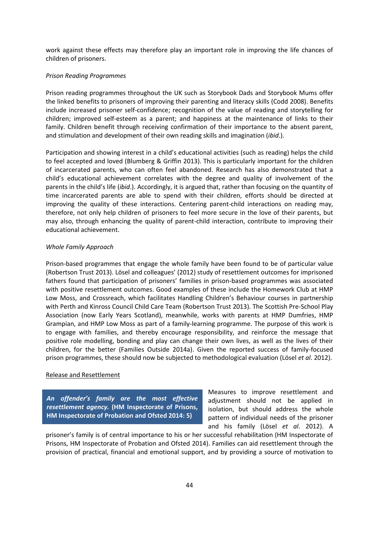work against these effects may therefore play an important role in improving the life chances of children of prisoners.

#### *Prison Reading Programmes*

Prison reading programmes throughout the UK such as Storybook Dads and Storybook Mums offer the linked benefits to prisoners of improving their parenting and literacy skills (Codd 2008). Benefits include increased prisoner self-confidence; recognition of the value of reading and storytelling for children; improved self-esteem as a parent; and happiness at the maintenance of links to their family. Children benefit through receiving confirmation of their importance to the absent parent, and stimulation and development of their own reading skills and imagination (*ibid*.).

Participation and showing interest in a child's educational activities (such as reading) helps the child to feel accepted and loved (Blumberg & Griffin 2013). This is particularly important for the children of incarcerated parents, who can often feel abandoned. Research has also demonstrated that a child's educational achievement correlates with the degree and quality of involvement of the parents in the child's life (*ibid*.). Accordingly, it is argued that, rather than focusing on the quantity of time incarcerated parents are able to spend with their children, efforts should be directed at improving the quality of these interactions. Centering parent-child interactions on reading may, therefore, not only help children of prisoners to feel more secure in the love of their parents, but may also, through enhancing the quality of parent-child interaction, contribute to improving their educational achievement.

### *Whole Family Approach*

Prison-based programmes that engage the whole family have been found to be of particular value (Robertson Trust 2013). Lösel and colleagues' (2012) study of resettlement outcomes for imprisoned fathers found that participation of prisoners' families in prison-based programmes was associated with positive resettlement outcomes. Good examples of these include the Homework Club at HMP Low Moss, and Crossreach, which facilitates Handling Children's Behaviour courses in partnership with Perth and Kinross Council Child Care Team (Robertson Trust 2013). The Scottish Pre-School Play Association (now Early Years Scotland), meanwhile, works with parents at HMP Dumfries, HMP Grampian, and HMP Low Moss as part of a family-learning programme. The purpose of this work is to engage with families, and thereby encourage responsibility, and reinforce the message that positive role modelling, bonding and play can change their own lives, as well as the lives of their children, for the better (Families Outside 2014a). Given the reported success of family-focused prison programmes, these should now be subjected to methodological evaluation (Lösel *et al*. 2012).

#### Release and Resettlement

*An offender's family are the most effective resettlement agency.* **(HM Inspectorate of Prisons, HM Inspectorate of Probation and Ofsted 2014: 5)**

Measures to improve resettlement and adjustment should not be applied in isolation, but should address the whole pattern of individual needs of the prisoner and his family (Lösel *et al*. 2012). A

prisoner's family is of central importance to his or her successful rehabilitation (HM Inspectorate of Prisons, HM Inspectorate of Probation and Ofsted 2014). Families can aid resettlement through the provision of practical, financial and emotional support, and by providing a source of motivation to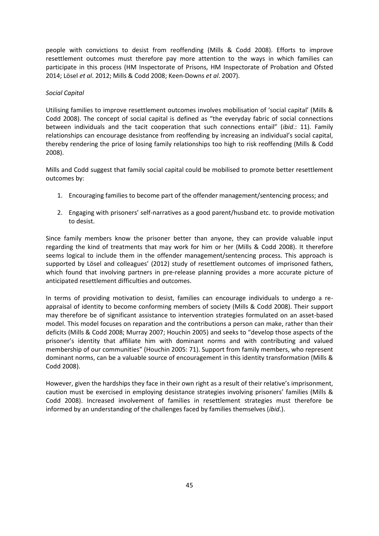people with convictions to desist from reoffending (Mills & Codd 2008). Efforts to improve resettlement outcomes must therefore pay more attention to the ways in which families can participate in this process (HM Inspectorate of Prisons, HM Inspectorate of Probation and Ofsted 2014; Lösel *et al*. 2012; Mills & Codd 2008; Keen-Downs *et al*. 2007).

## *Social Capital*

Utilising families to improve resettlement outcomes involves mobilisation of 'social capital' (Mills & Codd 2008). The concept of social capital is defined as "the everyday fabric of social connections between individuals and the tacit cooperation that such connections entail" (*ibid*.: 11). Family relationships can encourage desistance from reoffending by increasing an individual's social capital, thereby rendering the price of losing family relationships too high to risk reoffending (Mills & Codd 2008).

Mills and Codd suggest that family social capital could be mobilised to promote better resettlement outcomes by:

- 1. Encouraging families to become part of the offender management/sentencing process; and
- 2. Engaging with prisoners' self-narratives as a good parent/husband etc. to provide motivation to desist.

Since family members know the prisoner better than anyone, they can provide valuable input regarding the kind of treatments that may work for him or her (Mills & Codd 2008). It therefore seems logical to include them in the offender management/sentencing process. This approach is supported by Lösel and colleagues' (2012) study of resettlement outcomes of imprisoned fathers, which found that involving partners in pre-release planning provides a more accurate picture of anticipated resettlement difficulties and outcomes.

In terms of providing motivation to desist, families can encourage individuals to undergo a reappraisal of identity to become conforming members of society (Mills & Codd 2008). Their support may therefore be of significant assistance to intervention strategies formulated on an asset-based model. This model focuses on reparation and the contributions a person can make, rather than their deficits (Mills & Codd 2008; Murray 2007; Houchin 2005) and seeks to "develop those aspects of the prisoner's identity that affiliate him with dominant norms and with contributing and valued membership of our communities" (Houchin 2005: 71). Support from family members, who represent dominant norms, can be a valuable source of encouragement in this identity transformation (Mills & Codd 2008).

However, given the hardships they face in their own right as a result of their relative's imprisonment, caution must be exercised in employing desistance strategies involving prisoners' families (Mills & Codd 2008). Increased involvement of families in resettlement strategies must therefore be informed by an understanding of the challenges faced by families themselves (*ibid*.).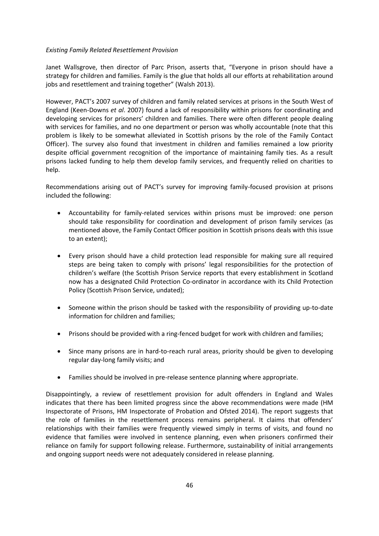## *Existing Family Related Resettlement Provision*

Janet Wallsgrove, then director of Parc Prison, asserts that, "Everyone in prison should have a strategy for children and families. Family is the glue that holds all our efforts at rehabilitation around jobs and resettlement and training together" (Walsh 2013).

However, PACT's 2007 survey of children and family related services at prisons in the South West of England (Keen-Downs *et al*. 2007) found a lack of responsibility within prisons for coordinating and developing services for prisoners' children and families. There were often different people dealing with services for families, and no one department or person was wholly accountable (note that this problem is likely to be somewhat alleviated in Scottish prisons by the role of the Family Contact Officer). The survey also found that investment in children and families remained a low priority despite official government recognition of the importance of maintaining family ties. As a result prisons lacked funding to help them develop family services, and frequently relied on charities to help.

Recommendations arising out of PACT's survey for improving family-focused provision at prisons included the following:

- Accountability for family-related services within prisons must be improved: one person should take responsibility for coordination and development of prison family services (as mentioned above, the Family Contact Officer position in Scottish prisons deals with this issue to an extent);
- Every prison should have a child protection lead responsible for making sure all required steps are being taken to comply with prisons' legal responsibilities for the protection of children's welfare (the Scottish Prison Service reports that every establishment in Scotland now has a designated Child Protection Co-ordinator in accordance with its Child Protection Policy (Scottish Prison Service, undated);
- Someone within the prison should be tasked with the responsibility of providing up-to-date information for children and families;
- Prisons should be provided with a ring-fenced budget for work with children and families;
- Since many prisons are in hard-to-reach rural areas, priority should be given to developing regular day-long family visits; and
- Families should be involved in pre-release sentence planning where appropriate.

Disappointingly, a review of resettlement provision for adult offenders in England and Wales indicates that there has been limited progress since the above recommendations were made (HM Inspectorate of Prisons, HM Inspectorate of Probation and Ofsted 2014). The report suggests that the role of families in the resettlement process remains peripheral. It claims that offenders' relationships with their families were frequently viewed simply in terms of visits, and found no evidence that families were involved in sentence planning, even when prisoners confirmed their reliance on family for support following release. Furthermore, sustainability of initial arrangements and ongoing support needs were not adequately considered in release planning.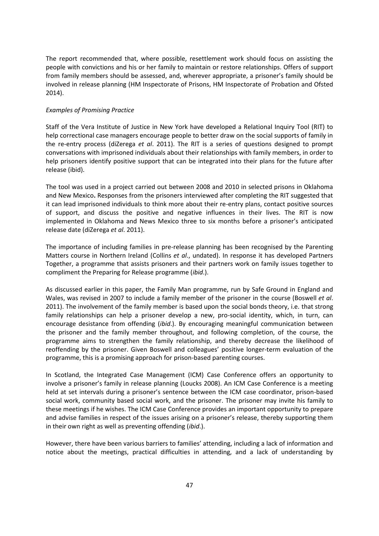The report recommended that, where possible, resettlement work should focus on assisting the people with convictions and his or her family to maintain or restore relationships. Offers of support from family members should be assessed, and, wherever appropriate, a prisoner's family should be involved in release planning (HM Inspectorate of Prisons, HM Inspectorate of Probation and Ofsted 2014).

## *Examples of Promising Practice*

Staff of the Vera Institute of Justice in New York have developed a Relational Inquiry Tool (RIT) to help correctional case managers encourage people to better draw on the social supports of family in the re-entry process (diZerega *et al*. 2011). The RIT is a series of questions designed to prompt conversations with imprisoned individuals about their relationships with family members, in order to help prisoners identify positive support that can be integrated into their plans for the future after release (ibid).

The tool was used in a project carried out between 2008 and 2010 in selected prisons in Oklahoma and New Mexico**.** Responses from the prisoners interviewed after completing the RIT suggested that it can lead imprisoned individuals to think more about their re-entry plans, contact positive sources of support, and discuss the positive and negative influences in their lives. The RIT is now implemented in Oklahoma and News Mexico three to six months before a prisoner's anticipated release date (diZerega *et al*. 2011).

The importance of including families in pre-release planning has been recognised by the Parenting Matters course in Northern Ireland (Collins *et al*., undated). In response it has developed Partners Together, a programme that assists prisoners and their partners work on family issues together to compliment the Preparing for Release programme (*ibid*.).

As discussed earlier in this paper, the Family Man programme, run by Safe Ground in England and Wales, was revised in 2007 to include a family member of the prisoner in the course (Boswell *et al*. 2011). The involvement of the family member is based upon the social bonds theory, i.e. that strong family relationships can help a prisoner develop a new, pro-social identity, which, in turn, can encourage desistance from offending (*ibid*.). By encouraging meaningful communication between the prisoner and the family member throughout, and following completion, of the course, the programme aims to strengthen the family relationship, and thereby decrease the likelihood of reoffending by the prisoner. Given Boswell and colleagues' positive longer-term evaluation of the programme, this is a promising approach for prison-based parenting courses.

In Scotland, the Integrated Case Management (ICM) Case Conference offers an opportunity to involve a prisoner's family in release planning (Loucks 2008). An ICM Case Conference is a meeting held at set intervals during a prisoner's sentence between the ICM case coordinator, prison-based social work, community based social work, and the prisoner. The prisoner may invite his family to these meetings if he wishes. The ICM Case Conference provides an important opportunity to prepare and advise families in respect of the issues arising on a prisoner's release, thereby supporting them in their own right as well as preventing offending (*ibid*.).

However, there have been various barriers to families' attending, including a lack of information and notice about the meetings, practical difficulties in attending, and a lack of understanding by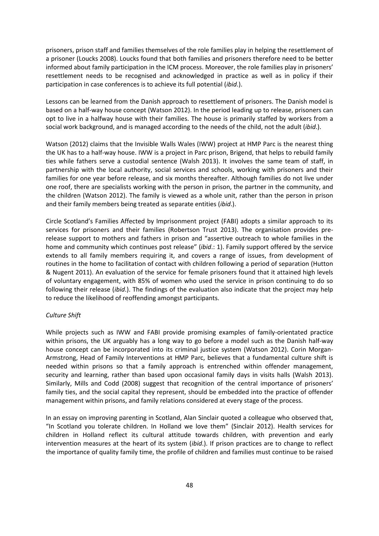prisoners, prison staff and families themselves of the role families play in helping the resettlement of a prisoner (Loucks 2008). Loucks found that both families and prisoners therefore need to be better informed about family participation in the ICM process. Moreover, the role families play in prisoners' resettlement needs to be recognised and acknowledged in practice as well as in policy if their participation in case conferences is to achieve its full potential (*ibid*.).

Lessons can be learned from the Danish approach to resettlement of prisoners. The Danish model is based on a half-way house concept (Watson 2012). In the period leading up to release, prisoners can opt to live in a halfway house with their families. The house is primarily staffed by workers from a social work background, and is managed according to the needs of the child, not the adult (*ibid*.).

Watson (2012) claims that the Invisible Walls Wales (IWW) project at HMP Parc is the nearest thing the UK has to a half-way house. IWW is a project in Parc prison, Brigend, that helps to rebuild family ties while fathers serve a custodial sentence (Walsh 2013). It involves the same team of staff, in partnership with the local authority, social services and schools, working with prisoners and their families for one year before release, and six months thereafter. Although families do not live under one roof, there are specialists working with the person in prison, the partner in the community, and the children (Watson 2012). The family is viewed as a whole unit, rather than the person in prison and their family members being treated as separate entities (*ibid*.).

Circle Scotland's Families Affected by Imprisonment project (FABI) adopts a similar approach to its services for prisoners and their families (Robertson Trust 2013). The organisation provides prerelease support to mothers and fathers in prison and "assertive outreach to whole families in the home and community which continues post release" (*ibid*.: 1). Family support offered by the service extends to all family members requiring it, and covers a range of issues, from development of routines in the home to facilitation of contact with children following a period of separation (Hutton & Nugent 2011). An evaluation of the service for female prisoners found that it attained high levels of voluntary engagement, with 85% of women who used the service in prison continuing to do so following their release (*ibid*.). The findings of the evaluation also indicate that the project may help to reduce the likelihood of reoffending amongst participants.

## *Culture Shift*

While projects such as IWW and FABI provide promising examples of family-orientated practice within prisons, the UK arguably has a long way to go before a model such as the Danish half-way house concept can be incorporated into its criminal justice system (Watson 2012). Corin Morgan-Armstrong, Head of Family Interventions at HMP Parc, believes that a fundamental culture shift is needed within prisons so that a family approach is entrenched within offender management, security and learning, rather than based upon occasional family days in visits halls (Walsh 2013). Similarly, Mills and Codd (2008) suggest that recognition of the central importance of prisoners' family ties, and the social capital they represent, should be embedded into the practice of offender management within prisons, and family relations considered at every stage of the process.

In an essay on improving parenting in Scotland, Alan Sinclair quoted a colleague who observed that, "In Scotland you tolerate children. In Holland we love them" (Sinclair 2012). Health services for children in Holland reflect its cultural attitude towards children, with prevention and early intervention measures at the heart of its system (*ibid*.). If prison practices are to change to reflect the importance of quality family time, the profile of children and families must continue to be raised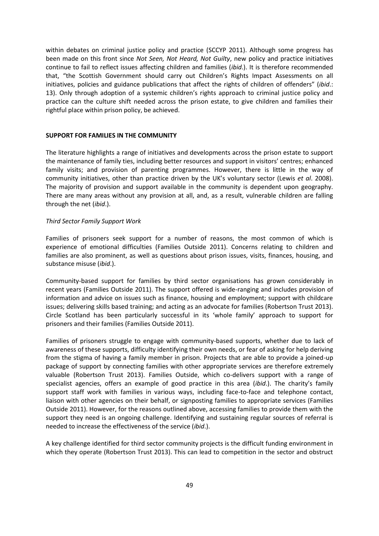within debates on criminal justice policy and practice (SCCYP 2011). Although some progress has been made on this front since *Not Seen, Not Heard, Not Guilty*, new policy and practice initiatives continue to fail to reflect issues affecting children and families (*ibid*.). It is therefore recommended that, "the Scottish Government should carry out Children's Rights Impact Assessments on all initiatives, policies and guidance publications that affect the rights of children of offenders" (*ibid*.: 13). Only through adoption of a systemic children's rights approach to criminal justice policy and practice can the culture shift needed across the prison estate, to give children and families their rightful place within prison policy, be achieved.

## **SUPPORT FOR FAMILIES IN THE COMMUNITY**

The literature highlights a range of initiatives and developments across the prison estate to support the maintenance of family ties, including better resources and support in visitors' centres; enhanced family visits; and provision of parenting programmes. However, there is little in the way of community initiatives, other than practice driven by the UK's voluntary sector (Lewis *et al*. 2008). The majority of provision and support available in the community is dependent upon geography. There are many areas without any provision at all, and, as a result, vulnerable children are falling through the net (*ibid*.).

#### *Third Sector Family Support Work*

Families of prisoners seek support for a number of reasons, the most common of which is experience of emotional difficulties (Families Outside 2011). Concerns relating to children and families are also prominent, as well as questions about prison issues, visits, finances, housing, and substance misuse (*ibid*.).

Community-based support for families by third sector organisations has grown considerably in recent years (Families Outside 2011). The support offered is wide-ranging and includes provision of information and advice on issues such as finance, housing and employment; support with childcare issues; delivering skills based training; and acting as an advocate for families (Robertson Trust 2013). Circle Scotland has been particularly successful in its 'whole family' approach to support for prisoners and their families (Families Outside 2011).

Families of prisoners struggle to engage with community-based supports, whether due to lack of awareness of these supports, difficulty identifying their own needs, or fear of asking for help deriving from the stigma of having a family member in prison. Projects that are able to provide a joined-up package of support by connecting families with other appropriate services are therefore extremely valuable (Robertson Trust 2013). Families Outside, which co-delivers support with a range of specialist agencies, offers an example of good practice in this area (*ibid*.). The charity's family support staff work with families in various ways, including face-to-face and telephone contact, liaison with other agencies on their behalf, or signposting families to appropriate services (Families Outside 2011). However, for the reasons outlined above, accessing families to provide them with the support they need is an ongoing challenge. Identifying and sustaining regular sources of referral is needed to increase the effectiveness of the service (*ibid*.).

A key challenge identified for third sector community projects is the difficult funding environment in which they operate (Robertson Trust 2013). This can lead to competition in the sector and obstruct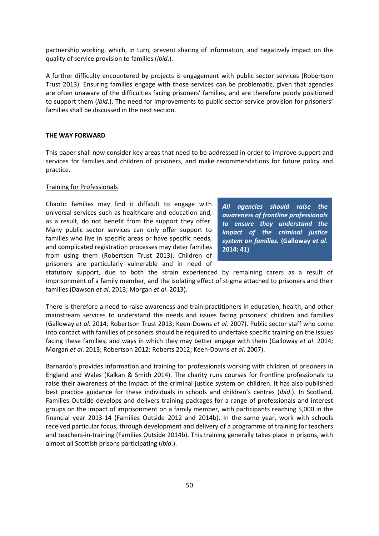partnership working, which, in turn, prevent sharing of information, and negatively impact on the quality of service provision to families (*ibid*.).

A further difficulty encountered by projects is engagement with public sector services (Robertson Trust 2013). Ensuring families engage with those services can be problematic, given that agencies are often unaware of the difficulties facing prisoners' families, and are therefore poorly positioned to support them (*ibid*.). The need for improvements to public sector service provision for prisoners' families shall be discussed in the next section.

### **THE WAY FORWARD**

This paper shall now consider key areas that need to be addressed in order to improve support and services for families and children of prisoners, and make recommendations for future policy and practice.

#### Training for Professionals

Chaotic families may find it difficult to engage with universal services such as healthcare and education and, as a result, do not benefit from the support they offer. Many public sector services can only offer support to families who live in specific areas or have specific needs, and complicated registration processes may deter families from using them (Robertson Trust 2013). Children of prisoners are particularly vulnerable and in need of

*All agencies should raise the awareness of frontline professionals to ensure they understand the impact of the criminal justice system on families.* **(Galloway** *et al***. 2014: 41)** 

statutory support, due to both the strain experienced by remaining carers as a result of imprisonment of a family member, and the isolating effect of stigma attached to prisoners and their families (Dawson *et al*. 2013; Morgan *et al*. 2013).

There is therefore a need to raise awareness and train practitioners in education, health, and other mainstream services to understand the needs and issues facing prisoners' children and families (Galloway *et al*. 2014; Robertson Trust 2013; Keen-Downs *et al.* 2007). Public sector staff who come into contact with families of prisoners should be required to undertake specific training on the issues facing these families, and ways in which they may better engage with them (Galloway *et al*. 2014; Morgan *et al*. 2013; Robertson 2012; Roberts 2012; Keen-Downs *et al*. 2007).

Barnardo's provides information and training for professionals working with children of prisoners in England and Wales (Kalkan & Smith 2014). The charity runs courses for frontline professionals to raise their awareness of the impact of the criminal justice system on children. It has also published best practice guidance for these individuals in schools and children's centres (*ibid*.). In Scotland, Families Outside develops and delivers training packages for a range of professionals and interest groups on the impact of imprisonment on a family member, with participants reaching 5,000 in the financial year 2013-14 (Families Outside 2012 and 2014b). In the same year, work with schools received particular focus, through development and delivery of a programme of training for teachers and teachers-in-training (Families Outside 2014b). This training generally takes place in prisons, with almost all Scottish prisons participating (*ibid*.).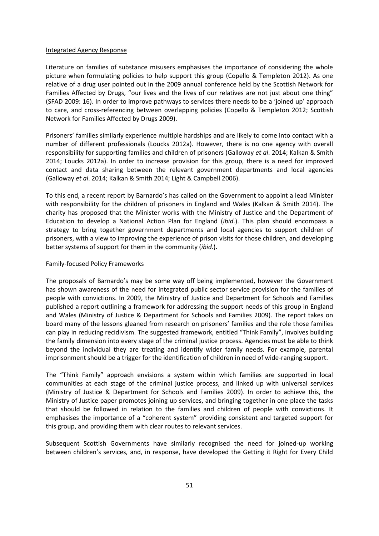### Integrated Agency Response

Literature on families of substance misusers emphasises the importance of considering the whole picture when formulating policies to help support this group (Copello & Templeton 2012). As one relative of a drug user pointed out in the 2009 annual conference held by the Scottish Network for Families Affected by Drugs, "our lives and the lives of our relatives are not just about one thing" (SFAD 2009: 16). In order to improve pathways to services there needs to be a 'joined up' approach to care, and cross-referencing between overlapping policies (Copello & Templeton 2012; Scottish Network for Families Affected by Drugs 2009).

Prisoners' families similarly experience multiple hardships and are likely to come into contact with a number of different professionals (Loucks 2012a). However, there is no one agency with overall responsibility for supporting families and children of prisoners (Galloway *et al*. 2014; Kalkan & Smith 2014; Loucks 2012a). In order to increase provision for this group, there is a need for improved contact and data sharing between the relevant government departments and local agencies (Galloway *et al*. 2014; Kalkan & Smith 2014; Light & Campbell 2006).

To this end, a recent report by Barnardo's has called on the Government to appoint a lead Minister with responsibility for the children of prisoners in England and Wales (Kalkan & Smith 2014). The charity has proposed that the Minister works with the Ministry of Justice and the Department of Education to develop a National Action Plan for England (*ibid*.). This plan should encompass a strategy to bring together government departments and local agencies to support children of prisoners, with a view to improving the experience of prison visits for those children, and developing better systems of support for them in the community (*ibid*.).

## Family-focused Policy Frameworks

The proposals of Barnardo's may be some way off being implemented, however the Government has shown awareness of the need for integrated public sector service provision for the families of people with convictions. In 2009, the Ministry of Justice and Department for Schools and Families published a report outlining a framework for addressing the support needs of this group in England and Wales (Ministry of Justice & Department for Schools and Families 2009). The report takes on board many of the lessons gleaned from research on prisoners' families and the role those families can play in reducing recidivism. The suggested framework, entitled "Think Family", involves building the family dimension into every stage of the criminal justice process. Agencies must be able to think beyond the individual they are treating and identify wider family needs. For example, parental imprisonment should be a trigger for the identification of children in need of wide-ranging support.

The "Think Family" approach envisions a system within which families are supported in local communities at each stage of the criminal justice process, and linked up with universal services (Ministry of Justice & Department for Schools and Families 2009). In order to achieve this, the Ministry of Justice paper promotes joining up services, and bringing together in one place the tasks that should be followed in relation to the families and children of people with convictions. It emphasises the importance of a "coherent system" providing consistent and targeted support for this group, and providing them with clear routes to relevant services.

Subsequent Scottish Governments have similarly recognised the need for joined-up working between children's services, and, in response, have developed the Getting it Right for Every Child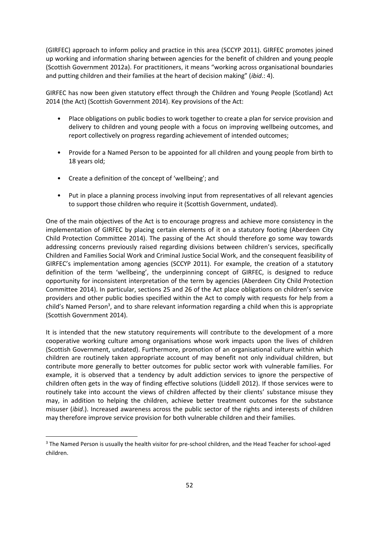(GIRFEC) approach to inform policy and practice in this area (SCCYP 2011). GIRFEC promotes joined up working and information sharing between agencies for the benefit of children and young people (Scottish Government 2012a). For practitioners, it means "working across organisational boundaries and putting children and their families at the heart of decision making" (*ibid*.: 4).

GIRFEC has now been given statutory effect through the Children and Young People (Scotland) Act 2014 (the Act) (Scottish Government 2014). Key provisions of the Act:

- Place obligations on public bodies to work together to create a plan for service provision and delivery to children and young people with a focus on improving wellbeing outcomes, and report collectively on progress regarding achievement of intended outcomes;
- Provide for a Named Person to be appointed for all children and young people from birth to 18 years old;
- Create a definition of the concept of 'wellbeing'; and

1

• Put in place a planning process involving input from representatives of all relevant agencies to support those children who require it (Scottish Government, undated).

One of the main objectives of the Act is to encourage progress and achieve more consistency in the implementation of GIRFEC by placing certain elements of it on a statutory footing (Aberdeen City Child Protection Committee 2014). The passing of the Act should therefore go some way towards addressing concerns previously raised regarding divisions between children's services, specifically Children and Families Social Work and Criminal Justice Social Work, and the consequent feasibility of GIRFEC's implementation among agencies (SCCYP 2011). For example, the creation of a statutory definition of the term 'wellbeing', the underpinning concept of GIRFEC, is designed to reduce opportunity for inconsistent interpretation of the term by agencies (Aberdeen City Child Protection Committee 2014). In particular, sections 25 and 26 of the Act place obligations on children's service providers and other public bodies specified within the Act to comply with requests for help from a child's Named Person<sup>3</sup>, and to share relevant information regarding a child when this is appropriate (Scottish Government 2014).

It is intended that the new statutory requirements will contribute to the development of a more cooperative working culture among organisations whose work impacts upon the lives of children (Scottish Government, undated). Furthermore, promotion of an organisational culture within which children are routinely taken appropriate account of may benefit not only individual children, but contribute more generally to better outcomes for public sector work with vulnerable families. For example, it is observed that a tendency by adult addiction services to ignore the perspective of children often gets in the way of finding effective solutions (Liddell 2012). If those services were to routinely take into account the views of children affected by their clients' substance misuse they may, in addition to helping the children, achieve better treatment outcomes for the substance misuser (*ibid*.). Increased awareness across the public sector of the rights and interests of children may therefore improve service provision for both vulnerable children and their families.

<sup>&</sup>lt;sup>3</sup> The Named Person is usually the health visitor for pre-school children, and the Head Teacher for school-aged children.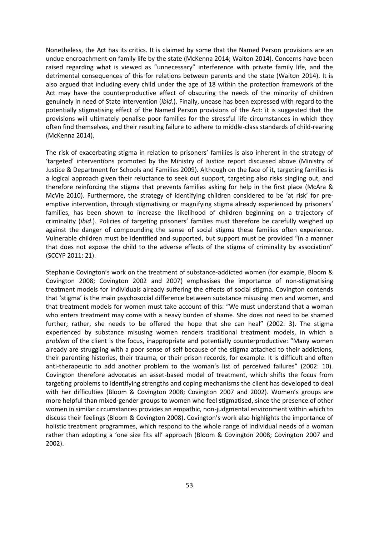Nonetheless, the Act has its critics. It is claimed by some that the Named Person provisions are an undue encroachment on family life by the state (McKenna 2014; Waiton 2014). Concerns have been raised regarding what is viewed as "unnecessary" interference with private family life, and the detrimental consequences of this for relations between parents and the state (Waiton 2014). It is also argued that including every child under the age of 18 within the protection framework of the Act may have the counterproductive effect of obscuring the needs of the minority of children genuinely in need of State intervention (*ibid*.). Finally, unease has been expressed with regard to the potentially stigmatising effect of the Named Person provisions of the Act: it is suggested that the provisions will ultimately penalise poor families for the stressful life circumstances in which they often find themselves, and their resulting failure to adhere to middle-class standards of child-rearing (McKenna 2014).

The risk of exacerbating stigma in relation to prisoners' families is also inherent in the strategy of 'targeted' interventions promoted by the Ministry of Justice report discussed above (Ministry of Justice & Department for Schools and Families 2009). Although on the face of it, targeting families is a logical approach given their reluctance to seek out support, targeting also risks singling out, and therefore reinforcing the stigma that prevents families asking for help in the first place (McAra & McVie 2010). Furthermore, the strategy of identifying children considered to be 'at risk' for preemptive intervention, through stigmatising or magnifying stigma already experienced by prisoners' families, has been shown to increase the likelihood of children beginning on a trajectory of criminality (*ibid*.). Policies of targeting prisoners' families must therefore be carefully weighed up against the danger of compounding the sense of social stigma these families often experience. Vulnerable children must be identified and supported, but support must be provided "in a manner that does not expose the child to the adverse effects of the stigma of criminality by association" (SCCYP 2011: 21).

Stephanie Covington's work on the treatment of substance-addicted women (for example, Bloom & Covington 2008; Covington 2002 and 2007) emphasises the importance of non-stigmatising treatment models for individuals already suffering the effects of social stigma. Covington contends that 'stigma' is the main psychosocial difference between substance misusing men and women, and that treatment models for women must take account of this: "We must understand that a woman who enters treatment may come with a heavy burden of shame. She does not need to be shamed further; rather, she needs to be offered the hope that she can heal" (2002: 3). The stigma experienced by substance misusing women renders traditional treatment models, in which a *problem* of the client is the focus, inappropriate and potentially counterproductive: "Many women already are struggling with a poor sense of self because of the stigma attached to their addictions, their parenting histories, their trauma, or their prison records, for example. It is difficult and often anti-therapeutic to add another problem to the woman's list of perceived failures" (2002: 10). Covington therefore advocates an asset-based model of treatment, which shifts the focus from targeting problems to identifying strengths and coping mechanisms the client has developed to deal with her difficulties (Bloom & Covington 2008; Covington 2007 and 2002). Women's groups are more helpful than mixed-gender groups to women who feel stigmatised, since the presence of other women in similar circumstances provides an empathic, non-judgmental environment within which to discuss their feelings (Bloom & Covington 2008). Covington's work also highlights the importance of holistic treatment programmes, which respond to the whole range of individual needs of a woman rather than adopting a 'one size fits all' approach (Bloom & Covington 2008; Covington 2007 and 2002).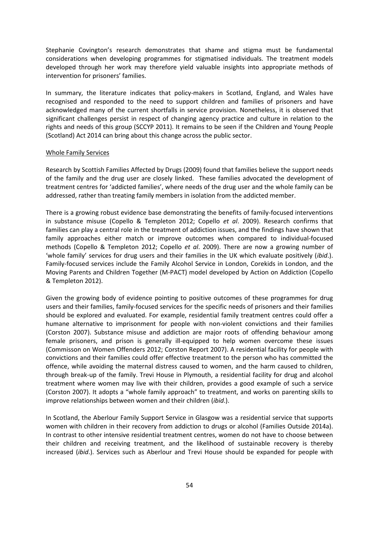Stephanie Covington's research demonstrates that shame and stigma must be fundamental considerations when developing programmes for stigmatised individuals. The treatment models developed through her work may therefore yield valuable insights into appropriate methods of intervention for prisoners' families.

In summary, the literature indicates that policy-makers in Scotland, England, and Wales have recognised and responded to the need to support children and families of prisoners and have acknowledged many of the current shortfalls in service provision. Nonetheless, it is observed that significant challenges persist in respect of changing agency practice and culture in relation to the rights and needs of this group (SCCYP 2011). It remains to be seen if the Children and Young People (Scotland) Act 2014 can bring about this change across the public sector.

#### Whole Family Services

Research by Scottish Families Affected by Drugs (2009) found that families believe the support needs of the family and the drug user are closely linked. These families advocated the development of treatment centres for 'addicted families', where needs of the drug user and the whole family can be addressed, rather than treating family members in isolation from the addicted member.

There is a growing robust evidence base demonstrating the benefits of family-focused interventions in substance misuse (Copello & Templeton 2012; Copello *et al*. 2009). Research confirms that families can play a central role in the treatment of addiction issues, and the findings have shown that family approaches either match or improve outcomes when compared to individual-focused methods (Copello & Templeton 2012; Copello *et al*. 2009). There are now a growing number of 'whole family' services for drug users and their families in the UK which evaluate positively (*ibid*.). Family-focused services include the Family Alcohol Service in London, Corekids in London, and the Moving Parents and Children Together (M-PACT) model developed by Action on Addiction (Copello & Templeton 2012).

Given the growing body of evidence pointing to positive outcomes of these programmes for drug users and their families, family-focused services for the specific needs of prisoners and their families should be explored and evaluated. For example, residential family treatment centres could offer a humane alternative to imprisonment for people with non-violent convictions and their families (Corston 2007). Substance misuse and addiction are major roots of offending behaviour among female prisoners, and prison is generally ill-equipped to help women overcome these issues (Commisson on Women Offenders 2012; Corston Report 2007). A residential facility for people with convictions and their families could offer effective treatment to the person who has committed the offence, while avoiding the maternal distress caused to women, and the harm caused to children, through break-up of the family. Trevi House in Plymouth, a residential facility for drug and alcohol treatment where women may live with their children, provides a good example of such a service (Corston 2007). It adopts a "whole family approach" to treatment, and works on parenting skills to improve relationships between women and their children (*ibid*.).

In Scotland, the Aberlour Family Support Service in Glasgow was a residential service that supports women with children in their recovery from addiction to drugs or alcohol (Families Outside 2014a). In contrast to other intensive residential treatment centres, women do not have to choose between their children and receiving treatment, and the likelihood of sustainable recovery is thereby increased (*ibid*.). Services such as Aberlour and Trevi House should be expanded for people with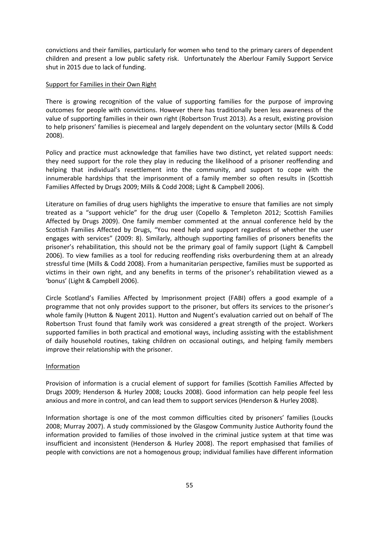convictions and their families, particularly for women who tend to the primary carers of dependent children and present a low public safety risk. Unfortunately the Aberlour Family Support Service shut in 2015 due to lack of funding.

## Support for Families in their Own Right

There is growing recognition of the value of supporting families for the purpose of improving outcomes for people with convictions. However there has traditionally been less awareness of the value of supporting families in their own right (Robertson Trust 2013). As a result, existing provision to help prisoners' families is piecemeal and largely dependent on the voluntary sector (Mills & Codd 2008).

Policy and practice must acknowledge that families have two distinct, yet related support needs: they need support for the role they play in reducing the likelihood of a prisoner reoffending and helping that individual's resettlement into the community, and support to cope with the innumerable hardships that the imprisonment of a family member so often results in (Scottish Families Affected by Drugs 2009; Mills & Codd 2008; Light & Campbell 2006).

Literature on families of drug users highlights the imperative to ensure that families are not simply treated as a "support vehicle" for the drug user (Copello & Templeton 2012; Scottish Families Affected by Drugs 2009). One family member commented at the annual conference held by the Scottish Families Affected by Drugs, "You need help and support regardless of whether the user engages with services" (2009: 8). Similarly, although supporting families of prisoners benefits the prisoner's rehabilitation, this should not be the primary goal of family support (Light & Campbell 2006). To view families as a tool for reducing reoffending risks overburdening them at an already stressful time (Mills & Codd 2008). From a humanitarian perspective, families must be supported as victims in their own right, and any benefits in terms of the prisoner's rehabilitation viewed as a 'bonus' (Light & Campbell 2006).

Circle Scotland's Families Affected by Imprisonment project (FABI) offers a good example of a programme that not only provides support to the prisoner, but offers its services to the prisoner's whole family (Hutton & Nugent 2011). Hutton and Nugent's evaluation carried out on behalf of The Robertson Trust found that family work was considered a great strength of the project. Workers supported families in both practical and emotional ways, including assisting with the establishment of daily household routines, taking children on occasional outings, and helping family members improve their relationship with the prisoner.

# Information

Provision of information is a crucial element of support for families (Scottish Families Affected by Drugs 2009; Henderson & Hurley 2008; Loucks 2008). Good information can help people feel less anxious and more in control, and can lead them to support services (Henderson & Hurley 2008).

Information shortage is one of the most common difficulties cited by prisoners' families (Loucks 2008; Murray 2007). A study commissioned by the Glasgow Community Justice Authority found the information provided to families of those involved in the criminal justice system at that time was insufficient and inconsistent (Henderson & Hurley 2008). The report emphasised that families of people with convictions are not a homogenous group; individual families have different information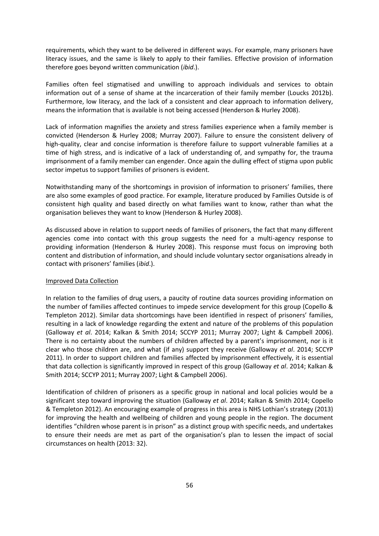requirements, which they want to be delivered in different ways. For example, many prisoners have literacy issues, and the same is likely to apply to their families. Effective provision of information therefore goes beyond written communication (*ibid*.).

Families often feel stigmatised and unwilling to approach individuals and services to obtain information out of a sense of shame at the incarceration of their family member (Loucks 2012b). Furthermore, low literacy, and the lack of a consistent and clear approach to information delivery, means the information that is available is not being accessed (Henderson & Hurley 2008).

Lack of information magnifies the anxiety and stress families experience when a family member is convicted (Henderson & Hurley 2008; Murray 2007). Failure to ensure the consistent delivery of high-quality, clear and concise information is therefore failure to support vulnerable families at a time of high stress, and is indicative of a lack of understanding of, and sympathy for, the trauma imprisonment of a family member can engender. Once again the dulling effect of stigma upon public sector impetus to support families of prisoners is evident.

Notwithstanding many of the shortcomings in provision of information to prisoners' families, there are also some examples of good practice. For example, literature produced by Families Outside is of consistent high quality and based directly on what families want to know, rather than what the organisation believes they want to know (Henderson & Hurley 2008).

As discussed above in relation to support needs of families of prisoners, the fact that many different agencies come into contact with this group suggests the need for a multi-agency response to providing information (Henderson & Hurley 2008). This response must focus on improving both content and distribution of information, and should include voluntary sector organisations already in contact with prisoners' families (*ibid*.).

#### Improved Data Collection

In relation to the families of drug users, a paucity of routine data sources providing information on the number of families affected continues to impede service development for this group (Copello & Templeton 2012). Similar data shortcomings have been identified in respect of prisoners' families, resulting in a lack of knowledge regarding the extent and nature of the problems of this population (Galloway *et al*. 2014; Kalkan & Smith 2014; SCCYP 2011; Murray 2007; Light & Campbell 2006). There is no certainty about the numbers of children affected by a parent's imprisonment, nor is it clear who those children are, and what (if any) support they receive (Galloway *et al*. 2014; SCCYP 2011). In order to support children and families affected by imprisonment effectively, it is essential that data collection is significantly improved in respect of this group (Galloway *et al*. 2014; Kalkan & Smith 2014; SCCYP 2011; Murray 2007; Light & Campbell 2006).

Identification of children of prisoners as a specific group in national and local policies would be a significant step toward improving the situation (Galloway *et al*. 2014; Kalkan & Smith 2014; Copello & Templeton 2012). An encouraging example of progress in this area is NHS Lothian's strategy (2013) for improving the health and wellbeing of children and young people in the region. The document identifies "children whose parent is in prison" as a distinct group with specific needs, and undertakes to ensure their needs are met as part of the organisation's plan to lessen the impact of social circumstances on health (2013: 32).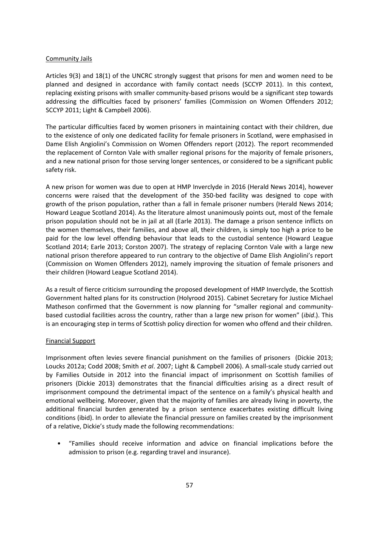## Community Jails

Articles 9(3) and 18(1) of the UNCRC strongly suggest that prisons for men and women need to be planned and designed in accordance with family contact needs (SCCYP 2011). In this context, replacing existing prisons with smaller community-based prisons would be a significant step towards addressing the difficulties faced by prisoners' families (Commission on Women Offenders 2012; SCCYP 2011; Light & Campbell 2006).

The particular difficulties faced by women prisoners in maintaining contact with their children, due to the existence of only one dedicated facility for female prisoners in Scotland, were emphasised in Dame Elish Angiolini's Commission on Women Offenders report (2012). The report recommended the replacement of Cornton Vale with smaller regional prisons for the majority of female prisoners, and a new national prison for those serving longer sentences, or considered to be a significant public safety risk.

A new prison for women was due to open at HMP Inverclyde in 2016 (Herald News 2014), however concerns were raised that the development of the 350-bed facility was designed to cope with growth of the prison population, rather than a fall in female prisoner numbers (Herald News 2014; Howard League Scotland 2014). As the literature almost unanimously points out, most of the female prison population should not be in jail at all (Earle 2013). The damage a prison sentence inflicts on the women themselves, their families, and above all, their children, is simply too high a price to be paid for the low level offending behaviour that leads to the custodial sentence (Howard League Scotland 2014; Earle 2013; Corston 2007). The strategy of replacing Cornton Vale with a large new national prison therefore appeared to run contrary to the objective of Dame Elish Angiolini's report (Commission on Women Offenders 2012), namely improving the situation of female prisoners and their children (Howard League Scotland 2014).

As a result of fierce criticism surrounding the proposed development of HMP Inverclyde, the Scottish Government halted plans for its construction (Holyrood 2015). Cabinet Secretary for Justice Michael Matheson confirmed that the Government is now planning for "smaller regional and communitybased custodial facilities across the country, rather than a large new prison for women" (*ibid*.). This is an encouraging step in terms of Scottish policy direction for women who offend and their children.

# Financial Support

Imprisonment often levies severe financial punishment on the families of prisoners (Dickie 2013; Loucks 2012a; Codd 2008; Smith *et al*. 2007; Light & Campbell 2006). A small-scale study carried out by Families Outside in 2012 into the financial impact of imprisonment on Scottish families of prisoners (Dickie 2013) demonstrates that the financial difficulties arising as a direct result of imprisonment compound the detrimental impact of the sentence on a family's physical health and emotional wellbeing. Moreover, given that the majority of families are already living in poverty, the additional financial burden generated by a prison sentence exacerbates existing difficult living conditions (ibid). In order to alleviate the financial pressure on families created by the imprisonment of a relative, Dickie's study made the following recommendations:

• "Families should receive information and advice on financial implications before the admission to prison (e.g. regarding travel and insurance).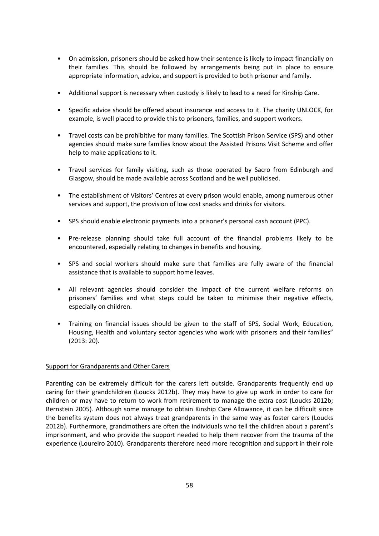- On admission, prisoners should be asked how their sentence is likely to impact financially on their families. This should be followed by arrangements being put in place to ensure appropriate information, advice, and support is provided to both prisoner and family.
- Additional support is necessary when custody is likely to lead to a need for Kinship Care.
- Specific advice should be offered about insurance and access to it. The charity UNLOCK, for example, is well placed to provide this to prisoners, families, and support workers.
- Travel costs can be prohibitive for many families. The Scottish Prison Service (SPS) and other agencies should make sure families know about the Assisted Prisons Visit Scheme and offer help to make applications to it.
- Travel services for family visiting, such as those operated by Sacro from Edinburgh and Glasgow, should be made available across Scotland and be well publicised.
- The establishment of Visitors' Centres at every prison would enable, among numerous other services and support, the provision of low cost snacks and drinks for visitors.
- SPS should enable electronic payments into a prisoner's personal cash account (PPC).
- Pre-release planning should take full account of the financial problems likely to be encountered, especially relating to changes in benefits and housing.
- SPS and social workers should make sure that families are fully aware of the financial assistance that is available to support home leaves.
- All relevant agencies should consider the impact of the current welfare reforms on prisoners' families and what steps could be taken to minimise their negative effects, especially on children.
- Training on financial issues should be given to the staff of SPS, Social Work, Education, Housing, Health and voluntary sector agencies who work with prisoners and their families" (2013: 20).

# Support for Grandparents and Other Carers

Parenting can be extremely difficult for the carers left outside. Grandparents frequently end up caring for their grandchildren (Loucks 2012b). They may have to give up work in order to care for children or may have to return to work from retirement to manage the extra cost (Loucks 2012b; Bernstein 2005). Although some manage to obtain Kinship Care Allowance, it can be difficult since the benefits system does not always treat grandparents in the same way as foster carers (Loucks 2012b). Furthermore, grandmothers are often the individuals who tell the children about a parent's imprisonment, and who provide the support needed to help them recover from the trauma of the experience (Loureiro 2010). Grandparents therefore need more recognition and support in their role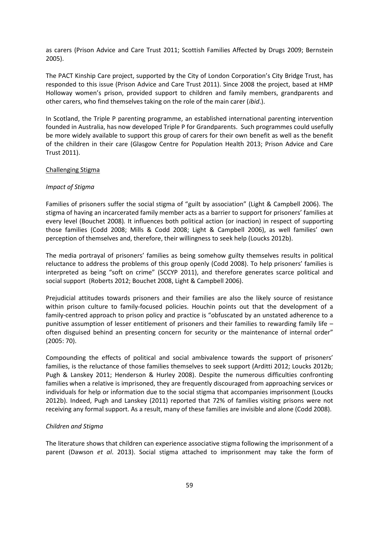as carers (Prison Advice and Care Trust 2011; Scottish Families Affected by Drugs 2009; Bernstein 2005).

The PACT Kinship Care project, supported by the City of London Corporation's City Bridge Trust, has responded to this issue (Prison Advice and Care Trust 2011). Since 2008 the project, based at HMP Holloway women's prison, provided support to children and family members, grandparents and other carers, who find themselves taking on the role of the main carer (*ibid*.).

In Scotland, the Triple P parenting programme, an established international parenting intervention founded in Australia, has now developed Triple P for Grandparents. Such programmes could usefully be more widely available to support this group of carers for their own benefit as well as the benefit of the children in their care (Glasgow Centre for Population Health 2013; Prison Advice and Care Trust 2011).

## Challenging Stigma

#### *Impact of Stigma*

Families of prisoners suffer the social stigma of "guilt by association" (Light & Campbell 2006). The stigma of having an incarcerated family member acts as a barrier to support for prisoners' families at every level (Bouchet 2008)*.* It influences both political action (or inaction) in respect of supporting those families (Codd 2008; Mills & Codd 2008; Light & Campbell 2006), as well families' own perception of themselves and, therefore, their willingness to seek help (Loucks 2012b).

The media portrayal of prisoners' families as being somehow guilty themselves results in political reluctance to address the problems of this group openly (Codd 2008). To help prisoners' families is interpreted as being "soft on crime" (SCCYP 2011), and therefore generates scarce political and social support (Roberts 2012; Bouchet 2008, Light & Campbell 2006).

Prejudicial attitudes towards prisoners and their families are also the likely source of resistance within prison culture to family-focused policies. Houchin points out that the development of a family-centred approach to prison policy and practice is "obfuscated by an unstated adherence to a punitive assumption of lesser entitlement of prisoners and their families to rewarding family life – often disguised behind an presenting concern for security or the maintenance of internal order" (2005: 70).

Compounding the effects of political and social ambivalence towards the support of prisoners' families, is the reluctance of those families themselves to seek support (Arditti 2012; Loucks 2012b; Pugh & Lanskey 2011; Henderson & Hurley 2008). Despite the numerous difficulties confronting families when a relative is imprisoned, they are frequently discouraged from approaching services or individuals for help or information due to the social stigma that accompanies imprisonment (Loucks 2012b). Indeed, Pugh and Lanskey (2011) reported that 72% of families visiting prisons were not receiving any formal support. As a result, many of these families are invisible and alone (Codd 2008).

## *Children and Stigma*

The literature shows that children can experience associative stigma following the imprisonment of a parent (Dawson *et al*. 2013). Social stigma attached to imprisonment may take the form of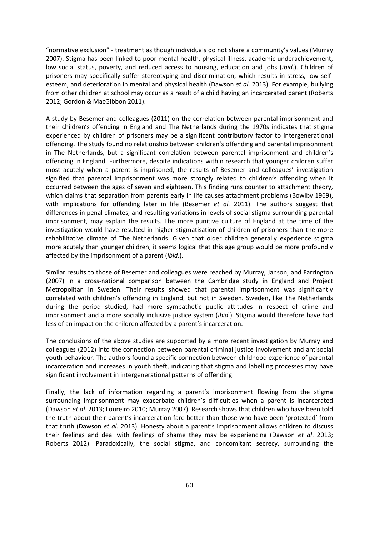"normative exclusion" - treatment as though individuals do not share a community's values (Murray 2007). Stigma has been linked to poor mental health, physical illness, academic underachievement, low social status, poverty, and reduced access to housing, education and jobs (*ibid*.). Children of prisoners may specifically suffer stereotyping and discrimination, which results in stress, low selfesteem, and deterioration in mental and physical health (Dawson *et al*. 2013). For example, bullying from other children at school may occur as a result of a child having an incarcerated parent (Roberts 2012; Gordon & MacGibbon 2011).

A study by Besemer and colleagues (2011) on the correlation between parental imprisonment and their children's offending in England and The Netherlands during the 1970s indicates that stigma experienced by children of prisoners may be a significant contributory factor to intergenerational offending. The study found no relationship between children's offending and parental imprisonment in The Netherlands, but a significant correlation between parental imprisonment and children's offending in England. Furthermore, despite indications within research that younger children suffer most acutely when a parent is imprisoned, the results of Besemer and colleagues' investigation signified that parental imprisonment was more strongly related to children's offending when it occurred between the ages of seven and eighteen. This finding runs counter to attachment theory, which claims that separation from parents early in life causes attachment problems (Bowlby 1969), with implications for offending later in life (Besemer *et al.* 2011). The authors suggest that differences in penal climates, and resulting variations in levels of social stigma surrounding parental imprisonment, may explain the results. The more punitive culture of England at the time of the investigation would have resulted in higher stigmatisation of children of prisoners than the more rehabilitative climate of The Netherlands. Given that older children generally experience stigma more acutely than younger children, it seems logical that this age group would be more profoundly affected by the imprisonment of a parent (*ibid*.).

Similar results to those of Besemer and colleagues were reached by Murray, Janson, and Farrington (2007) in a cross-national comparison between the Cambridge study in England and Project Metropolitan in Sweden. Their results showed that parental imprisonment was significantly correlated with children's offending in England, but not in Sweden. Sweden, like The Netherlands during the period studied, had more sympathetic public attitudes in respect of crime and imprisonment and a more socially inclusive justice system (*ibid*.). Stigma would therefore have had less of an impact on the children affected by a parent's incarceration.

The conclusions of the above studies are supported by a more recent investigation by Murray and colleagues (2012) into the connection between parental criminal justice involvement and antisocial youth behaviour. The authors found a specific connection between childhood experience of parental incarceration and increases in youth theft, indicating that stigma and labelling processes may have significant involvement in intergenerational patterns of offending.

Finally, the lack of information regarding a parent's imprisonment flowing from the stigma surrounding imprisonment may exacerbate children's difficulties when a parent is incarcerated (Dawson *et al*. 2013; Loureiro 2010; Murray 2007). Research shows that children who have been told the truth about their parent's incarceration fare better than those who have been 'protected' from that truth (Dawson *et al.* 2013). Honesty about a parent's imprisonment allows children to discuss their feelings and deal with feelings of shame they may be experiencing (Dawson *et al*. 2013; Roberts 2012). Paradoxically, the social stigma, and concomitant secrecy, surrounding the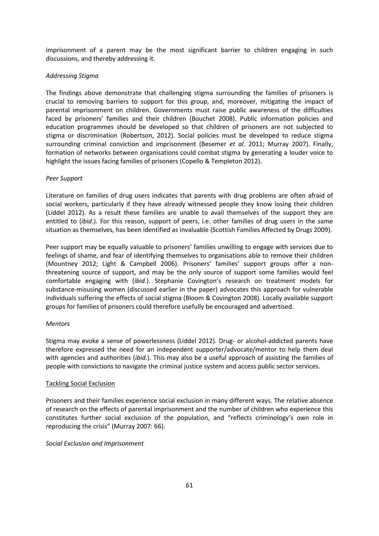imprisonment of a parent may be the most significant barrier to children engaging in such discussions, and thereby addressing it.

# *Addressing Stigma*

The findings above demonstrate that challenging stigma surrounding the families of prisoners is crucial to removing barriers to support for this group, and, moreover, mitigating the impact of parental imprisonment on children. Governments must raise public awareness of the difficulties faced by prisoners' families and their children (Bouchet 2008). Public information policies and education programmes should be developed so that children of prisoners are not subjected to stigma or discrimination (Robertson, 2012). Social policies must be developed to reduce stigma surrounding criminal conviction and imprisonment (Besemer *et al*. 2011; Murray 2007). Finally, formation of networks between organisations could combat stigma by generating a louder voice to highlight the issues facing families of prisoners (Copello & Templeton 2012).

# *Peer Support*

Literature on families of drug users indicates that parents with drug problems are often afraid of social workers, particularly if they have already witnessed people they know losing their children (Liddel 2012). As a result these families are unable to avail themselves of the support they are entitled to (*ibid*.). For this reason, support of peers, i.e. other families of drug users in the same situation as themselves, has been identified as invaluable (Scottish Families Affected by Drugs 2009).

Peer support may be equally valuable to prisoners' families unwilling to engage with services due to feelings of shame, and fear of identifying themselves to organisations able to remove their children (Mountney 2012; Light & Campbell 2006). Prisoners' families' support groups offer a nonthreatening source of support, and may be the only source of support some families would feel comfortable engaging with (*ibid*.). Stephanie Covington's research on treatment models for substance-misusing women (discussed earlier in the paper) advocates this approach for vulnerable individuals suffering the effects of social stigma (Bloom & Covington 2008). Locally available support groups for families of prisoners could therefore usefully be encouraged and advertised.

# *Mentors*

Stigma may evoke a sense of powerlessness (Liddel 2012). Drug- or alcohol-addicted parents have therefore expressed the need for an independent supporter/advocate/mentor to help them deal with agencies and authorities (*ibid*.). This may also be a useful approach of assisting the families of people with convictions to navigate the criminal justice system and access public sector services.

# Tackling Social Exclusion

Prisoners and their families experience social exclusion in many different ways. The relative absence of research on the effects of parental imprisonment and the number of children who experience this constitutes further social exclusion of the population, and "reflects criminology's own role in reproducing the crisis" (Murray 2007: 66).

# *Social Exclusion and Imprisonment*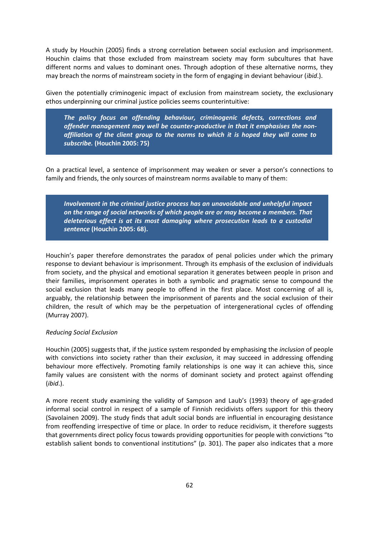A study by Houchin (2005) finds a strong correlation between social exclusion and imprisonment. Houchin claims that those excluded from mainstream society may form subcultures that have different norms and values to dominant ones. Through adoption of these alternative norms, they may breach the norms of mainstream society in the form of engaging in deviant behaviour (*ibid*.).

Given the potentially criminogenic impact of exclusion from mainstream society, the exclusionary ethos underpinning our criminal justice policies seems counterintuitive:

*The policy focus on offending behaviour, criminogenic defects, corrections and offender management may well be counter-productive in that it emphasises the nonaffiliation of the client group to the norms to which it is hoped they will come to subscribe.* **(Houchin 2005: 75)** 

On a practical level, a sentence of imprisonment may weaken or sever a person's connections to family and friends, the only sources of mainstream norms available to many of them:

*Involvement in the criminal justice process has an unavoidable and unhelpful impact on the range of social networks of which people are or may become a members. That deleterious effect is at its most damaging where prosecution leads to a custodial sentence* **(Houchin 2005: 68).**

Houchin's paper therefore demonstrates the paradox of penal policies under which the primary response to deviant behaviour is imprisonment. Through its emphasis of the exclusion of individuals from society, and the physical and emotional separation it generates between people in prison and their families, imprisonment operates in both a symbolic and pragmatic sense to compound the social exclusion that leads many people to offend in the first place. Most concerning of all is, arguably, the relationship between the imprisonment of parents and the social exclusion of their children, the result of which may be the perpetuation of intergenerational cycles of offending (Murray 2007).

## *Reducing Social Exclusion*

Houchin (2005) suggests that, if the justice system responded by emphasising the *inclusion* of people with convictions into society rather than their *exclusion*, it may succeed in addressing offending behaviour more effectively. Promoting family relationships is one way it can achieve this, since family values are consistent with the norms of dominant society and protect against offending (*ibid*.).

A more recent study examining the validity of Sampson and Laub's (1993) theory of age-graded informal social control in respect of a sample of Finnish recidivists offers support for this theory (Savolainen 2009). The study finds that adult social bonds are influential in encouraging desistance from reoffending irrespective of time or place. In order to reduce recidivism, it therefore suggests that governments direct policy focus towards providing opportunities for people with convictions "to establish salient bonds to conventional institutions" (p. 301). The paper also indicates that a more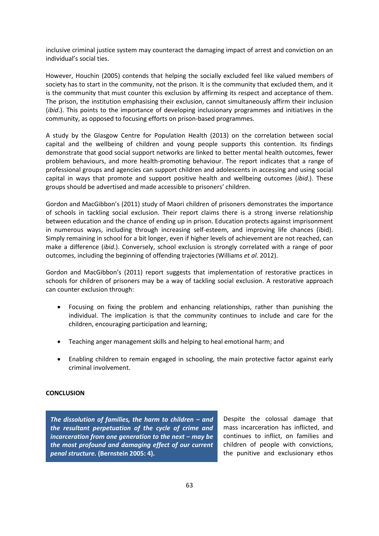inclusive criminal justice system may counteract the damaging impact of arrest and conviction on an individual's social ties.

However, Houchin (2005) contends that helping the socially excluded feel like valued members of society has to start in the community, not the prison. It is the community that excluded them, and it is the community that must counter this exclusion by affirming its respect and acceptance of them. The prison, the institution emphasising their exclusion, cannot simultaneously affirm their inclusion (*ibid*.). This points to the importance of developing inclusionary programmes and initiatives in the community, as opposed to focusing efforts on prison-based programmes.

A study by the Glasgow Centre for Population Health (2013) on the correlation between social capital and the wellbeing of children and young people supports this contention. Its findings demonstrate that good social support networks are linked to better mental health outcomes, fewer problem behaviours, and more health-promoting behaviour. The report indicates that a range of professional groups and agencies can support children and adolescents in accessing and using social capital in ways that promote and support positive health and wellbeing outcomes (*ibid*.). These groups should be advertised and made accessible to prisoners' children.

Gordon and MacGibbon's (2011) study of Maori children of prisoners demonstrates the importance of schools in tackling social exclusion. Their report claims there is a strong inverse relationship between education and the chance of ending up in prison. Education protects against imprisonment in numerous ways, including through increasing self-esteem, and improving life chances (ibid). Simply remaining in school for a bit longer, even if higher levels of achievement are not reached, can make a difference (*ibid*.). Conversely, school exclusion is strongly correlated with a range of poor outcomes, including the beginning of offending trajectories (Williams *et al*. 2012).

Gordon and MacGibbon's (2011) report suggests that implementation of restorative practices in schools for children of prisoners may be a way of tackling social exclusion. A restorative approach can counter exclusion through:

- Focusing on fixing the problem and enhancing relationships, rather than punishing the individual. The implication is that the community continues to include and care for the children, encouraging participation and learning;
- Teaching anger management skills and helping to heal emotional harm; and
- Enabling children to remain engaged in schooling, the main protective factor against early criminal involvement.

## **CONCLUSION**

*The dissolution of families, the harm to children – and the resultant perpetuation of the cycle of crime and incarceration from one generation to the next – may be the most profound and damaging effect of our current penal structure.* **(Bernstein 2005: 4).** 

Despite the colossal damage that mass incarceration has inflicted, and continues to inflict, on families and children of people with convictions, the punitive and exclusionary ethos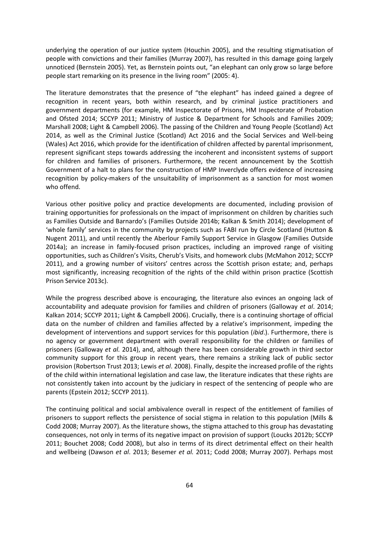underlying the operation of our justice system (Houchin 2005), and the resulting stigmatisation of people with convictions and their families (Murray 2007), has resulted in this damage going largely unnoticed (Bernstein 2005). Yet, as Bernstein points out, "an elephant can only grow so large before people start remarking on its presence in the living room" (2005: 4).

The literature demonstrates that the presence of "the elephant" has indeed gained a degree of recognition in recent years, both within research, and by criminal justice practitioners and government departments (for example, HM Inspectorate of Prisons, HM Inspectorate of Probation and Ofsted 2014; SCCYP 2011; Ministry of Justice & Department for Schools and Families 2009; Marshall 2008; Light & Campbell 2006). The passing of the Children and Young People (Scotland) Act 2014, as well as the Criminal Justice (Scotland) Act 2016 and the Social Services and Well-being (Wales) Act 2016, which provide for the identification of children affected by parental imprisonment, represent significant steps towards addressing the incoherent and inconsistent systems of support for children and families of prisoners. Furthermore, the recent announcement by the Scottish Government of a halt to plans for the construction of HMP Inverclyde offers evidence of increasing recognition by policy-makers of the unsuitability of imprisonment as a sanction for most women who offend.

Various other positive policy and practice developments are documented, including provision of training opportunities for professionals on the impact of imprisonment on children by charities such as Families Outside and Barnardo's (Families Outside 2014b; Kalkan & Smith 2014); development of 'whole family' services in the community by projects such as FABI run by Circle Scotland (Hutton & Nugent 2011), and until recently the Aberlour Family Support Service in Glasgow (Families Outside 2014a); an increase in family-focused prison practices, including an improved range of visiting opportunities, such as Children's Visits, Cherub's Visits, and homework clubs (McMahon 2012; SCCYP 2011), and a growing number of visitors' centres across the Scottish prison estate; and, perhaps most significantly, increasing recognition of the rights of the child within prison practice (Scottish Prison Service 2013c).

While the progress described above is encouraging, the literature also evinces an ongoing lack of accountability and adequate provision for families and children of prisoners (Galloway *et al*. 2014; Kalkan 2014; SCCYP 2011; Light & Campbell 2006). Crucially, there is a continuing shortage of official data on the number of children and families affected by a relative's imprisonment, impeding the development of interventions and support services for this population (*ibid*.). Furthermore, there is no agency or government department with overall responsibility for the children or families of prisoners (Galloway *et al.* 2014), and, although there has been considerable growth in third sector community support for this group in recent years, there remains a striking lack of public sector provision (Robertson Trust 2013; Lewis *et al*. 2008). Finally, despite the increased profile of the rights of the child within international legislation and case law, the literature indicates that these rights are not consistently taken into account by the judiciary in respect of the sentencing of people who are parents (Epstein 2012; SCCYP 2011).

The continuing political and social ambivalence overall in respect of the entitlement of families of prisoners to support reflects the persistence of social stigma in relation to this population (Mills & Codd 2008; Murray 2007). As the literature shows, the stigma attached to this group has devastating consequences, not only in terms of its negative impact on provision of support (Loucks 2012b; SCCYP 2011; Bouchet 2008; Codd 2008), but also in terms of its direct detrimental effect on their health and wellbeing (Dawson *et al*. 2013; Besemer *et al.* 2011; Codd 2008; Murray 2007). Perhaps most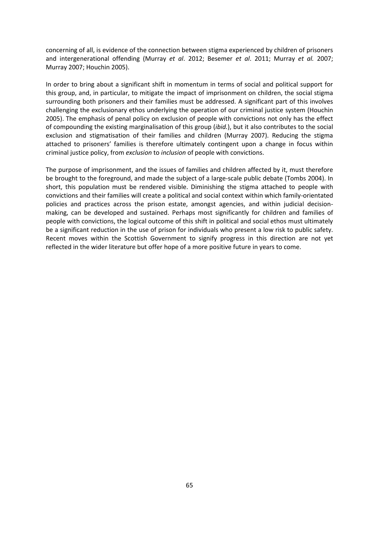concerning of all, is evidence of the connection between stigma experienced by children of prisoners and intergenerational offending (Murray *et al*. 2012; Besemer *et al*. 2011; Murray *et al.* 2007; Murray 2007; Houchin 2005).

In order to bring about a significant shift in momentum in terms of social and political support for this group, and, in particular, to mitigate the impact of imprisonment on children, the social stigma surrounding both prisoners and their families must be addressed. A significant part of this involves challenging the exclusionary ethos underlying the operation of our criminal justice system (Houchin 2005). The emphasis of penal policy on exclusion of people with convictions not only has the effect of compounding the existing marginalisation of this group (*ibid.*), but it also contributes to the social exclusion and stigmatisation of their families and children (Murray 2007). Reducing the stigma attached to prisoners' families is therefore ultimately contingent upon a change in focus within criminal justice policy, from *exclusion* to *inclusion* of people with convictions.

The purpose of imprisonment, and the issues of families and children affected by it, must therefore be brought to the foreground, and made the subject of a large-scale public debate (Tombs 2004). In short, this population must be rendered visible. Diminishing the stigma attached to people with convictions and their families will create a political and social context within which family-orientated policies and practices across the prison estate, amongst agencies, and within judicial decisionmaking, can be developed and sustained. Perhaps most significantly for children and families of people with convictions, the logical outcome of this shift in political and social ethos must ultimately be a significant reduction in the use of prison for individuals who present a low risk to public safety. Recent moves within the Scottish Government to signify progress in this direction are not yet reflected in the wider literature but offer hope of a more positive future in years to come.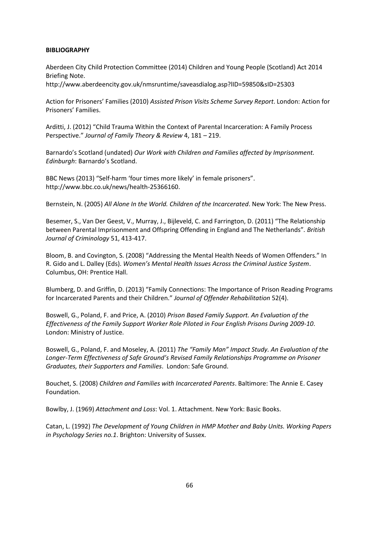## **BIBLIOGRAPHY**

Aberdeen City Child Protection Committee (2014) Children and Young People (Scotland) Act 2014 Briefing Note.

http://www.aberdeencity.gov.uk/nmsruntime/saveasdialog.asp?lID=59850&sID=25303

Action for Prisoners' Families (2010) *Assisted Prison Visits Scheme Survey Report*. London: Action for Prisoners' Families.

Arditti, J. (2012) "Child Trauma Within the Context of Parental Incarceration: A Family Process Perspective." *Journal of Family Theory & Review* 4, 181 – 219.

Barnardo's Scotland (undated) *Our Work with Children and Families affected by Imprisonment. Edinburgh*: Barnardo's Scotland.

BBC News (2013) "Self-harm 'four times more likely' in female prisoners". http://www.bbc.co.uk/news/health-25366160.

Bernstein, N. (2005) *All Alone In the World. Children of the Incarcerated*. New York: The New Press.

Besemer, S., Van Der Geest, V., Murray, J., Bijleveld, C. and Farrington, D. (2011) "The Relationship between Parental Imprisonment and Offspring Offending in England and The Netherlands"*. British Journal of Criminology* 51, 413-417.

Bloom, B. and Covington, S. (2008) "Addressing the Mental Health Needs of Women Offenders." In R. Gido and L. Dalley (Eds). *Women's Mental Health Issues Across the Criminal Justice System*. Columbus, OH: Prentice Hall.

Blumberg, D. and Griffin, D. (2013) "Family Connections: The Importance of Prison Reading Programs for Incarcerated Parents and their Children." *Journal of Offender Rehabilitation* 52(4).

Boswell, G., Poland, F. and Price, A. (2010) *Prison Based Family Support. An Evaluation of the Effectiveness of the Family Support Worker Role Piloted in Four English Prisons During 2009-10*. London: Ministry of Justice.

Boswell, G., Poland, F. and Moseley, A. (2011) *The "Family Man" Impact Study. An Evaluation of the Longer-Term Effectiveness of Safe Ground's Revised Family Relationships Programme on Prisoner Graduates, their Supporters and Families*. London: Safe Ground.

Bouchet, S. (2008) *Children and Families with Incarcerated Parents*. Baltimore: The Annie E. Casey Foundation.

Bowlby, J. (1969) *Attachment and Loss*: Vol. 1. Attachment. New York: Basic Books.

Catan, L. (1992) *The Development of Young Children in HMP Mother and Baby Units. Working Papers in Psychology Series no.1*. Brighton: University of Sussex.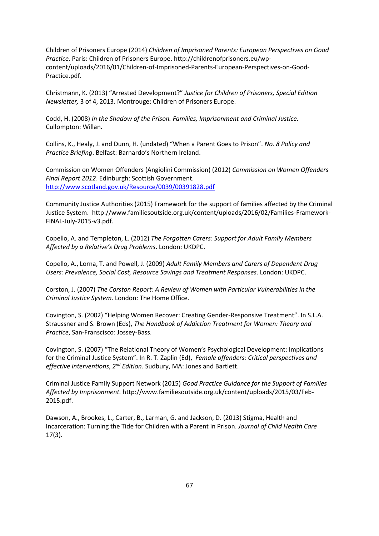Children of Prisoners Europe (2014) *Children of Imprisoned Parents: European Perspectives on Good Practice*. Paris: Children of Prisoners Europe. http://childrenofprisoners.eu/wpcontent/uploads/2016/01/Children-of-Imprisoned-Parents-European-Perspectives-on-Good-Practice.pdf.

Christmann, K. (2013) "Arrested Development?" *Justice for Children of Prisoners, Special Edition Newsletter,* 3 of 4, 2013. Montrouge: Children of Prisoners Europe.

Codd, H. (2008) *In the Shadow of the Prison. Families, Imprisonment and Criminal Justice.*  Cullompton: Willan.

Collins, K., Healy, J. and Dunn, H. (undated) "When a Parent Goes to Prison". *No. 8 Policy and Practice Briefing*. Belfast: Barnardo's Northern Ireland.

Commission on Women Offenders (Angiolini Commission) (2012) *Commission on Women Offenders Final Report 2012*. Edinburgh: Scottish Government. <http://www.scotland.gov.uk/Resource/0039/00391828.pdf>

Community Justice Authorities (2015) Framework for the support of families affected by the Criminal Justice System. http://www.familiesoutside.org.uk/content/uploads/2016/02/Families-Framework-FINAL-July-2015-v3.pdf.

Copello, A. and Templeton, L. (2012) *The Forgotten Carers: Support for Adult Family Members Affected by a Relative's Drug Problems*. London: UKDPC.

Copello, A., Lorna, T. and Powell, J. (2009) *Adult Family Members and Carers of Dependent Drug Users: Prevalence, Social Cost, Resource Savings and Treatment Responses*. London: UKDPC.

Corston, J. (2007) *The Corston Report: A Review of Women with Particular Vulnerabilities in the Criminal Justice System*. London: The Home Office.

Covington, S. (2002) "Helping Women Recover: Creating Gender-Responsive Treatment". In S.L.A. Straussner and S. Brown (Eds), *The Handbook of Addiction Treatment for Women: Theory and Practice*, San-Franscisco: Jossey-Bass.

Covington, S. (2007) "The Relational Theory of Women's Psychological Development: Implications for the Criminal Justice System". In R. T. Zaplin (Ed), *Female offenders: Critical perspectives and*  effective interventions, 2<sup>nd</sup> Edition. Sudbury, MA: Jones and Bartlett.

Criminal Justice Family Support Network (2015) *Good Practice Guidance for the Support of Families Affected by Imprisonment.* http://www.familiesoutside.org.uk/content/uploads/2015/03/Feb-2015.pdf.

Dawson, A., Brookes, L., Carter, B., Larman, G. and Jackson, D. (2013) Stigma, Health and Incarceration: Turning the Tide for Children with a Parent in Prison. *Journal of Child Health Care* 17(3).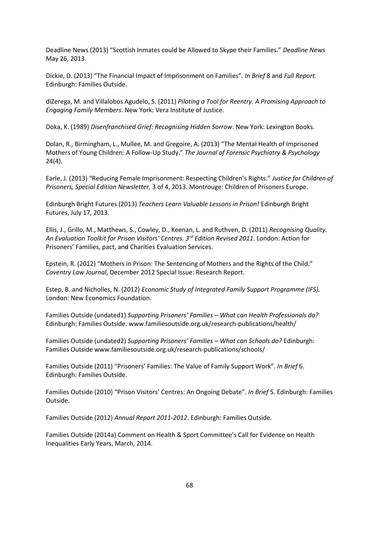Deadline News (2013) "Scottish Inmates could be Allowed to Skype their Families." *Deadline News* May 26, 2013.

Dickie, D. (2013) "The Financial Impact of Imprisonment on Families". *In Brief* 8 and *Full Report.* Edinburgh: Families Outside.

diZerega, M. and Villalobos Agudelo, S. (2011) *Piloting a Tool for Reentry. A Promising Approach to Engaging Family Members*. New York: Vera Institute of Justice.

Doka, K. (1989) *Disenfranchised Grief: Recognising Hidden Sorrow*. New York: Lexington Books.

Dolan, R., Birmingham, L., Mullee, M. and Gregoire, A. (2013) "The Mental Health of Imprisoned Mothers of Young Children: A Follow-Up Study." *The Journal of Forensic Psychiatry & Psychology* 24(4).

Earle, J. (2013) "Reducing Female Imprisonment: Respecting Children's Rights." *Justice for Children of Prisoners, Special Edition Newsletter,* 3 of 4, 2013. Montrouge: Children of Prisoners Europe.

Edinburgh Bright Futures (2013) *Teachers Learn Valuable Lessons in Prison!* Edinburgh Bright Futures, July 17, 2013.

Ellis, J., Grillo, M., Matthews, S., Cowley, D., Keenan, L. and Ruthven, D. (2011) *Recognising Quality. An Evaluation Toolkit for Prison Visitors' Centres. 3rd Edition Revised 2011*. London: Action for Prisoners' Families, pact, and Charities Evaluation Services.

Epstein, R. (2012) "Mothers in Prison: The Sentencing of Mothers and the Rights of the Child." *Coventry Law Journal*, December 2012 Special Issue: Research Report.

Estep, B. and Nicholles, N. (2012) *Economic Study of Integrated Family Support Programme (IFS).* London: New Economics Foundation.

Families Outside (undated1) *Supporting Prisoners' Families – What can Health Professionals do?* Edinburgh: Families Outside. www.familiesoutside.org.uk/research-publications/health/

Families Outside (undated2) *Supporting Prisoners' Families – What can Schools do?* Edinburgh: Families Outside www.familiesoutside.org.uk/research-publications/schools/

Families Outside (2011) "Prisoners' Families: The Value of Family Support Work". *In Brief* 6. Edinburgh: Families Outside.

Families Outside (2010) "Prison Visitors' Centres: An Ongoing Debate". *In Brief* 5. Edinburgh: Families Outside.

Families Outside (2012) *Annual Report 2011-2012*. Edinburgh: Families Outside.

Families Outside (2014a) Comment on Health & Sport Committee's Call for Evidence on Health Inequalities Early Years, March, 2014.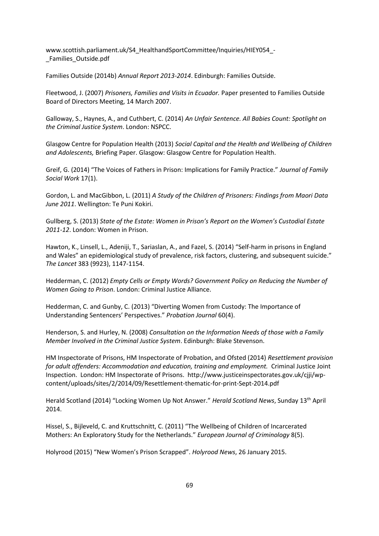www.scottish.parliament.uk/S4\_HealthandSportCommittee/Inquiries/HIEY054\_- \_Families\_Outside.pdf

Families Outside (2014b) *Annual Report 2013-2014*. Edinburgh: Families Outside.

Fleetwood, J. (2007) *Prisoners, Families and Visits in Ecuador.* Paper presented to Families Outside Board of Directors Meeting, 14 March 2007.

Galloway, S., Haynes, A., and Cuthbert, C. (2014) *An Unfair Sentence. All Babies Count: Spotlight on the Criminal Justice System*. London: NSPCC.

Glasgow Centre for Population Health (2013) *Social Capital and the Health and Wellbeing of Children and Adolescents,* Briefing Paper. Glasgow: Glasgow Centre for Population Health.

Greif, G. (2014) "The Voices of Fathers in Prison: Implications for Family Practice." *Journal of Family Social Work* 17(1).

Gordon, L. and MacGibbon, L. (2011) *A Study of the Children of Prisoners: Findings from Maori Data June 2011*. Wellington: Te Puni Kokiri.

Gullberg, S. (2013) *State of the Estate: Women in Prison's Report on the Women's Custodial Estate 2011-12*. London: Women in Prison.

Hawton, K., Linsell, L., Adeniji, T., Sariaslan, A., and Fazel, S. (2014) "Self-harm in prisons in England and Wales" an epidemiological study of prevalence, risk factors, clustering, and subsequent suicide." *The Lancet* 383 (9923), 1147-1154.

Hedderman, C. (2012) *Empty Cells or Empty Words? Government Policy on Reducing the Number of Women Going to Prison*. London: Criminal Justice Alliance.

Hedderman, C. and Gunby, C. (2013) "Diverting Women from Custody: The Importance of Understanding Sentencers' Perspectives." *Probation Journal* 60(4).

Henderson, S. and Hurley, N. (2008) *Consultation on the Information Needs of those with a Family Member Involved in the Criminal Justice System*. Edinburgh: Blake Stevenson.

HM Inspectorate of Prisons, HM Inspectorate of Probation, and Ofsted (2014) *Resettlement provision for adult offenders: Accommodation and education, training and employment.* Criminal Justice Joint Inspection. London: HM Inspectorate of Prisons. http://www.justiceinspectorates.gov.uk/cjji/wpcontent/uploads/sites/2/2014/09/Resettlement-thematic-for-print-Sept-2014.pdf

Herald Scotland (2014) "Locking Women Up Not Answer." *Herald Scotland News*, Sunday 13th April 2014.

Hissel, S., Bijleveld, C. and Kruttschnitt, C. (2011) "The Wellbeing of Children of Incarcerated Mothers: An Exploratory Study for the Netherlands." *European Journal of Criminology* 8(5).

Holyrood (2015) "New Women's Prison Scrapped". *Holyrood News*, 26 January 2015.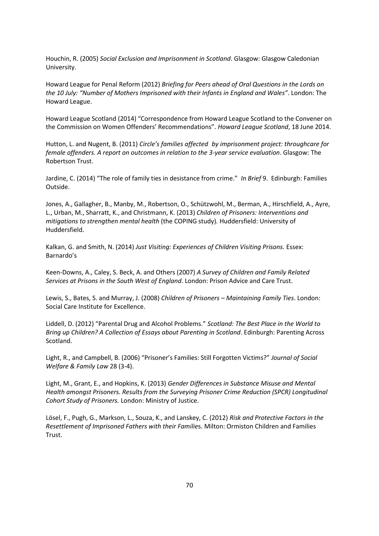Houchin, R. (2005) *Social Exclusion and Imprisonment in Scotland*. Glasgow: Glasgow Caledonian University.

Howard League for Penal Reform (2012) *Briefing for Peers ahead of Oral Questions in the Lords on the 10 July: "Number of Mothers Imprisoned with their Infants in England and Wales"*. London: The Howard League.

Howard League Scotland (2014) "Correspondence from Howard League Scotland to the Convener on the Commission on Women Offenders' Recommendations". *Howard League Scotland*, 18 June 2014.

Hutton, L. and Nugent, B. (2011) *Circle's families affected by imprisonment project: throughcare for female offenders. A report on outcomes in relation to the 3-year service evaluation*. Glasgow: The Robertson Trust.

Jardine, C. (2014) "The role of family ties in desistance from crime." *In Brief* 9. Edinburgh: Families Outside.

Jones, A., Gallagher, B., Manby, M., Robertson, O., Schützwohl, M., Berman, A., Hirschfield, A., Ayre, L., Urban, M., Sharratt, K., and Christmann, K. (2013) *Children of Prisoners: Interventions and mitigations to strengthen mental health* (the COPING study)*.* Huddersfield: University of Huddersfield.

Kalkan, G. and Smith, N. (2014) *Just Visiting: Experiences of Children Visiting Prisons.* Essex: Barnardo's

Keen-Downs, A., Caley, S. Beck, A. and Others (2007) *A Survey of Children and Family Related Services at Prisons in the South West of England*. London: Prison Advice and Care Trust.

Lewis, S., Bates, S. and Murray, J. (2008) *Children of Prisoners – Maintaining Family Ties*. London: Social Care Institute for Excellence.

Liddell, D. (2012) "Parental Drug and Alcohol Problems." *Scotland: The Best Place in the World to Bring up Children? A Collection of Essays about Parenting in Scotland*. Edinburgh: Parenting Across Scotland.

Light, R., and Campbell, B. (2006) "Prisoner's Families: Still Forgotten Victims?" *Journal of Social Welfare & Family Law* 28 (3-4).

Light, M., Grant, E., and Hopkins, K. (2013) *Gender Differences in Substance Misuse and Mental Health amongst Prisoners. Results from the Surveying Prisoner Crime Reduction (SPCR) Longitudinal Cohort Study of Prisoners.* London: Ministry of Justice.

Lösel, F., Pugh, G., Markson, L., Souza, K., and Lanskey, C. (2012) *Risk and Protective Factors in the Resettlement of Imprisoned Fathers with their Familie*s. Milton: Ormiston Children and Families Trust.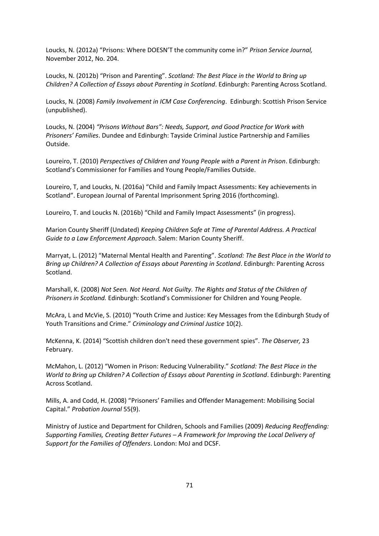Loucks, N. (2012a) "Prisons: Where DOESN'T the community come in?" *Prison Service Journal,*  November 2012, No. 204.

Loucks, N. (2012b) "Prison and Parenting". *Scotland: The Best Place in the World to Bring up Children? A Collection of Essays about Parenting in Scotland*. Edinburgh: Parenting Across Scotland.

Loucks, N. (2008) *Family Involvement in ICM Case Conferencing*. Edinburgh: Scottish Prison Service (unpublished).

Loucks, N. (2004) *"Prisons Without Bars": Needs, Support, and Good Practice for Work with Prisoners' Families*. Dundee and Edinburgh: Tayside Criminal Justice Partnership and Families Outside.

Loureiro, T. (2010) *Perspectives of Children and Young People with a Parent in Prison*. Edinburgh: Scotland's Commissioner for Families and Young People/Families Outside.

Loureiro, T, and Loucks, N. (2016a) "Child and Family Impact Assessments: Key achievements in Scotland". European Journal of Parental Imprisonment Spring 2016 (forthcoming).

Loureiro, T. and Loucks N. (2016b) "Child and Family Impact Assessments" (in progress).

Marion County Sheriff (Undated) *Keeping Children Safe at Time of Parental Address. A Practical Guide to a Law Enforcement Approach*. Salem: Marion County Sheriff.

Marryat, L. (2012) "Maternal Mental Health and Parenting". *Scotland: The Best Place in the World to Bring up Children? A Collection of Essays about Parenting in Scotland*. Edinburgh: Parenting Across Scotland.

Marshall, K. (2008) *Not Seen. Not Heard. Not Guilty. The Rights and Status of the Children of Prisoners in Scotland.* Edinburgh: Scotland's Commissioner for Children and Young People.

McAra, L and McVie, S. (2010) "Youth Crime and Justice: Key Messages from the Edinburgh Study of Youth Transitions and Crime." *Criminology and Criminal Justice* 10(2).

McKenna, K. (2014) "Scottish children don't need these government spies". *The Observer,* 23 February.

McMahon, L. (2012) "Women in Prison: Reducing Vulnerability." *Scotland: The Best Place in the World to Bring up Children? A Collection of Essays about Parenting in Scotland*. Edinburgh: Parenting Across Scotland.

Mills, A. and Codd, H. (2008) "Prisoners' Families and Offender Management: Mobilising Social Capital." *Probation Journal* 55(9).

Ministry of Justice and Department for Children, Schools and Families (2009) *Reducing Reoffending: Supporting Families, Creating Better Futures – A Framework for Improving the Local Delivery of Support for the Families of Offenders*. London: MoJ and DCSF.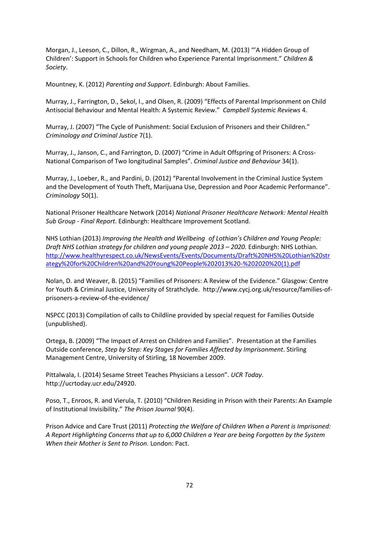Morgan, J., Leeson, C., Dillon, R., Wirgman, A., and Needham, M. (2013) "'A Hidden Group of Children': Support in Schools for Children who Experience Parental Imprisonment." *Children & Society*.

Mountney, K. (2012) *Parenting and Support*. Edinburgh: About Families.

Murray, J., Farrington, D., Sekol, I., and Olsen, R. (2009) "Effects of Parental Imprisonment on Child Antisocial Behaviour and Mental Health: A Systemic Review." *Campbell Systemic Reviews* 4.

Murray, J. (2007) "The Cycle of Punishment: Social Exclusion of Prisoners and their Children." *Criminology and Criminal Justice* 7(1).

Murray, J., Janson, C., and Farrington, D. (2007) "Crime in Adult Offspring of Prisoners: A Cross-National Comparison of Two longitudinal Samples". *Criminal Justice and Behaviour* 34(1).

Murray, J., Loeber, R., and Pardini, D. (2012) "Parental Involvement in the Criminal Justice System and the Development of Youth Theft, Marijuana Use, Depression and Poor Academic Performance". *Criminology* 50(1).

National Prisoner Healthcare Network (2014) *National Prisoner Healthcare Network: Mental Health Sub Group - Final Report*. Edinburgh: Healthcare Improvement Scotland.

NHS Lothian (2013) *Improving the Health and Wellbeing of Lothian's Children and Young People: Draft NHS Lothian strategy for children and young people 2013 – 2020.* Edinburgh: NHS Lothian. [http://www.healthyrespect.co.uk/NewsEvents/Events/Documents/Draft%20NHS%20Lothian%20str](http://www.healthyrespect.co.uk/NewsEvents/Events/Documents/Draft%20NHS%20Lothian%20strategy%20for%20Children%20and%20Young%20People%202013%20-%202020%20(1).pdf) [ategy%20for%20Children%20and%20Young%20People%202013%20-%202020%20\(1\).pdf](http://www.healthyrespect.co.uk/NewsEvents/Events/Documents/Draft%20NHS%20Lothian%20strategy%20for%20Children%20and%20Young%20People%202013%20-%202020%20(1).pdf)

Nolan, D. and Weaver, B. (2015) "Families of Prisoners: A Review of the Evidence." Glasgow: Centre for Youth & Criminal Justice, University of Strathclyde. http://www.cycj.org.uk/resource/families-ofprisoners-a-review-of-the-evidence/

NSPCC (2013) Compilation of calls to Childline provided by special request for Families Outside (unpublished).

Ortega, B. (2009) "The Impact of Arrest on Children and Families". Presentation at the Families Outside conference, *Step by Step: Key Stages for Families Affected by Imprisonment*. Stirling Management Centre, University of Stirling, 18 November 2009.

Pittalwala, I. (2014) Sesame Street Teaches Physicians a Lesson". *UCR Today*. http://ucrtoday.ucr.edu/24920.

Poso, T., Enroos, R. and Vierula, T. (2010) "Children Residing in Prison with their Parents: An Example of Institutional Invisibility." *The Prison Journal* 90(4).

Prison Advice and Care Trust (2011) *Protecting the Welfare of Children When a Parent is Imprisoned: A Report Highlighting Concerns that up to 6,000 Children a Year are being Forgotten by the System When their Mother is Sent to Prison.* London: Pact.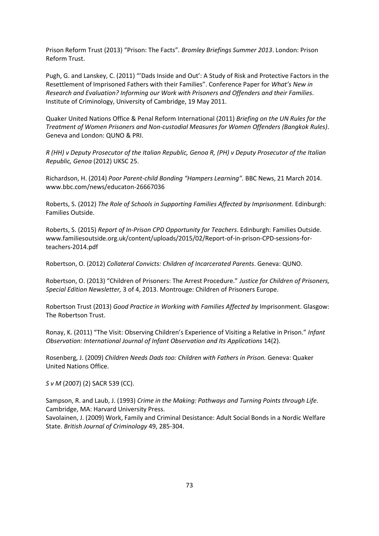Prison Reform Trust (2013) "Prison: The Facts"*. Bromley Briefings Summer 2013*. London: Prison Reform Trust.

Pugh, G. and Lanskey, C. (2011) "'Dads Inside and Out': A Study of Risk and Protective Factors in the Resettlement of Imprisoned Fathers with their Families". Conference Paper for *What's New in Research and Evaluation? Informing our Work with Prisoners and Offenders and their Families*. Institute of Criminology, University of Cambridge, 19 May 2011.

Quaker United Nations Office & Penal Reform International (2011) *Briefing on the UN Rules for the Treatment of Women Prisoners and Non-custodial Measures for Women Offenders (Bangkok Rules)*. Geneva and London: QUNO & PRI.

*R (HH) v Deputy Prosecutor of the Italian Republic, Genoa R, (PH) v Deputy Prosecutor of the Italian Republic, Genoa* (2012) UKSC 25.

Richardson, H. (2014) *Poor Parent-child Bonding "Hampers Learning".* BBC News, 21 March 2014. www.bbc.com/news/educaton-26667036

Roberts, S. (2012) *The Role of Schools in Supporting Families Affected by Imprisonment.* Edinburgh: Families Outside.

Roberts, S. (2015) *Report of In-Prison CPD Opportunity for Teachers*. Edinburgh: Families Outside. www.familiesoutside.org.uk/content/uploads/2015/02/Report-of-in-prison-CPD-sessions-forteachers-2014.pdf

Robertson, O. (2012) *Collateral Convicts: Children of Incarcerated Parents*. Geneva: QUNO.

Robertson, O. (2013) "Children of Prisoners: The Arrest Procedure." *Justice for Children of Prisoners, Special Edition Newsletter,* 3 of 4, 2013. Montrouge: Children of Prisoners Europe.

Robertson Trust (2013) *Good Practice in Working with Families Affected by* Imprisonment. Glasgow: The Robertson Trust.

Ronay, K. (2011) "The Visit: Observing Children's Experience of Visiting a Relative in Prison." *Infant Observation: International Journal of Infant Observation and Its Applications* 14(2).

Rosenberg, J. (2009) *Children Needs Dads too: Children with Fathers in Prison.* Geneva: Quaker United Nations Office.

*S v M* (2007) (2) SACR 539 (CC).

Sampson, R. and Laub, J. (1993) *Crime in the Making: Pathways and Turning Points through Life*. Cambridge, MA: Harvard University Press.

Savolainen, J. (2009) Work, Family and Criminal Desistance: Adult Social Bonds in a Nordic Welfare State. *British Journal of Criminology* 49, 285-304.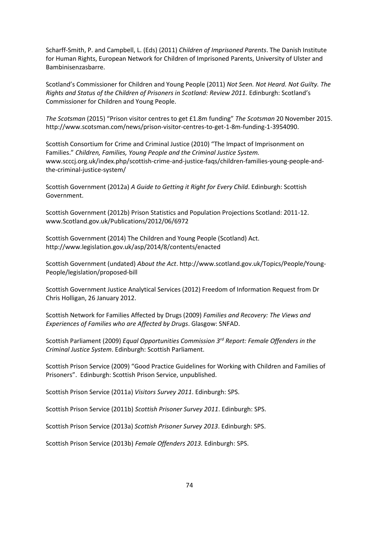Scharff-Smith, P. and Campbell, L. (Eds) (2011) *Children of Imprisoned Parents*. The Danish Institute for Human Rights, European Network for Children of Imprisoned Parents, University of Ulster and Bambinisenzasbarre.

Scotland's Commissioner for Children and Young People (2011) *Not Seen. Not Heard. Not Guilty. The Rights and Status of the Children of Prisoners in Scotland: Review 2011.* Edinburgh: Scotland's Commissioner for Children and Young People.

*The Scotsman* (2015) "Prison visitor centres to get £1.8m funding" *The Scotsman* 20 November 2015. http://www.scotsman.com/news/prison-visitor-centres-to-get-1-8m-funding-1-3954090.

Scottish Consortium for Crime and Criminal Justice (2010) "The Impact of Imprisonment on Families." *Children, Families, Young People and the Criminal Justice System.*  www.scccj.org.uk/index.php/scottish-crime-and-justice-faqs/children-families-young-people-andthe-criminal-justice-system/

Scottish Government (2012a) *A Guide to Getting it Right for Every Child*. Edinburgh: Scottish Government.

Scottish Government (2012b) Prison Statistics and Population Projections Scotland: 2011-12. www.Scotland.gov.uk/Publications/2012/06/6972

Scottish Government (2014) The Children and Young People (Scotland) Act. http://www.legislation.gov.uk/asp/2014/8/contents/enacted

Scottish Government (undated) *About the Act*. http://www.scotland.gov.uk/Topics/People/Young-People/legislation/proposed-bill

Scottish Government Justice Analytical Services (2012) Freedom of Information Request from Dr Chris Holligan, 26 January 2012.

Scottish Network for Families Affected by Drugs (2009) *Families and Recovery: The Views and Experiences of Families who are Affected by Drugs*. Glasgow: SNFAD.

Scottish Parliament (2009) *Equal Opportunities Commission 3rd Report: Female Offenders in the Criminal Justice System*. Edinburgh: Scottish Parliament.

Scottish Prison Service (2009) "Good Practice Guidelines for Working with Children and Families of Prisoners". Edinburgh: Scottish Prison Service, unpublished.

Scottish Prison Service (2011a) *Visitors Survey 2011*. Edinburgh: SPS.

Scottish Prison Service (2011b) *Scottish Prisoner Survey 2011*. Edinburgh: SPS.

Scottish Prison Service (2013a) *Scottish Prisoner Survey 2013*. Edinburgh: SPS.

Scottish Prison Service (2013b) *Female Offenders 2013.* Edinburgh: SPS.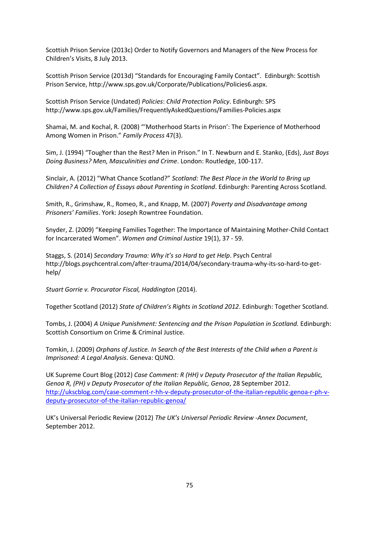Scottish Prison Service (2013c) Order to Notify Governors and Managers of the New Process for Children's Visits, 8 July 2013.

Scottish Prison Service (2013d) "Standards for Encouraging Family Contact". Edinburgh: Scottish Prison Service, http://www.sps.gov.uk/Corporate/Publications/Policies6.aspx.

Scottish Prison Service (Undated) *Policies*: *Child Protection Policy*. Edinburgh: SPS http://www.sps.gov.uk/Families/FrequentlyAskedQuestions/Families-Policies.aspx

Shamai, M. and Kochal, R. (2008) "'Motherhood Starts in Prison': The Experience of Motherhood Among Women in Prison." *Family Process* 47(3).

Sim, J. (1994) "Tougher than the Rest? Men in Prison." In T. Newburn and E. Stanko, (Eds), *Just Boys Doing Business? Men, Masculinities and Crime*. London: Routledge, 100-117.

Sinclair, A. (2012) "What Chance Scotland?" *Scotland: The Best Place in the World to Bring up Children? A Collection of Essays about Parenting in Scotland*. Edinburgh: Parenting Across Scotland.

Smith, R., Grimshaw, R., Romeo, R., and Knapp, M. (2007) *Poverty and Disadvantage among Prisoners' Families*. York: Joseph Rowntree Foundation.

Snyder, Z. (2009) "Keeping Families Together: The Importance of Maintaining Mother-Child Contact for Incarcerated Women". *Women and Criminal Justice* 19(1), 37 - 59.

Staggs, S. (2014) *Secondary Trauma: Why it's so Hard to get Help*. Psych Central http://blogs.psychcentral.com/after-trauma/2014/04/secondary-trauma-why-its-so-hard-to-gethelp/

*Stuart Gorrie v. Procurator Fiscal, Haddington* (2014).

Together Scotland (2012) *State of Children's Rights in Scotland 2012*. Edinburgh: Together Scotland.

Tombs, J. (2004) *A Unique Punishment: Sentencing and the Prison Population in Scotland.* Edinburgh: Scottish Consortium on Crime & Criminal Justice.

Tomkin, J. (2009) *Orphans of Justice. In Search of the Best Interests of the Child when a Parent is Imprisoned: A Legal Analysis*. Geneva: QUNO.

UK Supreme Court Blog (2012) *Case Comment: R (HH) v Deputy Prosecutor of the Italian Republic, Genoa R, (PH) v Deputy Prosecutor of the Italian Republic, Genoa*, 28 September 2012. [http://ukscblog.com/case-comment-r-hh-v-deputy-prosecutor-of-the-italian-republic-genoa-r-ph-v](http://ukscblog.com/case-comment-r-hh-v-deputy-prosecutor-of-the-italian-republic-genoa-r-ph-v-deputy-prosecutor-of-the-italian-republic-genoa/)[deputy-prosecutor-of-the-italian-republic-genoa/](http://ukscblog.com/case-comment-r-hh-v-deputy-prosecutor-of-the-italian-republic-genoa-r-ph-v-deputy-prosecutor-of-the-italian-republic-genoa/)

UK's Universal Periodic Review (2012) *The UK's Universal Periodic Review -Annex Document*, September 2012.